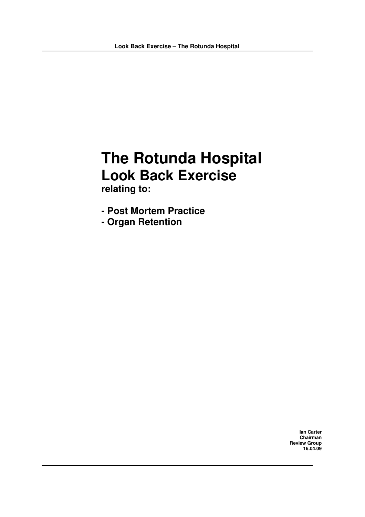# **The Rotunda Hospital Look Back Exercise**

**relating to:**

- **- Post Mortem Practice**
- **- Organ Retention**

**Ian Carter Chairman Review Group 16.04.09**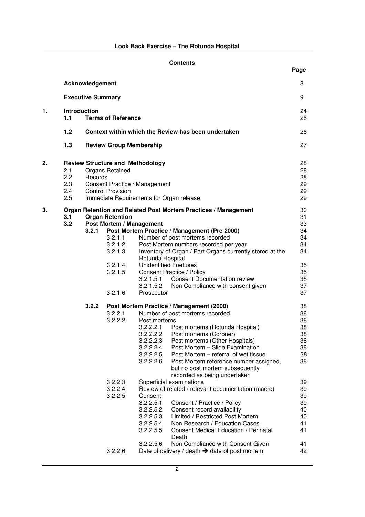|    |                                 |                          |                                                         |                                                                                                                                                                        | <b>Contents</b>                                                                                                                                                                                                                                                                                                                                                                                                                                                                                                                                                                                                                                                                                   | Page                                                                                                     |
|----|---------------------------------|--------------------------|---------------------------------------------------------|------------------------------------------------------------------------------------------------------------------------------------------------------------------------|---------------------------------------------------------------------------------------------------------------------------------------------------------------------------------------------------------------------------------------------------------------------------------------------------------------------------------------------------------------------------------------------------------------------------------------------------------------------------------------------------------------------------------------------------------------------------------------------------------------------------------------------------------------------------------------------------|----------------------------------------------------------------------------------------------------------|
|    |                                 | Acknowledgement          |                                                         |                                                                                                                                                                        |                                                                                                                                                                                                                                                                                                                                                                                                                                                                                                                                                                                                                                                                                                   | 8                                                                                                        |
|    |                                 | <b>Executive Summary</b> |                                                         |                                                                                                                                                                        |                                                                                                                                                                                                                                                                                                                                                                                                                                                                                                                                                                                                                                                                                                   | 9                                                                                                        |
| 1. | 1.1                             | Introduction             | <b>Terms of Reference</b>                               |                                                                                                                                                                        |                                                                                                                                                                                                                                                                                                                                                                                                                                                                                                                                                                                                                                                                                                   | 24<br>25                                                                                                 |
|    | $1.2$                           |                          |                                                         |                                                                                                                                                                        | Context within which the Review has been undertaken                                                                                                                                                                                                                                                                                                                                                                                                                                                                                                                                                                                                                                               | 26                                                                                                       |
|    | 1.3                             |                          |                                                         | <b>Review Group Membership</b>                                                                                                                                         |                                                                                                                                                                                                                                                                                                                                                                                                                                                                                                                                                                                                                                                                                                   | 27                                                                                                       |
| 2. | 2.1<br>2.2<br>2.3<br>2.4<br>2.5 | Records                  | Organs Retained<br><b>Control Provision</b>             | <b>Review Structure and Methodology</b><br>Consent Practice / Management                                                                                               | Immediate Requirements for Organ release                                                                                                                                                                                                                                                                                                                                                                                                                                                                                                                                                                                                                                                          | 28<br>28<br>28<br>29<br>29<br>29                                                                         |
| 3. | 3.1<br>3.2                      | 3.2.1                    | <b>Organ Retention</b><br>3.2.1.1<br>3.2.1.2<br>3.2.1.3 | Post Mortem / Management                                                                                                                                               | Organ Retention and Related Post Mortem Practices / Management<br>Post Mortem Practice / Management (Pre 2000)<br>Number of post mortems recorded<br>Post Mortem numbers recorded per year<br>Inventory of Organ / Part Organs currently stored at the                                                                                                                                                                                                                                                                                                                                                                                                                                            | 30<br>31<br>33<br>34<br>34<br>34<br>34                                                                   |
|    |                                 |                          | 3.2.1.4<br>3.2.1.5<br>3.2.1.6                           | Rotunda Hospital<br>3.2.1.5.1<br>3.2.1.5.2<br>Prosecutor                                                                                                               | <b>Unidentified Foetuses</b><br><b>Consent Practice / Policy</b><br><b>Consent Documentation review</b><br>Non Compliance with consent given                                                                                                                                                                                                                                                                                                                                                                                                                                                                                                                                                      | 35<br>35<br>35<br>37<br>37                                                                               |
|    |                                 | 3.2.2                    | 3.2.2.1<br>3.2.2.2<br>3.2.2.3<br>3.2.2.4<br>3.2.2.5     | Post mortems<br>3.2.2.2.1<br>3.2.2.2.3<br>3.2.2.2.4<br>3.2.2.2.5<br>3.2.2.2.6<br>Consent<br>3.2.2.5.1<br>3.2.2.5.2<br>3.2.2.5.3<br>3.2.2.5.4<br>3.2.2.5.5<br>3.2.2.5.6 | Post Mortem Practice / Management (2000)<br>Number of post mortems recorded<br>Post mortems (Rotunda Hospital)<br>3.2.2.2.2  Post mortems (Coroner)<br>Post mortems (Other Hospitals)<br>Post Mortem - Slide Examination<br>Post Mortem - referral of wet tissue<br>Post Mortem reference number assigned,<br>but no post mortem subsequently<br>recorded as being undertaken<br>Superficial examinations<br>Review of related / relevant documentation (macro)<br>Consent / Practice / Policy<br>Consent record availability<br>Limited / Restricted Post Mortem<br>Non Research / Education Cases<br><b>Consent Medical Education / Perinatal</b><br>Death<br>Non Compliance with Consent Given | 38<br>38<br>38<br>38<br>38<br>38<br>38<br>38<br>38<br>39<br>39<br>39<br>39<br>40<br>40<br>41<br>41<br>41 |
|    |                                 |                          | 3.2.2.6                                                 |                                                                                                                                                                        | Date of delivery / death $\rightarrow$ date of post mortem                                                                                                                                                                                                                                                                                                                                                                                                                                                                                                                                                                                                                                        | 42                                                                                                       |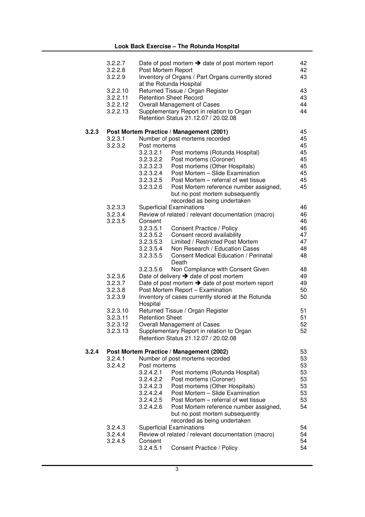|       | 3.2.2.7<br>3.2.2.8<br>3.2.2.9 | Post Mortem Report     | Date of post mortem $\rightarrow$ date of post mortem report<br>Inventory of Organs / Part Organs currently stored | 42<br>42<br>43 |
|-------|-------------------------------|------------------------|--------------------------------------------------------------------------------------------------------------------|----------------|
|       | 3.2.2.10                      |                        | at the Rotunda Hospital<br>Returned Tissue / Organ Register                                                        | 43             |
|       | 3.2.2.11                      |                        | <b>Retention Sheet Record</b>                                                                                      | 43             |
|       | 3.2.2.12                      |                        | Overall Management of Cases                                                                                        | 44             |
|       | 3.2.2.13                      |                        | Supplementary Report in relation to Organ<br>Retention Status 21.12.07 / 20.02.08                                  | 44             |
| 3.2.3 |                               |                        | Post Mortem Practice / Management (2001)                                                                           | 45             |
|       | 3.2.3.1                       |                        | Number of post mortems recorded                                                                                    | 45             |
|       | 3.2.3.2                       | Post mortems           |                                                                                                                    | 45             |
|       |                               | 3.2.3.2.1              | Post mortems (Rotunda Hospital)                                                                                    | 45             |
|       |                               | 3.2.3.2.2              | Post mortems (Coroner)                                                                                             | 45<br>45       |
|       |                               | 3.2.3.2.3<br>3.2.3.2.4 | Post mortems (Other Hospitals)<br>Post Mortem - Slide Examination                                                  | 45             |
|       |                               | 3.2.3.2.5              | Post Mortem – referral of wet tissue                                                                               | 45             |
|       |                               | 3.2.3.2.6              | Post Mortem reference number assigned,                                                                             | 45             |
|       |                               |                        | but no post mortem subsequently<br>recorded as being undertaken                                                    |                |
|       | 3.2.3.3                       |                        | <b>Superficial Examinations</b>                                                                                    | 46             |
|       | 3.2.3.4                       |                        | Review of related / relevant documentation (macro)                                                                 | 46             |
|       | 3.2.3.5                       | Consent<br>3.2.3.5.1   | Consent Practice / Policy                                                                                          | 46<br>46       |
|       |                               | 3.2.3.5.2              | Consent record availability                                                                                        | 47             |
|       |                               | 3.2.3.5.3              | Limited / Restricted Post Mortem                                                                                   | 47             |
|       |                               | 3.2.3.5.4              | Non Research / Education Cases                                                                                     | 48             |
|       |                               | 3.2.3.5.5              | <b>Consent Medical Education / Perinatal</b><br>Death                                                              | 48             |
|       |                               | 3.2.3.5.6              | Non Compliance with Consent Given                                                                                  | 48             |
|       | 3.2.3.6                       |                        | Date of delivery $\rightarrow$ date of post mortem                                                                 | 49             |
|       | 3.2.3.7                       |                        | Date of post mortem $\rightarrow$ date of post mortem report                                                       | 49<br>50       |
|       | 3.2.3.8<br>3.2.3.9            |                        | Post Mortem Report - Examination<br>Inventory of cases currently stored at the Rotunda                             | 50             |
|       |                               | Hospital               |                                                                                                                    |                |
|       | 3.2.3.10                      |                        | Returned Tissue / Organ Register                                                                                   | 51             |
|       | 3.2.3.11                      | <b>Retention Sheet</b> |                                                                                                                    | 51             |
|       | 3.2.3.12                      |                        | Overall Management of Cases                                                                                        | 52             |
|       | 3.2.3.13                      |                        | Supplementary Report in relation to Organ                                                                          | 52             |
|       |                               |                        | Retention Status 21.12.07 / 20.02.08                                                                               |                |
| 3.2.4 |                               |                        | Post Mortem Practice / Management (2002)                                                                           | 53             |
|       | 3.2.4.1                       |                        | Number of post mortems recorded                                                                                    | 53             |
|       | 3.2.4.2                       | Post mortems           |                                                                                                                    | 53             |
|       |                               | 3.2.4.2.1              | Post mortems (Rotunda Hospital)                                                                                    | 53             |
|       |                               | 3.2.4.2.2              | Post mortems (Coroner)                                                                                             | 53             |
|       |                               | 3.2.4.2.3<br>3.2.4.2.4 | Post mortems (Other Hospitals)<br>Post Mortem - Slide Examination                                                  | 53<br>53       |
|       |                               | 3.2.4.2.5              | Post Mortem - referral of wet tissue                                                                               | 53             |
|       |                               | 3.2.4.2.6              | Post Mortem reference number assigned,                                                                             | 54             |
|       |                               |                        | but no post mortem subsequently<br>recorded as being undertaken                                                    |                |
|       | 3.2.4.3                       |                        | <b>Superficial Examinations</b>                                                                                    | 54             |
|       | 3.2.4.4                       |                        | Review of related / relevant documentation (macro)                                                                 | 54             |
|       | 3.2.4.5                       | Consent                |                                                                                                                    | 54             |
|       |                               | 3.2.4.5.1              | <b>Consent Practice / Policy</b>                                                                                   | 54             |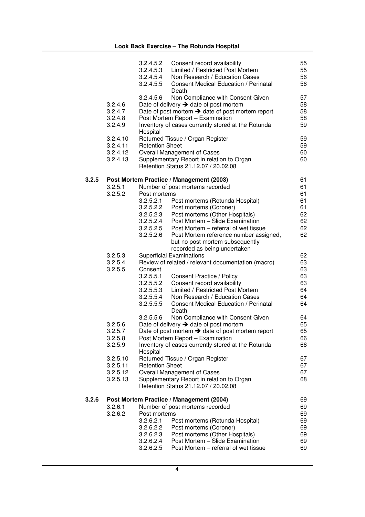|       |                                              | 3.2.4.5.2<br>3.2.4.5.3<br>3.2.4.5.4<br>3.2.4.5.5                                           | Consent record availability<br>Limited / Restricted Post Mortem<br>Non Research / Education Cases<br>Consent Medical Education / Perinatal<br>Death                                                                                                                                                                                | 55<br>55<br>56<br>56                               |
|-------|----------------------------------------------|--------------------------------------------------------------------------------------------|------------------------------------------------------------------------------------------------------------------------------------------------------------------------------------------------------------------------------------------------------------------------------------------------------------------------------------|----------------------------------------------------|
|       | 3.2.4.6<br>3.2.4.7<br>3.2.4.8<br>3.2.4.9     | 3.2.4.5.6<br>Hospital                                                                      | Non Compliance with Consent Given<br>Date of delivery $\rightarrow$ date of post mortem<br>Date of post mortem $\rightarrow$ date of post mortem report<br>Post Mortem Report - Examination<br>Inventory of cases currently stored at the Rotunda                                                                                  | 57<br>58<br>58<br>58<br>59                         |
|       | 3.2.4.10<br>3.2.4.11<br>3.2.4.12<br>3.2.4.13 | <b>Retention Sheet</b>                                                                     | Returned Tissue / Organ Register<br>Overall Management of Cases<br>Supplementary Report in relation to Organ<br>Retention Status 21.12.07 / 20.02.08                                                                                                                                                                               | 59<br>59<br>60<br>60                               |
| 3.2.5 | 3.2.5.1<br>3.2.5.2                           | Post mortems<br>3.2.5.2.1<br>3.2.5.2.2<br>3.2.5.2.3<br>3.2.5.2.4<br>3.2.5.2.5<br>3.2.5.2.6 | Post Mortem Practice / Management (2003)<br>Number of post mortems recorded<br>Post mortems (Rotunda Hospital)<br>Post mortems (Coroner)<br>Post mortems (Other Hospitals)<br>Post Mortem - Slide Examination<br>Post Mortem - referral of wet tissue<br>Post Mortem reference number assigned,<br>but no post mortem subsequently | 61<br>61<br>61<br>61<br>61<br>62<br>62<br>62<br>62 |
|       | 3.2.5.3<br>3.2.5.4<br>3.2.5.5                | Consent<br>3.2.5.5.1<br>3.2.5.5.2<br>3.2.5.5.3<br>3.2.5.5.4<br>3.2.5.5.5                   | recorded as being undertaken<br><b>Superficial Examinations</b><br>Review of related / relevant documentation (macro)<br>Consent Practice / Policy<br>Consent record availability<br>Limited / Restricted Post Mortem<br>Non Research / Education Cases<br><b>Consent Medical Education / Perinatal</b><br>Death                   | 62<br>63<br>63<br>63<br>63<br>64<br>64<br>64       |
|       | 3.2.5.6<br>3.2.5.7<br>3.2.5.8<br>3.2.5.9     | 3.2.5.5.6<br>Hospital                                                                      | Non Compliance with Consent Given<br>Date of delivery $\rightarrow$ date of post mortem<br>Date of post mortem $\rightarrow$ date of post mortem report<br>Post Mortem Report - Examination<br>Inventory of cases currently stored at the Rotunda                                                                                  | 64<br>65<br>65<br>66<br>66                         |
|       | 3.2.5.10<br>3.2.5.11<br>3.2.5.12<br>3.2.5.13 | <b>Retention Sheet</b>                                                                     | Returned Tissue / Organ Register<br>Overall Management of Cases<br>Supplementary Report in relation to Organ<br>Retention Status 21.12.07 / 20.02.08                                                                                                                                                                               | 67<br>67<br>67<br>68                               |
| 3.2.6 | 3.2.6.1<br>3.2.6.2                           | Post mortems<br>3.2.6.2.1<br>3.2.6.2.2<br>3.2.6.2.3<br>3.2.6.2.4<br>3.2.6.2.5              | Post Mortem Practice / Management (2004)<br>Number of post mortems recorded<br>Post mortems (Rotunda Hospital)<br>Post mortems (Coroner)<br>Post mortems (Other Hospitals)<br>Post Mortem - Slide Examination<br>Post Mortem - referral of wet tissue                                                                              | 69<br>69<br>69<br>69<br>69<br>69<br>69<br>69       |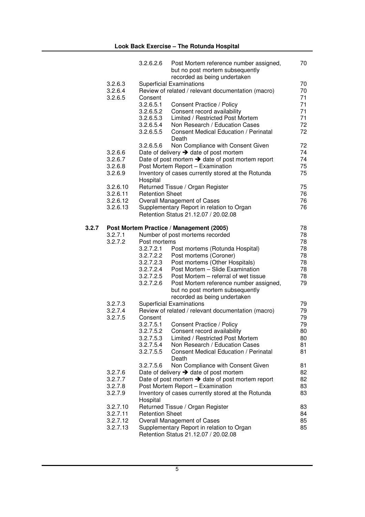|       |          | 3.2.6.2.6              | Post Mortem reference number assigned,<br>but no post mortem subsequently<br>recorded as being undertaken | 70 |
|-------|----------|------------------------|-----------------------------------------------------------------------------------------------------------|----|
|       | 3.2.6.3  |                        | <b>Superficial Examinations</b>                                                                           | 70 |
|       | 3.2.6.4  |                        | Review of related / relevant documentation (macro)                                                        | 70 |
|       | 3.2.6.5  | Consent                |                                                                                                           | 71 |
|       |          |                        |                                                                                                           |    |
|       |          | 3.2.6.5.1              | Consent Practice / Policy                                                                                 | 71 |
|       |          | 3.2.6.5.2              | Consent record availability                                                                               | 71 |
|       |          | 3.2.6.5.3              | Limited / Restricted Post Mortem                                                                          | 71 |
|       |          | 3.2.6.5.4              | Non Research / Education Cases                                                                            | 72 |
|       |          | 3.2.6.5.5              | <b>Consent Medical Education / Perinatal</b><br>Death                                                     | 72 |
|       |          | 3.2.6.5.6              | Non Compliance with Consent Given                                                                         | 72 |
|       | 3.2.6.6  |                        | Date of delivery $\rightarrow$ date of post mortem                                                        | 74 |
|       | 3.2.6.7  |                        | Date of post mortem $\rightarrow$ date of post mortem report                                              | 74 |
|       | 3.2.6.8  |                        | Post Mortem Report - Examination                                                                          | 75 |
|       | 3.2.6.9  | Hospital               | Inventory of cases currently stored at the Rotunda                                                        | 75 |
|       | 3.2.6.10 |                        | Returned Tissue / Organ Register                                                                          | 75 |
|       | 3.2.6.11 | <b>Retention Sheet</b> |                                                                                                           | 76 |
|       | 3.2.6.12 |                        | Overall Management of Cases                                                                               | 76 |
|       | 3.2.6.13 |                        | Supplementary Report in relation to Organ                                                                 | 76 |
|       |          |                        | Retention Status 21.12.07 / 20.02.08                                                                      |    |
| 3.2.7 |          |                        | Post Mortem Practice / Management (2005)                                                                  | 78 |
|       | 3.2.7.1  |                        | Number of post mortems recorded                                                                           | 78 |
|       | 3.2.7.2  | Post mortems           |                                                                                                           | 78 |
|       |          | 3.2.7.2.1              | Post mortems (Rotunda Hospital)                                                                           | 78 |
|       |          | 3.2.7.2.2              | Post mortems (Coroner)                                                                                    | 78 |
|       |          | 3.2.7.2.3              | Post mortems (Other Hospitals)                                                                            | 78 |
|       |          | 3.2.7.2.4              | Post Mortem - Slide Examination                                                                           | 78 |
|       |          | 3.2.7.2.5              | Post Mortem - referral of wet tissue                                                                      | 78 |
|       |          | 3.2.7.2.6              | Post Mortem reference number assigned,                                                                    | 79 |
|       |          |                        | but no post mortem subsequently<br>recorded as being undertaken                                           |    |
|       | 3.2.7.3  |                        | <b>Superficial Examinations</b>                                                                           | 79 |
|       | 3.2.7.4  |                        | Review of related / relevant documentation (macro)                                                        | 79 |
|       | 3.2.7.5  | Consent                |                                                                                                           | 79 |
|       |          | 3.2.7.5.1              | Consent Practice / Policy                                                                                 | 79 |
|       |          | 3.2.7.5.2              | Consent record availability                                                                               | 80 |
|       |          | 3.2.7.5.3              | Limited / Restricted Post Mortem                                                                          | 80 |
|       |          | 3.2.7.5.4              | Non Research / Education Cases                                                                            | 81 |
|       |          | 3.2.7.5.5              | <b>Consent Medical Education / Perinatal</b>                                                              | 81 |
|       |          |                        | Death                                                                                                     |    |
|       |          | 3.2.7.5.6              | Non Compliance with Consent Given                                                                         | 81 |
|       | 3.2.7.6  |                        | Date of delivery $\rightarrow$ date of post mortem                                                        | 82 |
|       | 3.2.7.7  |                        | Date of post mortem $\rightarrow$ date of post mortem report                                              | 82 |
|       | 3.2.7.8  |                        | Post Mortem Report - Examination                                                                          | 83 |
|       | 3.2.7.9  |                        | Inventory of cases currently stored at the Rotunda                                                        | 83 |
|       |          | Hospital               |                                                                                                           |    |
|       | 3.2.7.10 |                        | Returned Tissue / Organ Register                                                                          | 83 |
|       | 3.2.7.11 | <b>Retention Sheet</b> |                                                                                                           | 84 |
|       | 3.2.7.12 |                        | Overall Management of Cases                                                                               | 85 |
|       | 3.2.7.13 |                        | Supplementary Report in relation to Organ                                                                 | 85 |
|       |          |                        | Retention Status 21.12.07 / 20.02.08                                                                      |    |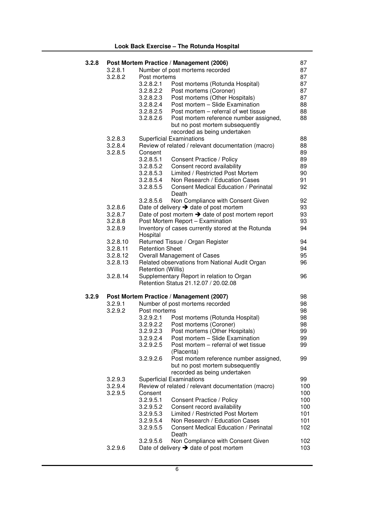| 3.2.8 |          |                        | Post Mortem Practice / Management (2006)                     | 87  |
|-------|----------|------------------------|--------------------------------------------------------------|-----|
|       | 3.2.8.1  |                        | Number of post mortems recorded                              | 87  |
|       | 3.2.8.2  | Post mortems           |                                                              | 87  |
|       |          | 3.2.8.2.1              | Post mortems (Rotunda Hospital)                              | 87  |
|       |          | 3.2.8.2.2              | Post mortems (Coroner)                                       | 87  |
|       |          | 3.2.8.2.3              | Post mortems (Other Hospitals)                               | 87  |
|       |          | 3.2.8.2.4              | Post mortem - Slide Examination                              | 88  |
|       |          | 3.2.8.2.5              | Post mortem – referral of wet tissue                         | 88  |
|       |          | 3.2.8.2.6              | Post mortem reference number assigned,                       | 88  |
|       |          |                        | but no post mortem subsequently                              |     |
|       |          |                        | recorded as being undertaken                                 |     |
|       | 3.2.8.3  |                        | <b>Superficial Examinations</b>                              | 88  |
|       | 3.2.8.4  |                        | Review of related / relevant documentation (macro)           | 88  |
|       | 3.2.8.5  | Consent                |                                                              | 89  |
|       |          | 3.2.8.5.1              | Consent Practice / Policy                                    | 89  |
|       |          | 3.2.8.5.2              | Consent record availability                                  | 89  |
|       |          | 3.2.8.5.3              | Limited / Restricted Post Mortem                             | 90  |
|       |          | 3.2.8.5.4              | Non Research / Education Cases                               | 91  |
|       |          | 3.2.8.5.5              | <b>Consent Medical Education / Perinatal</b>                 | 92  |
|       |          |                        | Death                                                        |     |
|       |          | 3.2.8.5.6              | Non Compliance with Consent Given                            | 92  |
|       | 3.2.8.6  |                        | Date of delivery $\rightarrow$ date of post mortem           | 93  |
|       | 3.2.8.7  |                        | Date of post mortem $\rightarrow$ date of post mortem report | 93  |
|       | 3.2.8.8  |                        | Post Mortem Report - Examination                             | 93  |
|       | 3.2.8.9  |                        | Inventory of cases currently stored at the Rotunda           | 94  |
|       |          | Hospital               |                                                              |     |
|       | 3.2.8.10 |                        | Returned Tissue / Organ Register                             | 94  |
|       |          | <b>Retention Sheet</b> |                                                              | 94  |
|       | 3.2.8.11 |                        |                                                              |     |
|       | 3.2.8.12 |                        | Overall Management of Cases                                  | 95  |
|       | 3.2.8.13 |                        | Related observations from National Audit Organ               | 96  |
|       |          | Retention (Willis)     |                                                              |     |
|       | 3.2.8.14 |                        | Supplementary Report in relation to Organ                    | 96  |
|       |          |                        | Retention Status 21.12.07 / 20.02.08                         |     |
| 3.2.9 |          |                        | Post Mortem Practice / Management (2007)                     | 98  |
|       | 3.2.9.1  |                        | Number of post mortems recorded                              | 98  |
|       | 3.2.9.2  | Post mortems           |                                                              | 98  |
|       |          | 3.2.9.2.1              | Post mortems (Rotunda Hospital)                              | 98  |
|       |          | 3.2.9.2.2              | Post mortems (Coroner)                                       | 98  |
|       |          | 3.2.9.2.3              | Post mortems (Other Hospitals)                               | 99  |
|       |          | 3.2.9.2.4              | Post mortem - Slide Examination                              | 99  |
|       |          | 3.2.9.2.5              | Post mortem – referral of wet tissue                         | 99  |
|       |          |                        | (Placenta)                                                   |     |
|       |          | 3.2.9.2.6              | Post mortem reference number assigned,                       | 99  |
|       |          |                        | but no post mortem subsequently                              |     |
|       |          |                        | recorded as being undertaken                                 |     |
|       | 3.2.9.3  |                        | <b>Superficial Examinations</b>                              | 99  |
|       | 3.2.9.4  |                        | Review of related / relevant documentation (macro)           | 100 |
|       | 3.2.9.5  | Consent                |                                                              | 100 |
|       |          | 3.2.9.5.1              | <b>Consent Practice / Policy</b>                             | 100 |
|       |          |                        | Consent record availability                                  |     |
|       |          | 3.2.9.5.2              | Limited / Restricted Post Mortem                             | 100 |
|       |          | 3.2.9.5.3              |                                                              | 101 |
|       |          | 3.2.9.5.4              | Non Research / Education Cases                               | 101 |
|       |          | 3.2.9.5.5              | <b>Consent Medical Education / Perinatal</b>                 | 102 |
|       |          |                        | Death                                                        |     |
|       |          | 3.2.9.5.6              | Non Compliance with Consent Given                            | 102 |
|       | 3.2.9.6  |                        | Date of delivery $\rightarrow$ date of post mortem           | 103 |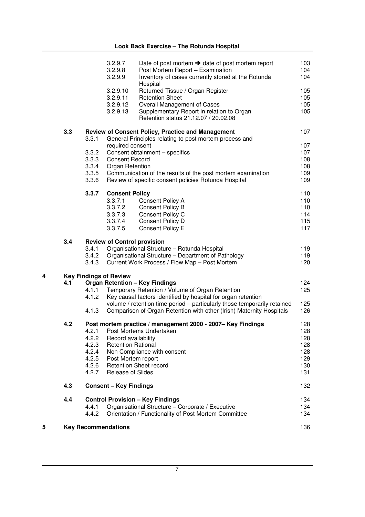|   |     |                | 3.2.9.7<br>3.2.9.8<br>3.2.9.9      | Date of post mortem $\rightarrow$ date of post mortem report<br>Post Mortem Report - Examination<br>Inventory of cases currently stored at the Rotunda<br>Hospital | 103<br>104<br>104 |
|---|-----|----------------|------------------------------------|--------------------------------------------------------------------------------------------------------------------------------------------------------------------|-------------------|
|   |     |                | 3.2.9.10                           | Returned Tissue / Organ Register                                                                                                                                   | 105               |
|   |     |                | 3.2.9.11<br>3.2.9.12               | <b>Retention Sheet</b>                                                                                                                                             | 105               |
|   |     |                | 3.2.9.13                           | Overall Management of Cases<br>Supplementary Report in relation to Organ<br>Retention status 21.12.07 / 20.02.08                                                   | 105<br>105        |
|   | 3.3 | 3.3.1          |                                    | Review of Consent Policy, Practice and Management<br>General Principles relating to post mortem process and                                                        | 107               |
|   |     |                | required consent                   |                                                                                                                                                                    | 107               |
|   |     | 3.3.2          |                                    | Consent obtainment - specifics                                                                                                                                     | 107               |
|   |     | 3.3.3          | <b>Consent Record</b>              |                                                                                                                                                                    | 108               |
|   |     | 3.3.4<br>3.3.5 | Organ Retention                    | Communication of the results of the post mortem examination                                                                                                        | 108<br>109        |
|   |     | 3.3.6          |                                    | Review of specific consent policies Rotunda Hospital                                                                                                               | 109               |
|   |     | 3.3.7          | <b>Consent Policy</b>              |                                                                                                                                                                    | 110               |
|   |     |                | 3.3.7.1                            | Consent Policy A                                                                                                                                                   | 110               |
|   |     |                | 3.3.7.2                            | <b>Consent Policy B</b>                                                                                                                                            | 110               |
|   |     |                | 3.3.7.3<br>3.3.7.4                 | Consent Policy C<br>Consent Policy D                                                                                                                               | 114<br>115        |
|   |     |                | 3.3.7.5                            | <b>Consent Policy E</b>                                                                                                                                            | 117               |
|   | 3.4 |                | <b>Review of Control provision</b> |                                                                                                                                                                    |                   |
|   |     |                |                                    |                                                                                                                                                                    |                   |
|   |     | 3.4.1          |                                    | Organisational Structure - Rotunda Hospital                                                                                                                        | 119               |
|   |     | 3.4.2          |                                    | Organisational Structure - Department of Pathology                                                                                                                 | 119               |
|   |     | 3.4.3          |                                    | Current Work Process / Flow Map - Post Mortem                                                                                                                      | 120               |
| 4 |     |                | <b>Key Findings of Review</b>      |                                                                                                                                                                    |                   |
|   | 4.1 |                |                                    | <b>Organ Retention - Key Findings</b>                                                                                                                              | 124               |
|   |     | 4.1.1<br>4.1.2 |                                    | Temporary Retention / Volume of Organ Retention<br>Key causal factors identified by hospital for organ retention                                                   | 125               |
|   |     | 4.1.3          |                                    | volume / retention time period - particularly those temporarily retained<br>Comparison of Organ Retention with other (Irish) Maternity Hospitals                   | 125<br>126        |
|   | 4.2 |                |                                    | Post mortem practice / management 2000 - 2007- Key Findings                                                                                                        | 128               |
|   |     | 4.2.1          |                                    | Post Mortems Undertaken                                                                                                                                            | 128               |
|   |     | 4.2.2          | Record availability                |                                                                                                                                                                    | 128               |
|   |     | 4.2.3          | <b>Retention Rational</b>          |                                                                                                                                                                    | 128               |
|   |     | 4.2.4          |                                    | Non Compliance with consent                                                                                                                                        | 128               |
|   |     | 4.2.5          | Post Mortem report                 |                                                                                                                                                                    | 129               |
|   |     | 4.2.6<br>4.2.7 | <b>Release of Slides</b>           | <b>Retention Sheet record</b>                                                                                                                                      | 130<br>131        |
|   | 4.3 |                | <b>Consent - Key Findings</b>      |                                                                                                                                                                    | 132               |
|   | 4.4 |                |                                    | <b>Control Provision - Key Findings</b>                                                                                                                            | 134               |
|   |     | 4.4.1          |                                    | Organisational Structure - Corporate / Executive                                                                                                                   | 134               |
|   |     | 4.4.2          |                                    | Orientation / Functionality of Post Mortem Committee                                                                                                               | 134               |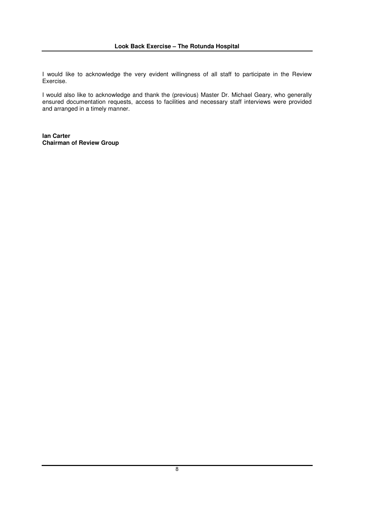I would like to acknowledge the very evident willingness of all staff to participate in the Review Exercise.

I would also like to acknowledge and thank the (previous) Master Dr. Michael Geary, who generally ensured documentation requests, access to facilities and necessary staff interviews were provided and arranged in a timely manner.

**Ian Carter Chairman of Review Group**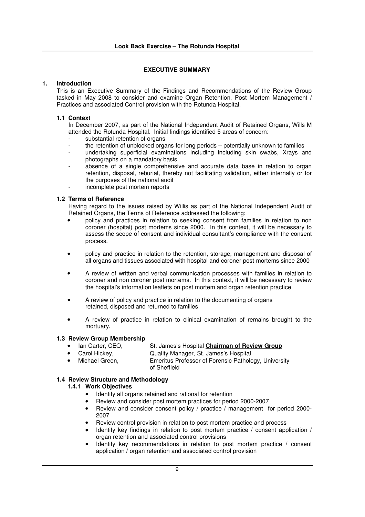## **1. Introduction**

This is an Executive Summary of the Findings and Recommendations of the Review Group tasked in May 2008 to consider and examine Organ Retention, Post Mortem Management / Practices and associated Control provision with the Rotunda Hospital.

## **1.1 Context**

In December 2007, as part of the National Independent Audit of Retained Organs, Wills M attended the Rotunda Hospital. Initial findings identified 5 areas of concern:

- substantial retention of organs
- the retention of unblocked organs for long periods potentially unknown to families
- undertaking superficial examinations including including skin swabs, Xrays and photographs on a mandatory basis
- absence of a single comprehensive and accurate data base in relation to organ retention, disposal, reburial, thereby not facilitating validation, either internally or for the purposes of the national audit
- incomplete post mortem reports

# **1.2 Terms of Reference**

Having regard to the issues raised by Willis as part of the National Independent Audit of Retained Organs, the Terms of Reference addressed the following:

- policy and practices in relation to seeking consent from families in relation to non coroner (hospital) post mortems since 2000. In this context, it will be necessary to assess the scope of consent and individual consultant's compliance with the consent process.
- policy and practice in relation to the retention, storage, management and disposal of all organs and tissues associated with hospital and coroner post mortems since 2000
- A review of written and verbal communication processes with families in relation to coroner and non coroner post mortems. In this context, it will be necessary to review the hospital's information leaflets on post mortem and organ retention practice
- A review of policy and practice in relation to the documenting of organs retained, disposed and returned to families
- A review of practice in relation to clinical examination of remains brought to the mortuary.

## **1.3 Review Group Membership**

- Ian Carter, CEO, St. James's Hospital **Chairman of Review Group**
	- Carol Hickey, Quality Manager, St. James's Hospital
- Michael Green, Emeritus Professor of Forensic Pathology, University of Sheffield

# **1.4 Review Structure and Methodology**

## **1.4.1 Work Objectives**

- Identify all organs retained and rational for retention
- Review and consider post mortem practices for period 2000-2007
- Review and consider consent policy / practice / management for period 2000- 2007
- Review control provision in relation to post mortem practice and process
- Identify key findings in relation to post mortem practice / consent application / organ retention and associated control provisions
- Identify key recommendations in relation to post mortem practice / consent application / organ retention and associated control provision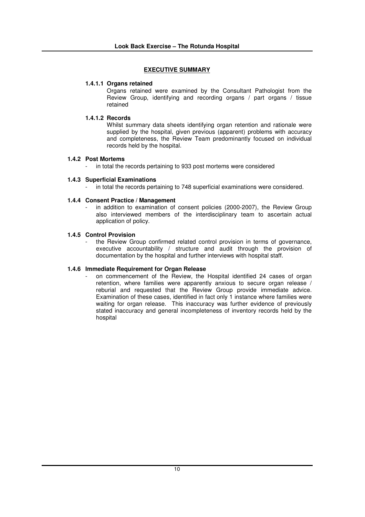## **1.4.1.1 Organs retained**

Organs retained were examined by the Consultant Pathologist from the Review Group, identifying and recording organs / part organs / tissue retained

## **1.4.1.2 Records**

Whilst summary data sheets identifying organ retention and rationale were supplied by the hospital, given previous (apparent) problems with accuracy and completeness, the Review Team predominantly focused on individual records held by the hospital.

## **1.4.2 Post Mortems**

- in total the records pertaining to 933 post mortems were considered

## **1.4.3 Superficial Examinations**

in total the records pertaining to 748 superficial examinations were considered.

## **1.4.4 Consent Practice / Management**

in addition to examination of consent policies (2000-2007), the Review Group also interviewed members of the interdisciplinary team to ascertain actual application of policy.

## **1.4.5 Control Provision**

the Review Group confirmed related control provision in terms of governance, executive accountability / structure and audit through the provision of documentation by the hospital and further interviews with hospital staff.

## **1.4.6 Immediate Requirement for Organ Release**

on commencement of the Review, the Hospital identified 24 cases of organ retention, where families were apparently anxious to secure organ release / reburial and requested that the Review Group provide immediate advice. Examination of these cases, identified in fact only 1 instance where families were waiting for organ release. This inaccuracy was further evidence of previously stated inaccuracy and general incompleteness of inventory records held by the hospital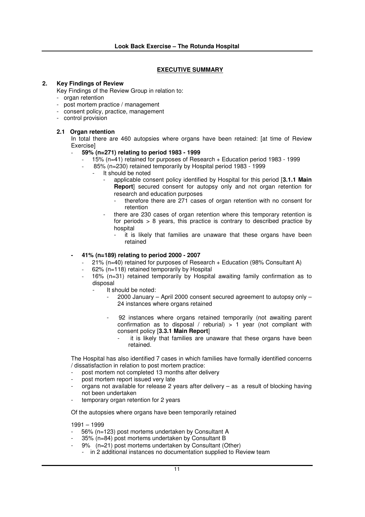## **2. Key Findings of Review**

Key Findings of the Review Group in relation to:

- organ retention
- post mortem practice / management
- consent policy, practice, management
- control provision

## **2.1 Organ retention**

In total there are 460 autopsies where organs have been retained: [at time of Review Exercise]

- **59% (n=271) relating to period 1983 - 1999**
	- 15% (n=41) retained for purposes of Research + Education period 1983 1999
	- 85% (n=230) retained temporarily by Hospital period 1983 1999
		- It should be noted
			- applicable consent policy identified by Hospital for this period [**3.1.1 Main Report**] secured consent for autopsy only and not organ retention for research and education purposes
				- therefore there are 271 cases of organ retention with no consent for retention
			- there are 230 cases of organ retention where this temporary retention is for periods > 8 years, this practice is contrary to described practice by hospital
				- it is likely that families are unaware that these organs have been retained

## **- 41% (n=189) relating to period 2000 - 2007**

- 21% (n=40) retained for purposes of Research + Education (98% Consultant A)
- 62% (n=118) retained temporarily by Hospital
	- 16% (n=31) retained temporarily by Hospital awaiting family confirmation as to disposal
		- It should be noted:
			- 2000 January April 2000 consent secured agreement to autopsy only 24 instances where organs retained
			- 92 instances where organs retained temporarily (not awaiting parent confirmation as to disposal / reburial)  $> 1$  year (not compliant with consent policy [**3.3.1 Main Report**]
				- it is likely that families are unaware that these organs have been retained.

The Hospital has also identified 7 cases in which families have formally identified concerns / dissatisfaction in relation to post mortem practice:

- post mortem not completed 13 months after delivery
- post mortem report issued very late
- organs not available for release 2 years after delivery as a result of blocking having not been undertaken
- temporary organ retention for 2 years

Of the autopsies where organs have been temporarily retained

1991 – 1999

- 56% (n=123) post mortems undertaken by Consultant A
- 35% (n=84) post mortems undertaken by Consultant B
- 9% (n=21) post mortems undertaken by Consultant (Other)
	- in 2 additional instances no documentation supplied to Review team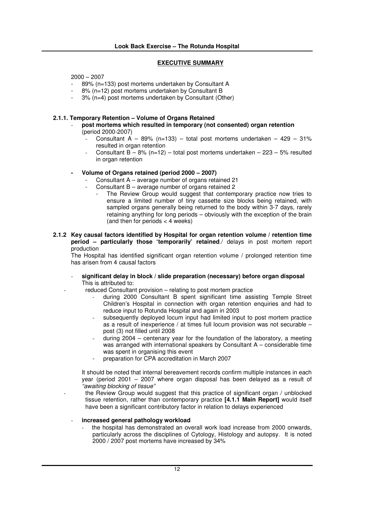2000 – 2007

- 89% (n=133) post mortems undertaken by Consultant A
- 8% (n=12) post mortems undertaken by Consultant B
- 3% (n=4) post mortems undertaken by Consultant (Other)

#### **2.1.1. Temporary Retention – Volume of Organs Retained**

- **post mortems which resulted in temporary (not consented) organ retention** (period 2000-2007)
	- Consultant  $A 89\%$  (n=133) total post mortems undertaken 429 31% resulted in organ retention
	- Consultant  $B 8%$  (n=12) total post mortems undertaken 223 5% resulted in organ retention

#### **- Volume of Organs retained (period 2000 – 2007)**

- Consultant A average number of organs retained 21
- Consultant  $B$  average number of organs retained 2
	- The Review Group would suggest that contemporary practice now tries to ensure a limited number of tiny cassette size blocks being retained, with sampled organs generally being returned to the body within 3-7 days, rarely retaining anything for long periods – obviously with the exception of the brain (and then for periods < 4 weeks)
- **2.1.2 Key causal factors identified by Hospital for organ retention volume / retention time period – particularly those 'temporarily' retained**./ delays in post mortem report production

The Hospital has identified significant organ retention volume / prolonged retention time has arisen from 4 causal factors

- **significant delay in block / slide preparation (necessary) before organ disposal** This is attributed to:
	- reduced Consultant provision relating to post mortem practice
		- during 2000 Consultant B spent significant time assisting Temple Street Children's Hospital in connection with organ retention enquiries and had to reduce input to Rotunda Hospital and again in 2003
		- subsequently deployed locum input had limited input to post mortem practice as a result of inexperience / at times full locum provision was not securable – post (3) not filled until 2008
		- during 2004 centenary year for the foundation of the laboratory, a meeting was arranged with international speakers by Consultant A – considerable time was spent in organising this event
		- preparation for CPA accreditation in March 2007

It should be noted that internal bereavement records confirm multiple instances in each year (period 2001 – 2007 where organ disposal has been delayed as a result of *"awaiting blocking of tissue"*

the Review Group would suggest that this practice of significant organ / unblocked tissue retention, rather than contemporary practice **[4.1.1 Main Report]** would itself have been a significant contributory factor in relation to delays experienced

- **increased general pathology workload**

- the hospital has demonstrated an overall work load increase from 2000 onwards, particularly across the disciplines of Cytology, Histology and autopsy. It is noted 2000 / 2007 post mortems have increased by 34%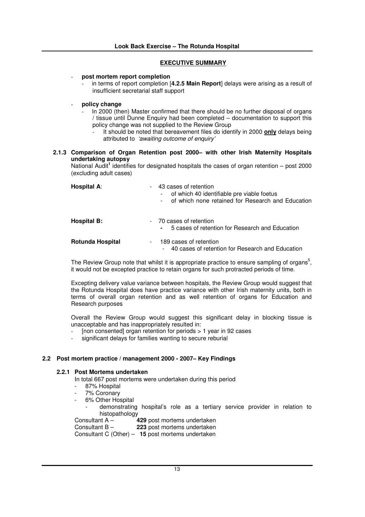## - **post mortem report completion**

- in terms of report completion [**4.2.5 Main Report**] delays were arising as a result of insufficient secretarial staff support

# - **policy change**

- In 2000 (then) Master confirmed that there should be no further disposal of organs  $/$  tissue until Dunne Enquiry had been completed – documentation to support this policy change was not supplied to the Review Group
	- It should be noted that bereavement files do identify in 2000 **only** delays being attributed to *'awaiting outcome of enquiry'*

## **2.1.3 Comparison of Organ Retention post 2000– with other Irish Maternity Hospitals undertaking autopsy**

National Audit<sup>1</sup> identifies for designated hospitals the cases of organ retention - post 2000 (excluding adult cases)

| Hospital A:<br>$-$            | 43 cases of retention<br>of which 40 identifiable pre viable foetus<br>of which none retained for Research and Education |
|-------------------------------|--------------------------------------------------------------------------------------------------------------------------|
| <b>Hospital B:</b>            | - 70 cases of retention<br>5 cases of retention for Research and Education                                               |
| <b>Rotunda Hospital</b><br>۰. | 189 cases of retention<br>40 cases of retention for Research and Education<br>$\sim$                                     |

The Review Group note that whilst it is appropriate practice to ensure sampling of organs<sup>5</sup>, it would not be excepted practice to retain organs for such protracted periods of time.

Excepting delivery value variance between hospitals, the Review Group would suggest that the Rotunda Hospital does have practice variance with other Irish maternity units, both in terms of overall organ retention and as well retention of organs for Education and Research purposes

Overall the Review Group would suggest this significant delay in blocking tissue is unacceptable and has inappropriately resulted in:

- [non consented] organ retention for periods > 1 year in 92 cases
- significant delays for families wanting to secure reburial

## **2.2 Post mortem practice / management 2000 - 2007– Key Findings**

## **2.2.1 Post Mortems undertaken**

In total 667 post mortems were undertaken during this period

- 87% Hospital
- 7% Coronary
- 6% Other Hospital
- demonstrating hospital's role as a tertiary service provider in relation to histopathology<br>4 Consultant A -

**429** post mortems undertaken

Consultant B – **223** post mortems undertaken Consultant C (Other) – **15** post mortems undertaken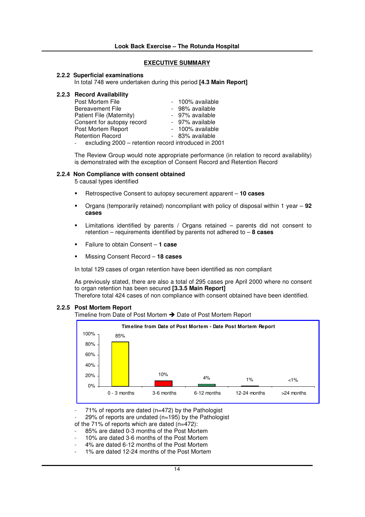#### **2.2.2 Superficial examinations**

In total 748 were undertaken during this period **[4.3 Main Report]**

|  | 2.2.3 Record Availability |  |  |  |
|--|---------------------------|--|--|--|
|--|---------------------------|--|--|--|

| Post Mortem File                                     | - 100% available |
|------------------------------------------------------|------------------|
| <b>Bereavement File</b>                              | - 98% available  |
| Patient File (Maternity)                             | - 97% available  |
| Consent for autopsy record                           | - 97% available  |
| Post Mortem Report                                   | - 100% available |
| <b>Retention Record</b>                              | - 83% available  |
| excluding 2000 - retention record introduced in 2001 |                  |

The Review Group would note appropriate performance (in relation to record availability) is demonstrated with the exception of Consent Record and Retention Record

#### **2.2.4 Non Compliance with consent obtained**

5 causal types identified

- -Retrospective Consent to autopsy securement apparent – **10 cases**
- - Organs (temporarily retained) noncompliant with policy of disposal within 1 year – **92 cases**
- - Limitations identified by parents / Organs retained – parents did not consent to retention – requirements identified by parents not adhered to – **8 cases**
- -Failure to obtain Consent – **1 case**
- -Missing Consent Record – **18 cases**

In total 129 cases of organ retention have been identified as non compliant

As previously stated, there are also a total of 295 cases pre April 2000 where no consent to organ retention has been secured **[3.3.5 Main Report]**

Therefore total 424 cases of non compliance with consent obtained have been identified.

## **2.2.5 Post Mortem Report**

Timeline from Date of Post Mortem → Date of Post Mortem Report



 $71\%$  of reports are dated (n=472) by the Pathologist

29% of reports are undated ( $n=195$ ) by the Pathologist

of the 71% of reports which are dated (n=472):

- 85% are dated 0-3 months of the Post Mortem
- 10% are dated 3-6 months of the Post Mortem
- 4% are dated 6-12 months of the Post Mortem
- 1% are dated 12-24 months of the Post Mortem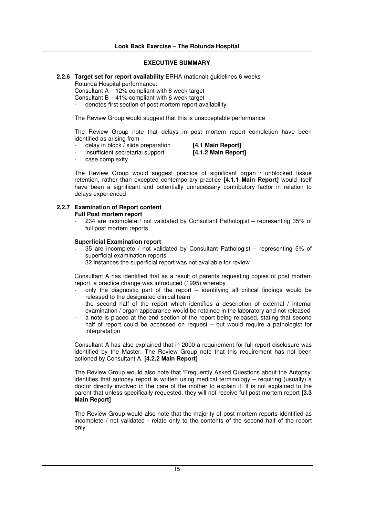# **2.2.6 Target set for report availability** ERHA (national) guidelines 6 weeks

Rotunda Hospital performance:

Consultant  $A - 12$ % compliant with 6 week target

Consultant  $B - 41\%$  compliant with 6 week target

denotes first section of post mortem report availability

The Review Group would suggest that this is unacceptable performance

The Review Group note that delays in post mortem report completion have been identified as arising from

- delay in block / slide preparation **[4.1 Main Report]**

- insufficient secretarial support **[4.1.2 Main Report]**

case complexitv

The Review Group would suggest practice of significant organ / unblocked tissue retention, rather than excepted contemporary practice **[4.1.1 Main Report]** would itself have been a significant and potentially unnecessary contributory factor in relation to delays experienced

# **2.2.7 Examination of Report content**

# **Full Post mortem report**

- 234 are incomplete / not validated by Consultant Pathologist – representing 35% of full post mortem reports

## **Superficial Examination report**

- 35 are incomplete / not validated by Consultant Pathologist representing  $5\%$  of superficial examination reports
- 32 instances the superficial report was not available for review

Consultant A has identified that as a result of parents requesting copies of post mortem report, a practice change was introduced (1995) whereby

- only the diagnostic part of the report identifying all critical findings would be released to the designated clinical team
- the second half of the report which identifies a description of external / internal examination / organ appearance would be retained in the laboratory and not released
- a note is placed at the end section of the report being released, stating that second half of report could be accessed on request – but would require a pathologist for interpretation

Consultant A has also explained that in 2000 a requirement for full report disclosure was identified by the Master. The Review Group note that this requirement has not been actioned by Consultant A. **[4.2.2 Main Report]**

The Review Group would also note that 'Frequently Asked Questions about the Autopsy' identifies that autopsy report is written using medical terminology – requiring (usually) a doctor directly involved in the care of the mother to explain it. It is not explained to the parent that unless specifically requested, they will not receive full post mortem report **[3.3 Main Report]**

The Review Group would also note that the majority of post mortem reports identified as incomplete / not validated - relate only to the contents of the second half of the report only.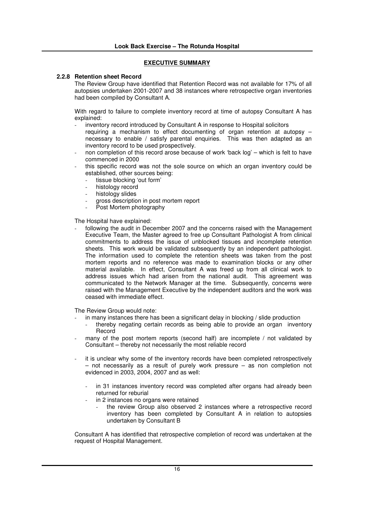## **2.2.8 Retention sheet Record**

The Review Group have identified that Retention Record was not available for 17% of all autopsies undertaken 2001-2007 and 38 instances where retrospective organ inventories had been compiled by Consultant A.

With regard to failure to complete inventory record at time of autopsy Consultant A has explained:

- inventory record introduced by Consultant A in response to Hospital solicitors requiring a mechanism to effect documenting of organ retention at autopsy – necessary to enable / satisfy parental enquiries. This was then adapted as an inventory record to be used prospectively.
- non completion of this record arose because of work 'back log' which is felt to have commenced in 2000
- this specific record was not the sole source on which an organ inventory could be established, other sources being:
	- tissue blocking 'out form'
	- histology record
	- histology slides
	- gross description in post mortem report
	- Post Mortem photography

The Hospital have explained:

following the audit in December 2007 and the concerns raised with the Management Executive Team, the Master agreed to free up Consultant Pathologist A from clinical commitments to address the issue of unblocked tissues and incomplete retention sheets. This work would be validated subsequently by an independent pathologist. The information used to complete the retention sheets was taken from the post mortem reports and no reference was made to examination blocks or any other material available. In effect, Consultant A was freed up from all clinical work to address issues which had arisen from the national audit. This agreement was communicated to the Network Manager at the time. Subsequently, concerns were raised with the Management Executive by the independent auditors and the work was ceased with immediate effect.

The Review Group would note:

- in many instances there has been a significant delay in blocking  $/$  slide production
	- thereby negating certain records as being able to provide an organ inventory Record
- many of the post mortem reports (second half) are incomplete / not validated by Consultant – thereby not necessarily the most reliable record
- it is unclear why some of the inventory records have been completed retrospectively – not necessarily as a result of purely work pressure – as non completion not evidenced in 2003, 2004, 2007 and as well:
	- in 31 instances inventory record was completed after organs had already been returned for reburial
	- in 2 instances no organs were retained
		- the review Group also observed 2 instances where a retrospective record inventory has been completed by Consultant A in relation to autopsies undertaken by Consultant B

Consultant A has identified that retrospective completion of record was undertaken at the request of Hospital Management.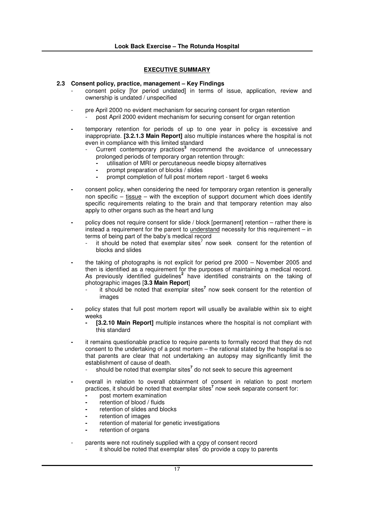## **2.3 Consent policy, practice, management – Key Findings**

- consent policy [for period undated] in terms of issue, application, review and ownership is undated / unspecified
- pre April 2000 no evident mechanism for securing consent for organ retention post April 2000 evident mechanism for securing consent for organ retention
- **-** temporary retention for periods of up to one year in policy is excessive and inappropriate. **[3.2.1.3 Main Report]** also multiple instances where the hospital is not even in compliance with this limited standard
	- Current contemporary practices<sup>3</sup> recommend the avoidance of unnecessary prolonged periods of temporary organ retention through:
		- **-** utilisation of MRI or percutaneous needle biopsy alternatives
		- **-** prompt preparation of blocks / slides
		- **-** prompt completion of full post mortem report target 6 weeks
- **-** consent policy, when considering the need for temporary organ retention is generally non specific – tissue – with the exception of support document which does identify specific requirements relating to the brain and that temporary retention may also apply to other organs such as the heart and lung
- **-** policy does not require consent for slide / block [permanent] retention rather there is instead a requirement for the parent to understand necessity for this requirement – in terms of being part of the baby's medical record
	- it should be noted that exemplar sites<sup>7</sup> now seek consent for the retention of blocks and slides
- **-** the taking of photographs is not explicit for period pre 2000 November 2005 and then is identified as a requirement for the purposes of maintaining a medical record. As previously identified guidelines<sup>2</sup> have identified constraints on the taking of photographic images [**3.3 Main Report**]
	- it should be noted that exemplar sites **7** now seek consent for the retention of images
- **-** policy states that full post mortem report will usually be available within six to eight weeks
	- **- [3.2.10 Main Report]** multiple instances where the hospital is not compliant with this standard
- **-** it remains questionable practice to require parents to formally record that they do not consent to the undertaking of a post mortem – the rational stated by the hospital is so that parents are clear that not undertaking an autopsy may significantly limit the establishment of cause of death.
	- should be noted that exemplar sites **7** do not seek to secure this agreement
- **-** overall in relation to overall obtainment of consent in relation to post mortem practices, it should be noted that exemplar sites **7** now seek separate consent for:
	- **-** post mortem examination
	- **-** retention of blood / fluids
	- **-** retention of slides and blocks
	- **-** retention of images
	- **-** retention of material for genetic investigations
	- **-** retention of organs
- parents were not routinely supplied with a copy of consent record
	- <sup>1</sup> it should be noted that exemplar sites<sup>7</sup> do provide a copy to parents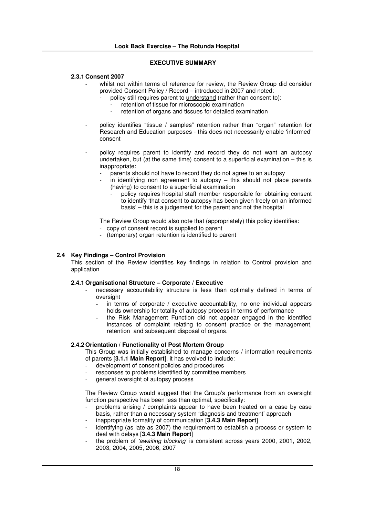## **2.3.1 Consent 2007**

- whilst not within terms of reference for review, the Review Group did consider provided Consent Policy / Record – introduced in 2007 and noted:
	- policy still requires parent to understand (rather than consent to):
	- retention of tissue for microscopic examination<br>retention of organs and tissues for detailed exam
	- retention of organs and tissues for detailed examination
- policy identifies "tissue / samples" retention rather than "organ" retention for Research and Education purposes - this does not necessarily enable 'informed' consent
- policy requires parent to identify and record they do not want an autopsy undertaken, but (at the same time) consent to a superficial examination – this is inappropriate:
	- parents should not have to record they do not agree to an autopsy
	- $\overline{a}$  in identifying non agreement to autopsy this should not place parents (having) to consent to a superficial examination
		- policy requires hospital staff member responsible for obtaining consent to identify 'that consent to autopsy has been given freely on an informed basis' – this is a judgement for the parent and not the hospital

The Review Group would also note that (appropriately) this policy identifies:

- copy of consent record is supplied to parent
- (temporary) organ retention is identified to parent

## **2.4 Key Findings – Control Provision**

This section of the Review identifies key findings in relation to Control provision and application

## **2.4.1 Organisational Structure – Corporate / Executive**

- necessary accountability structure is less than optimally defined in terms of oversight
	- in terms of corporate / executive accountability, no one individual appears holds ownership for totality of autopsy process in terms of performance
	- the Risk Management Function did not appear engaged in the identified instances of complaint relating to consent practice or the management, retention and subsequent disposal of organs.

## **2.4.2 Orientation / Functionality of Post Mortem Group**

This Group was initially established to manage concerns / information requirements of parents [**3.1.1 Main Report**], it has evolved to include:

- development of consent policies and procedures
- responses to problems identified by committee members
- general oversight of autopsy process

The Review Group would suggest that the Group's performance from an oversight function perspective has been less than optimal, specifically:

- problems arising / complaints appear to have been treated on a case by case basis, rather than a necessary system 'diagnosis and treatment' approach
- inappropriate formality of communication [**3.4.3 Main Report**]
- identifying (as late as 2007) the requirement to establish a process or system to deal with delays [**3.4.3 Main Report**]
- the problem of *'awaiting blocking'* is consistent across years 2000, 2001, 2002, 2003, 2004, 2005, 2006, 2007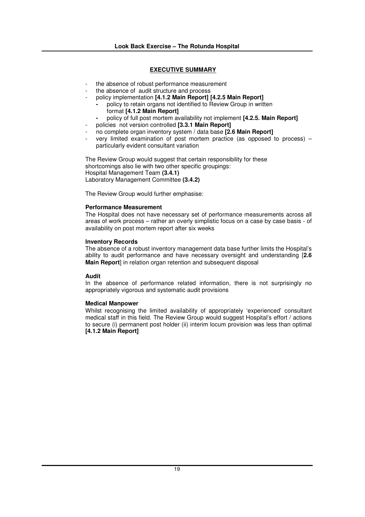- the absence of robust performance measurement
- the absence of audit structure and process
- policy implementation **[4.1.2 Main Report] [4.2.5 Main Report]**
	- **-** policy to retain organs not identified to Review Group in written format **[4.1.2 Main Report]**
	- **-** policy of full post mortem availability not implement **[4.2.5. Main Report]**
	- policies not version controlled **[3.3.1 Main Report]**
- no complete organ inventory system / data base **[2.6 Main Report]**
- very limited examination of post mortem practice (as opposed to process) particularly evident consultant variation

The Review Group would suggest that certain responsibility for these shortcomings also lie with two other specific groupings: Hospital Management Team **(3.4.1)** Laboratory Management Committee **(3.4.2)**

The Review Group would further emphasise:

#### **Performance Measurement**

The Hospital does not have necessary set of performance measurements across all areas of work process – rather an overly simplistic focus on a case by case basis - of availability on post mortem report after six weeks

#### **Inventory Records**

The absence of a robust inventory management data base further limits the Hospital's ability to audit performance and have necessary oversight and understanding [**2.6 Main Report** in relation organ retention and subsequent disposal

## **Audit**

In the absence of performance related information, there is not surprisingly no appropriately vigorous and systematic audit provisions

## **Medical Manpower**

Whilst recognising the limited availability of appropriately 'experienced' consultant medical staff in this field. The Review Group would suggest Hospital's effort / actions to secure (i) permanent post holder (ii) interim locum provision was less than optimal **[4.1.2 Main Report]**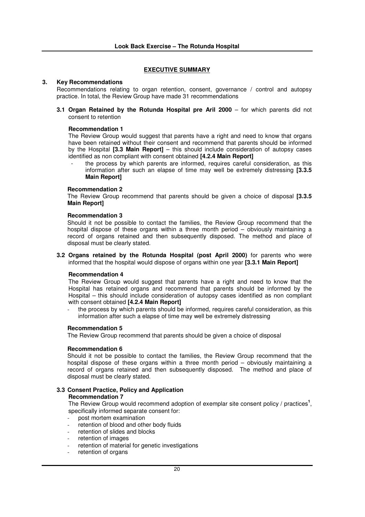#### **3. Key Recommendations**

Recommendations relating to organ retention, consent, governance / control and autopsy practice. In total, the Review Group have made 31 recommendations

**3.1 Organ Retained by the Rotunda Hospital pre Aril 2000** – for which parents did not consent to retention

#### **Recommendation 1**

The Review Group would suggest that parents have a right and need to know that organs have been retained without their consent and recommend that parents should be informed by the Hospital **[3.3 Main Report]** – this should include consideration of autopsy cases identified as non compliant with consent obtained **[4.2.4 Main Report]**

the process by which parents are informed, requires careful consideration, as this information after such an elapse of time may well be extremely distressing **[3.3.5 Main Report]**

#### **Recommendation 2**

The Review Group recommend that parents should be given a choice of disposal **[3.3.5 Main Report]**

#### **Recommendation 3**

Should it not be possible to contact the families, the Review Group recommend that the hospital dispose of these organs within a three month period – obviously maintaining a record of organs retained and then subsequently disposed. The method and place of disposal must be clearly stated.

**3.2 Organs retained by the Rotunda Hospital (post April 2000)** for parents who were informed that the hospital would dispose of organs within one year **[3.3.1 Main Report]**

## **Recommendation 4**

The Review Group would suggest that parents have a right and need to know that the Hospital has retained organs and recommend that parents should be informed by the Hospital – this should include consideration of autopsy cases identified as non compliant with consent obtained **[4.2.4 Main Report]**

the process by which parents should be informed, requires careful consideration, as this information after such a elapse of time may well be extremely distressing

#### **Recommendation 5**

The Review Group recommend that parents should be given a choice of disposal

#### **Recommendation 6**

Should it not be possible to contact the families, the Review Group recommend that the hospital dispose of these organs within a three month period – obviously maintaining a record of organs retained and then subsequently disposed. The method and place of disposal must be clearly stated.

#### **3.3 Consent Practice, Policy and Application Recommendation 7**

The Review Group would recommend adoption of exemplar site consent policy / practices<sup>1</sup>, specifically informed separate consent for:

- post mortem examination
- retention of blood and other body fluids
- retention of slides and blocks
- retention of images
- retention of material for genetic investigations
- retention of organs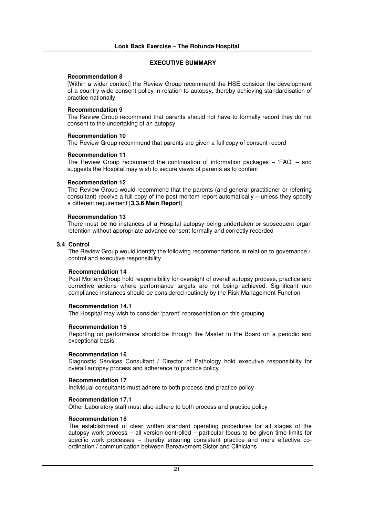#### **Recommendation 8**

[Within a wider context] the Review Group recommend the HSE consider the development of a country wide consent policy in relation to autopsy, thereby achieving standardisation of practice nationally

#### **Recommendation 9**

The Review Group recommend that parents should not have to formally record they do not consent to the undertaking of an autopsy

#### **Recommendation 10**

The Review Group recommend that parents are given a full copy of consent record

#### **Recommendation 11**

The Review Group recommend the continuation of information packages  $-$  'FAQ'  $-$  and suggests the Hospital may wish to secure views of parents as to content

#### **Recommendation 12**

The Review Group would recommend that the parents (and general practitioner or referring consultant) receive a full copy of the post mortem report automatically – unless they specify a different requirement [**3.3.6 Main Report**]

#### **Recommendation 13**

There must be **no** instances of a Hospital autopsy being undertaken or subsequent organ retention without appropriate advance consent formally and correctly recorded

#### **3.4 Control**

The Review Group would identify the following recommendations in relation to governance / control and executive responsibility

#### **Recommendation 14**

Post Mortem Group hold responsibility for oversight of overall autopsy process, practice and corrective actions where performance targets are not being achieved. Significant non compliance instances should be considered routinely by the Risk Management Function

## **Recommendation 14.1**

The Hospital may wish to consider 'parent' representation on this grouping.

## **Recommendation 15**

Reporting on performance should be through the Master to the Board on a periodic and exceptional basis

#### **Recommendation 16**

Diagnostic Services Consultant / Director of Pathology hold executive responsibility for overall autopsy process and adherence to practice policy

#### **Recommendation 17**

Individual consultants must adhere to both process and practice policy

## **Recommendation 17.1**

Other Laboratory staff must also adhere to both process and practice policy

## **Recommendation 18**

The establishment of clear written standard operating procedures for all stages of the autopsy work process – all version controlled – particular focus to be given time limits for specific work processes – thereby ensuring consistent practice and more effective coordination / communication between Bereavement Sister and Clinicians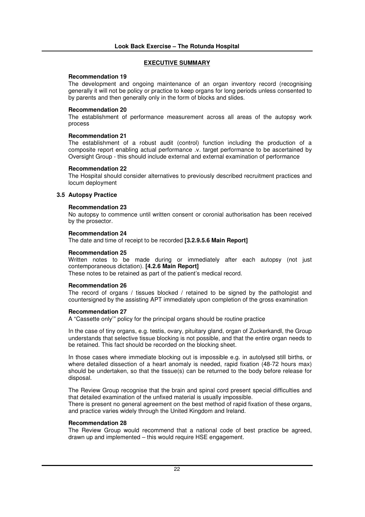#### **Recommendation 19**

The development and ongoing maintenance of an organ inventory record (recognising generally it will not be policy or practice to keep organs for long periods unless consented to by parents and then generally only in the form of blocks and slides.

## **Recommendation 20**

The establishment of performance measurement across all areas of the autopsy work process

#### **Recommendation 21**

The establishment of a robust audit (control) function including the production of a composite report enabling actual performance .v. target performance to be ascertained by Oversight Group - this should include external and external examination of performance

#### **Recommendation 22**

The Hospital should consider alternatives to previously described recruitment practices and locum deployment

#### **3.5 Autopsy Practice**

#### **Recommendation 23**

No autopsy to commence until written consent or coronial authorisation has been received by the prosector.

#### **Recommendation 24**

The date and time of receipt to be recorded **[3.2.9.5.6 Main Report]**

#### **Recommendation 25**

Written notes to be made during or immediately after each autopsy (not just contemporaneous dictation). **[4.2.6 Main Report]**

These notes to be retained as part of the patient's medical record.

#### **Recommendation 26**

The record of organs / tissues blocked / retained to be signed by the pathologist and countersigned by the assisting APT immediately upon completion of the gross examination

#### **Recommendation 27**

A "Cassette only'" policy for the principal organs should be routine practice

In the case of tiny organs, e.g. testis, ovary, pituitary gland, organ of Zuckerkandl, the Group understands that selective tissue blocking is not possible, and that the entire organ needs to be retained. This fact should be recorded on the blocking sheet.

In those cases where immediate blocking out is impossible e.g. in autolysed still births, or where detailed dissection of a heart anomaly is needed, rapid fixation (48-72 hours max) should be undertaken, so that the tissue(s) can be returned to the body before release for disposal.

The Review Group recognise that the brain and spinal cord present special difficulties and that detailed examination of the unfixed material is usually impossible.

There is present no general agreement on the best method of rapid fixation of these organs, and practice varies widely through the United Kingdom and Ireland.

#### **Recommendation 28**

The Review Group would recommend that a national code of best practice be agreed, drawn up and implemented – this would require HSE engagement.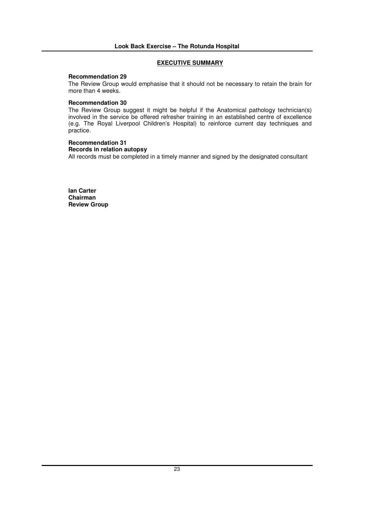## **Recommendation 29**

The Review Group would emphasise that it should not be necessary to retain the brain for more than 4 weeks.

## **Recommendation 30**

The Review Group suggest it might be helpful if the Anatomical pathology technician(s) involved in the service be offered refresher training in an established centre of excellence (e.g. The Royal Liverpool Children's Hospital) to reinforce current day techniques and practice.

# **Recommendation 31**

## **Records in relation autopsy**

All records must be completed in a timely manner and signed by the designated consultant

**Ian Carter Chairman Review Group**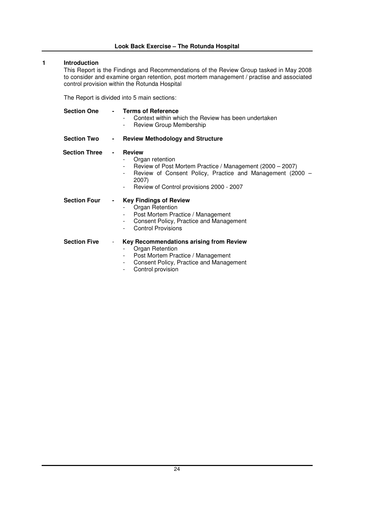## **1 Introduction**

This Report is the Findings and Recommendations of the Review Group tasked in May 2008 to consider and examine organ retention, post mortem management / practise and associated control provision within the Rotunda Hospital

The Report is divided into 5 main sections:

| <b>Section One</b>   | - Terms of Reference<br>Context within which the Review has been undertaken<br>Review Group Membership                                                                                                                                                                            |
|----------------------|-----------------------------------------------------------------------------------------------------------------------------------------------------------------------------------------------------------------------------------------------------------------------------------|
| <b>Section Two</b>   | <b>Review Methodology and Structure</b><br>$\sim 100$                                                                                                                                                                                                                             |
| <b>Section Three</b> | <b>Review</b><br>$\sim$<br>Organ retention<br>Review of Post Mortem Practice / Management (2000 – 2007)<br>Review of Consent Policy, Practice and Management (2000 -<br>$\overline{\phantom{a}}$<br>2007)<br>Review of Control provisions 2000 - 2007<br>$\overline{\phantom{a}}$ |
| <b>Section Four</b>  | <b>Key Findings of Review</b><br>$\sim$<br>Organ Retention<br>Post Mortem Practice / Management<br>Consent Policy, Practice and Management<br><b>Control Provisions</b>                                                                                                           |
| <b>Section Five</b>  | Key Recommendations arising from Review<br>$\sim$<br>Organ Retention<br>Post Mortem Practice / Management<br>Consent Policy, Practice and Management<br>$\overline{\phantom{a}}$<br>Control provision                                                                             |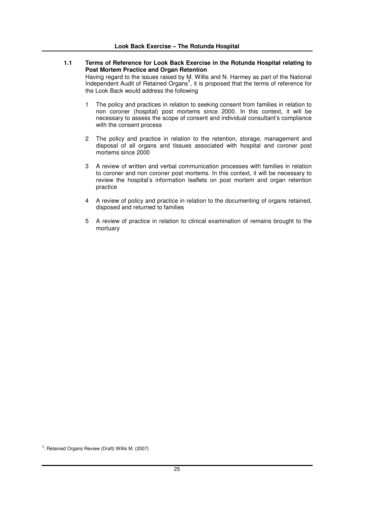- **1.1 Terms of Reference for Look Back Exercise in the Rotunda Hospital relating to Post Mortem Practice and Organ Retention** Having regard to the issues raised by M. Willis and N. Harmey as part of the National Independent Audit of Retained Organs<sup>1</sup>, it is proposed that the terms of reference for the Look Back would address the following
	- 1 The policy and practices in relation to seeking consent from families in relation to non coroner (hospital) post mortems since 2000. In this context, it will be necessary to assess the scope of consent and individual consultant's compliance with the consent process
	- 2 The policy and practice in relation to the retention, storage, management and disposal of all organs and tissues associated with hospital and coroner post mortems since 2000
	- 3 A review of written and verbal communication processes with families in relation to coroner and non coroner post mortems. In this context, it will be necessary to review the hospital's information leaflets on post mortem and organ retention practice
	- 4 A review of policy and practice in relation to the documenting of organs retained, disposed and returned to families
	- 5 A review of practice in relation to clinical examination of remains brought to the mortuary

**1** : Retained Organs Review (Draft) Willis M. (2007)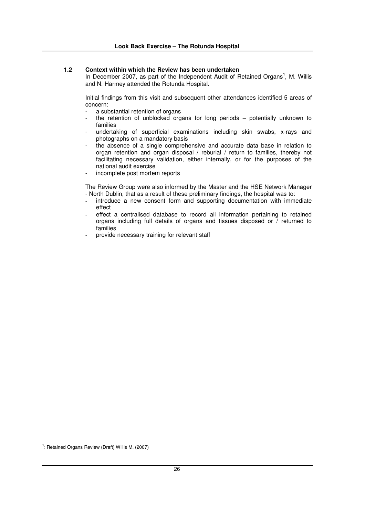## **1.2 Context within which the Review has been undertaken**

In December 2007, as part of the Independent Audit of Retained Organs<sup>1</sup>, M. Willis and N. Harmey attended the Rotunda Hospital.

Initial findings from this visit and subsequent other attendances identified 5 areas of concern:

- a substantial retention of organs
- the retention of unblocked organs for long periods  $-$  potentially unknown to families
- undertaking of superficial examinations including skin swabs, x-rays and photographs on a mandatory basis
- the absence of a single comprehensive and accurate data base in relation to organ retention and organ disposal / reburial / return to families, thereby not facilitating necessary validation, either internally, or for the purposes of the national audit exercise
- incomplete post mortem reports

The Review Group were also informed by the Master and the HSE Network Manager - North Dublin, that as a result of these preliminary findings, the hospital was to:

- introduce a new consent form and supporting documentation with immediate effect
- effect a centralised database to record all information pertaining to retained organs including full details of organs and tissues disposed or / returned to families
- provide necessary training for relevant staff

**1** : Retained Organs Review (Draft) Willis M. (2007)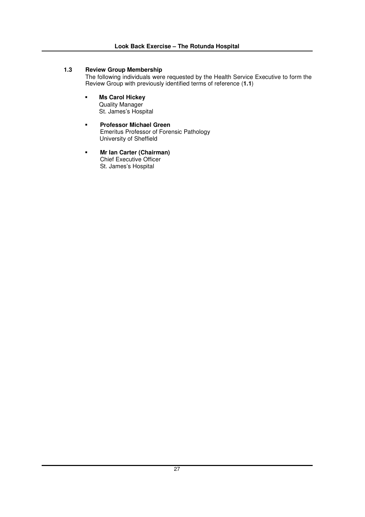## **1.3 Review Group Membership**

The following individuals were requested by the Health Service Executive to form the Review Group with previously identified terms of reference (**1.1**)

- - **Ms Carol Hickey** Quality Manager St. James's Hospital
- - **Professor Michael Green** Emeritus Professor of Forensic Pathology University of Sheffield
- - **Mr Ian Carter (Chairman)** Chief Executive Officer St. James's Hospital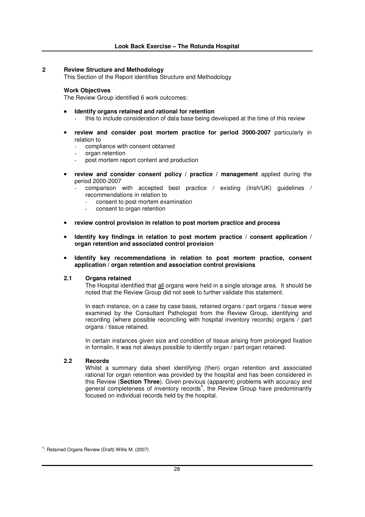## **2 Review Structure and Methodology**

This Section of the Report identifies Structure and Methodology

#### **Work Objectives**

The Review Group identified 6 work outcomes:

- **Identify organs retained and rational for retention** - this to include consideration of data base being developed at the time of this review
- **review and consider post mortem practice for period 2000-2007** particularly in relation to
	- compliance with consent obtained
	- organ retention
	- post mortem report content and production
- **review and consider consent policy / practice / management** applied during the period 2000-2007
	- comparison with accepted best practice / existing (Irish/UK) guidelines / recommendations in relation to
		- consent to post mortem examination
		- consent to organ retention
- **review control provision in relation to post mortem practice and process**
- **Identify key findings in relation to post mortem practice / consent application / organ retention and associated control provision**

#### • **Identify key recommendations in relation to post mortem practice, consent application / organ retention and association control provisions**

## **2.1 Organs retained**

The Hospital identified that all organs were held in a single storage area. It should be noted that the Review Group did not seek to further validate this statement.

In each instance, on a case by case basis, retained organs / part organs / tissue were examined by the Consultant Pathologist from the Review Group, identifying and recording (where possible reconciling with hospital inventory records) organs / part organs / tissue retained.

In certain instances given size and condition of tissue arising from prolonged fixation in formalin, it was not always possible to identify organ / part organ retained.

## **2.2 Records**

Whilst a summary data sheet identifying (then) organ retention and associated rational for organ retention was provided by the hospital and has been considered in this Review (**Section Three**). Given previous (apparent) problems with accuracy and general completeness of inventory records **1** , the Review Group have predominantly focused on individual records held by the hospital.

**<sup>1</sup>** : Retained Organs Review (Draft) Willis M. (2007)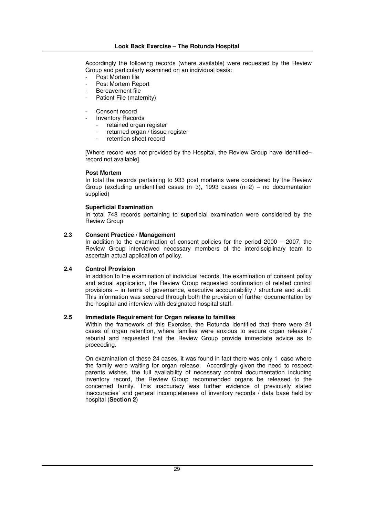Accordingly the following records (where available) were requested by the Review Group and particularly examined on an individual basis:

- Post Mortem file
- Post Mortem Report
- Bereavement file
- Patient File (maternity)
- Consent record
- Inventory Records
	- retained organ register
	- returned organ / tissue register
	- retention sheet record

[Where record was not provided by the Hospital, the Review Group have identified– record not available].

## **Post Mortem**

In total the records pertaining to 933 post mortems were considered by the Review Group (excluding unidentified cases  $(n=3)$ , 1993 cases  $(n=2)$  – no documentation supplied)

## **Superficial Examination**

In total 748 records pertaining to superficial examination were considered by the Review Group

## **2.3 Consent Practice / Management**

In addition to the examination of consent policies for the period 2000 – 2007, the Review Group interviewed necessary members of the interdisciplinary team to ascertain actual application of policy.

## **2.4 Control Provision**

In addition to the examination of individual records, the examination of consent policy and actual application, the Review Group requested confirmation of related control provisions – in terms of governance, executive accountability / structure and audit. This information was secured through both the provision of further documentation by the hospital and interview with designated hospital staff.

## **2.5 Immediate Requirement for Organ release to families**

Within the framework of this Exercise, the Rotunda identified that there were 24 cases of organ retention, where families were anxious to secure organ release / reburial and requested that the Review Group provide immediate advice as to proceeding.

On examination of these 24 cases, it was found in fact there was only 1 case where the family were waiting for organ release. Accordingly given the need to respect parents wishes, the full availability of necessary control documentation including inventory record, the Review Group recommended organs be released to the concerned family. This inaccuracy was further evidence of previously stated inaccuracies' and general incompleteness of inventory records / data base held by hospital (**Section 2**)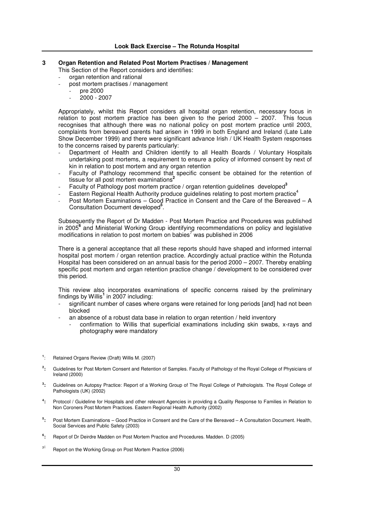## **3 Organ Retention and Related Post Mortem Practises / Management**

This Section of the Report considers and identifies:

- organ retention and rational
- post mortem practises / management
	- pre 2000
	- $2000 2007$

Appropriately, whilst this Report considers all hospital organ retention, necessary focus in relation to post mortem practice has been given to the period 2000 – 2007. This focus recognises that although there was no national policy on post mortem practice until 2003, complaints from bereaved parents had arisen in 1999 in both England and Ireland (Late Late Show December 1999) and there were significant advance Irish / UK Health System responses to the concerns raised by parents particularly:

- Department of Health and Children identify to all Health Boards / Voluntary Hospitals undertaking post mortems, a requirement to ensure a policy of informed consent by next of kin in relation to post mortem and any organ retention
- Faculty of Pathology recommend that specific consent be obtained for the retention of tissue for all post mortem examinations **2**
- Faculty of Pathology post mortem practice / organ retention guidelines developed **3**
- Eastern Regional Health Authority produce guidelines relating to post mortem practice<sup>4</sup>
- Post Mortem Examinations Good Practice in Consent and the Care of the Bereaved A Consultation Document developed **5** .

Subsequently the Report of Dr Madden - Post Mortem Practice and Procedures was published in 2005 **6** and Ministerial Working Group identifying recommendations on policy and legislative modifications in relation to post mortem on babies <sup>7</sup> was published in 2006

There is a general acceptance that all these reports should have shaped and informed internal hospital post mortem / organ retention practice. Accordingly actual practice within the Rotunda Hospital has been considered on an annual basis for the period 2000 – 2007. Thereby enabling specific post mortem and organ retention practice change / development to be considered over this period.

This review also incorporates examinations of specific concerns raised by the preliminary findings by Willis **1** in 2007 including:

- significant number of cases where organs were retained for long periods [and] had not been blocked
- an absence of a robust data base in relation to organ retention / held inventory
	- confirmation to Willis that superficial examinations including skin swabs, x-rays and photography were mandatory
- **1** : Retained Organs Review (Draft) Willis M. (2007)
- **2 :** Guidelines for Post Mortem Consent and Retention of Samples. Faculty of Pathology of the Royal College of Physicians of Ireland (2000)
- **3 :** Guidelines on Autopsy Practice: Report of a Working Group of The Royal College of Pathologists. The Royal College of Pathologists (UK) (2002)
- **4 :** Protocol / Guideline for Hospitals and other relevant Agencies in providing a Quality Response to Families in Relation to Non Coroners Post Mortem Practices. Eastern Regional Health Authority (2002)
- **5 :** Post Mortem Examinations – Good Practice in Consent and the Care of the Bereaved – A Consultation Document. Health, Social Services and Public Safety (2003)
- **6 :** Report of Dr Deirdre Madden on Post Mortem Practice and Procedures. Madden. D (2005)
- **7:** Report on the Working Group on Post Mortem Practice (2006)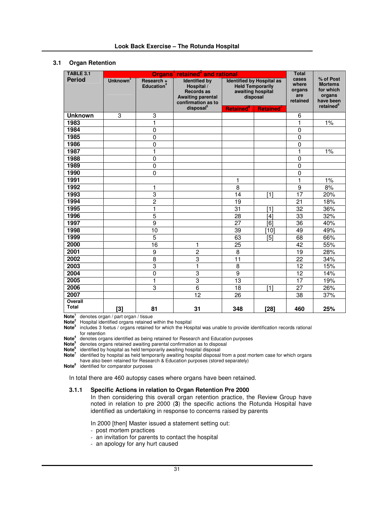## **3.1 Organ Retention**

| TABLE 3.1                      | Organs <sup>1</sup> retained <sup>2</sup> and rational |                                      |                                                                                                                                    |                                                                                                                                                       |                |                                             |                                                                                          |
|--------------------------------|--------------------------------------------------------|--------------------------------------|------------------------------------------------------------------------------------------------------------------------------------|-------------------------------------------------------------------------------------------------------------------------------------------------------|----------------|---------------------------------------------|------------------------------------------------------------------------------------------|
| <b>Period</b>                  | Unknown <sup>3</sup>                                   | Research +<br>Education <sup>4</sup> | <b>Identified by</b><br>Hospital /<br><b>Records as</b><br><b>Awaiting parental</b><br>confirmation as to<br>disposal <sup>5</sup> | <b>Identified by Hospital as</b><br><b>Held Temporarily</b><br>awaiting hospital<br>disposal<br><b>Retained</b> <sup>6</sup><br>Retained <sup>'</sup> |                | cases<br>where<br>organs<br>are<br>retained | % of Post<br><b>Mortems</b><br>for which<br>organs<br>have been<br>retained <sup>8</sup> |
| <b>Unknown</b>                 | 3                                                      | 3                                    |                                                                                                                                    |                                                                                                                                                       |                | 6                                           |                                                                                          |
| 1983                           |                                                        | $\overline{1}$                       |                                                                                                                                    |                                                                                                                                                       |                | $\overline{1}$                              | 1%                                                                                       |
| 1984                           |                                                        | $\overline{0}$                       |                                                                                                                                    |                                                                                                                                                       |                | $\mathbf 0$                                 |                                                                                          |
| 1985                           |                                                        | 0                                    |                                                                                                                                    |                                                                                                                                                       |                | $\mathbf 0$                                 |                                                                                          |
| 1986                           |                                                        | 0                                    |                                                                                                                                    |                                                                                                                                                       |                | $\mathbf 0$                                 |                                                                                          |
| 1987                           |                                                        | $\mathbf{1}$                         |                                                                                                                                    |                                                                                                                                                       |                | $\mathbf{1}$                                | 1%                                                                                       |
| 1988                           |                                                        | 0                                    |                                                                                                                                    |                                                                                                                                                       |                | $\mathbf 0$                                 |                                                                                          |
| 1989                           |                                                        | $\mathbf 0$                          |                                                                                                                                    |                                                                                                                                                       |                | $\mathbf 0$                                 |                                                                                          |
| 1990                           |                                                        | $\overline{0}$                       |                                                                                                                                    |                                                                                                                                                       |                | $\overline{0}$                              |                                                                                          |
| 1991                           |                                                        |                                      |                                                                                                                                    | 1                                                                                                                                                     |                | $\mathbf{1}$                                | 1%                                                                                       |
| 1992                           |                                                        | 1                                    |                                                                                                                                    | 8                                                                                                                                                     |                | $\boldsymbol{9}$                            | 8%                                                                                       |
| 1993                           |                                                        | 3                                    |                                                                                                                                    | 14                                                                                                                                                    | [1]            | $\overline{17}$                             | 20%                                                                                      |
| 1994                           |                                                        | $\overline{2}$                       |                                                                                                                                    | 19                                                                                                                                                    |                | 21                                          | 18%                                                                                      |
| 1995                           |                                                        | $\overline{1}$                       |                                                                                                                                    | 31                                                                                                                                                    | [1]            | 32                                          | 36%                                                                                      |
| 1996                           |                                                        | $\overline{5}$                       |                                                                                                                                    | 28                                                                                                                                                    | [4]            | 33                                          | 32%                                                                                      |
| 1997                           |                                                        | $\overline{9}$                       |                                                                                                                                    | 27                                                                                                                                                    | $\overline{6}$ | 36                                          | 40%                                                                                      |
| 1998                           |                                                        | 10                                   |                                                                                                                                    | 39                                                                                                                                                    | [10]           | 49                                          | 49%                                                                                      |
| 1999                           |                                                        | 5                                    |                                                                                                                                    | 63                                                                                                                                                    | [5]            | 68                                          | 66%                                                                                      |
| 2000                           |                                                        | 16                                   | 1                                                                                                                                  | 25                                                                                                                                                    |                | 42                                          | 55%                                                                                      |
| 2001                           |                                                        | $\boldsymbol{9}$                     | $\overline{2}$                                                                                                                     | 8                                                                                                                                                     |                | 19                                          | 28%                                                                                      |
| 2002                           |                                                        | $\overline{8}$                       | 3                                                                                                                                  | 11                                                                                                                                                    |                | 22                                          | 34%                                                                                      |
| 2003                           |                                                        | 3                                    | $\mathbf{1}$                                                                                                                       | 8                                                                                                                                                     |                | 12                                          | 15%                                                                                      |
| 2004                           |                                                        | 0                                    | $\overline{3}$                                                                                                                     | $\overline{9}$                                                                                                                                        |                | $\overline{12}$                             | 14%                                                                                      |
| 2005                           |                                                        | $\mathbf{1}$                         | $\overline{3}$                                                                                                                     | 13                                                                                                                                                    |                | 17                                          | 19%                                                                                      |
| 2006                           |                                                        | 3                                    | $\overline{6}$                                                                                                                     | 18                                                                                                                                                    | [1]            | 27                                          | 26%                                                                                      |
| 2007                           |                                                        |                                      | 12                                                                                                                                 | 26                                                                                                                                                    |                | 38                                          | 37%                                                                                      |
| <b>Overall</b><br><b>Total</b> | $[3]$                                                  | 81                                   | 31                                                                                                                                 | 348                                                                                                                                                   | [28]           | 460                                         | 25%                                                                                      |

**Note 1** denotes organ / part organ / tissue

**Note <sup>2</sup>** Hospital identified organs retained within the hospital

**Note 3** includes 3 foetus / organs retained for which the Hospital was unable to provide identification records rational for retention

**Note 4** denotes organs identified as being retained for Research and Education purposes

**Note 5** denotes organs retained awaiting parental confirmation as to disposal

**Note 6** identified by hospital as held temporarily awaiting hospital disposal

**Note 7** identified by hospital as held temporarily awaiting hospital disposal from a post mortem case for which organs have also been retained for Research & Education purposes (stored separately)

**Note 8** identified for comparator purposes

In total there are 460 autopsy cases where organs have been retained.

## **3.1.1 Specific Actions in relation to Organ Retention Pre 2000**

In then considering this overall organ retention practice, the Review Group have noted in relation to pre 2000 (**3**) the specific actions the Rotunda Hospital have identified as undertaking in response to concerns raised by parents

In 2000 [then] Master issued a statement setting out:

- post mortem practices
- an invitation for parents to contact the hospital
- an apology for any hurt caused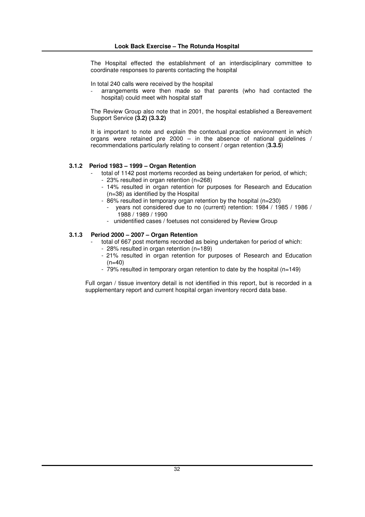The Hospital effected the establishment of an interdisciplinary committee to coordinate responses to parents contacting the hospital

In total 240 calls were received by the hospital

arrangements were then made so that parents (who had contacted the hospital) could meet with hospital staff

The Review Group also note that in 2001, the hospital established a Bereavement Support Service **(3.2) (3.3.2)**

It is important to note and explain the contextual practice environment in which organs were retained pre 2000 – in the absence of national guidelines / recommendations particularly relating to consent / organ retention (**3.3.5**)

#### **3.1.2 Period 1983 – 1999 – Organ Retention**

- total of 1142 post mortems recorded as being undertaken for period, of which; - 23% resulted in organ retention (n=268)
	- 14% resulted in organ retention for purposes for Research and Education (n=38) as identified by the Hospital
- 86% resulted in temporary organ retention by the hospital (n=230)
	- vears not considered due to no (current) retention: 1984 / 1985 / 1986 / 1988 / 1989 / 1990
	- unidentified cases / foetuses not considered by Review Group

#### **3.1.3 Period 2000 – 2007 – Organ Retention**

- total of 667 post mortems recorded as being undertaken for period of which:
- 28% resulted in organ retention (n=189)
- 21% resulted in organ retention for purposes of Research and Education  $(n=40)$
- 79% resulted in temporary organ retention to date by the hospital (n=149)

Full organ / tissue inventory detail is not identified in this report, but is recorded in a supplementary report and current hospital organ inventory record data base.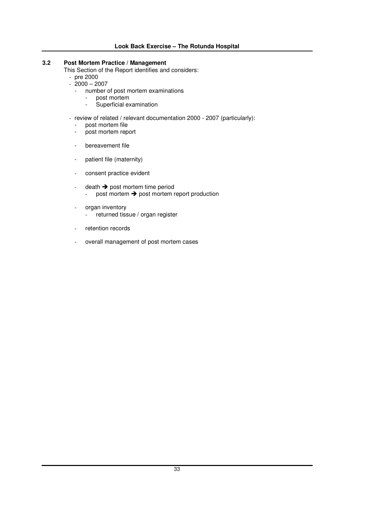## **3.2 Post Mortem Practice / Management**

This Section of the Report identifies and considers:

- pre 2000
- 2000 2007
	- number of post mortem examinations
		- post mortem - Superficial examination

- review of related / relevant documentation 2000 - 2007 (particularly):

- post mortem file
- post mortem report
- bereavement file
- patient file (maternity)
- consent practice evident
- $death \rightarrow post$  mortem time period - post mortem  $\rightarrow$  post mortem report production
- organ inventory
	- returned tissue / organ register
- retention records
- overall management of post mortem cases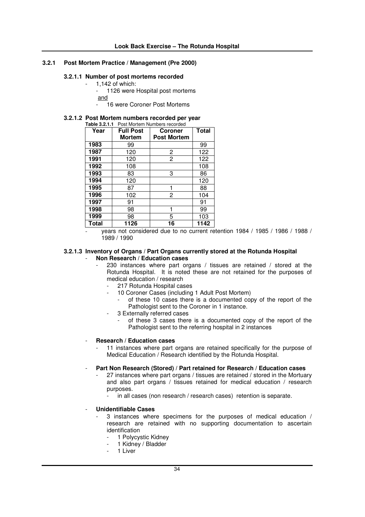## **3.2.1 Post Mortem Practice / Management (Pre 2000)**

## **3.2.1.1 Number of post mortems recorded**

- 1,142 of which:
- 1126 were Hospital post mortems
- and - 16 were Coroner Post Mortems

## **3.2.1.2 Post Mortem numbers recorded per year**

| Table 3.2.1.1<br>Post Mortem Numbers recorded |                  |                    |              |  |  |  |  |
|-----------------------------------------------|------------------|--------------------|--------------|--|--|--|--|
| Year                                          | <b>Full Post</b> | <b>Coroner</b>     | <b>Total</b> |  |  |  |  |
|                                               | Mortem           | <b>Post Mortem</b> |              |  |  |  |  |
| 1983                                          | 99               |                    | 99           |  |  |  |  |
| 1987                                          | 120              | 2                  | 122          |  |  |  |  |
| 1991                                          | 120              | $\overline{2}$     | 122          |  |  |  |  |
| 1992                                          | 108              |                    | 108          |  |  |  |  |
| 1993                                          | 83               | 3                  | 86           |  |  |  |  |
| 1994                                          | 120              |                    | 120          |  |  |  |  |
| 1995                                          | 87               |                    | 88           |  |  |  |  |
| 1996                                          | 102              | $\overline{2}$     | 104          |  |  |  |  |
| 1997                                          | 91               |                    | 91           |  |  |  |  |
| 1998                                          | 98               |                    | 99           |  |  |  |  |
| 1999                                          | 98               | 5                  | 103          |  |  |  |  |
| <b>Total</b>                                  | 1126             | 16                 | 1142         |  |  |  |  |

<sup>-</sup> years not considered due to no current retention 1984 / 1985 / 1986 / 1988 / 1989 / 1990

#### **3.2.1.3 Inventory of Organs / Part Organs currently stored at the Rotunda Hospital** - **Non Research / Education cases**

- 230 instances where part organs / tissues are retained / stored at the Rotunda Hospital. It is noted these are not retained for the purposes of medical education / research
	- 217 Rotunda Hospital cases
	- 10 Coroner Cases (including 1 Adult Post Mortem)
		- of these 10 cases there is a documented copy of the report of the Pathologist sent to the Coroner in 1 instance.
	- 3 Externally referred cases
		- of these 3 cases there is a documented copy of the report of the Pathologist sent to the referring hospital in 2 instances

#### - **Research / Education cases**

- 11 instances where part organs are retained specifically for the purpose of Medical Education / Research identified by the Rotunda Hospital.
- **Part Non Research (Stored) / Part retained for Research / Education cases**
	- 27 instances where part organs / tissues are retained / stored in the Mortuary and also part organs / tissues retained for medical education / research purposes.
		- in all cases (non research / research cases) retention is separate.

## - **Unidentifiable Cases**

- 3 instances where specimens for the purposes of medical education / research are retained with no supporting documentation to ascertain identification
	- 1 Polycystic Kidney
	- 1 Kidney / Bladder
	- 1 Liver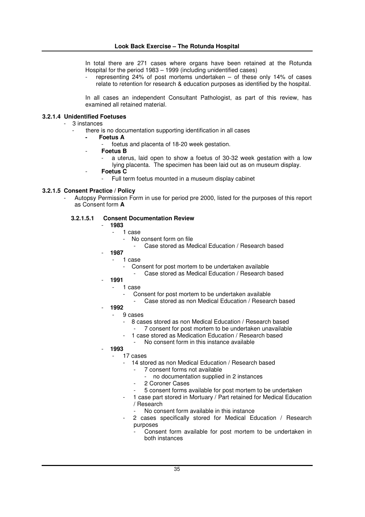In total there are 271 cases where organs have been retained at the Rotunda Hospital for the period 1983 – 1999 (including unidentified cases)

- representing 24% of post mortems undertaken – of these only 14% of cases relate to retention for research & education purposes as identified by the hospital.

In all cases an independent Consultant Pathologist, as part of this review, has examined all retained material.

## **3.2.1.4 Unidentified Foetuses**

### - 3 instances

- there is no documentation supporting identification in all cases
	- **- Foetus A**
		- foetus and placenta of 18-20 week gestation.
		- **Foetus B**
			- a uterus, laid open to show a foetus of 30-32 week gestation with a low lying placenta. The specimen has been laid out as on museum display.
			- **Foetus C**
				- Full term foetus mounted in a museum display cabinet

# **3.2.1.5 Consent Practice / Policy**

Autopsy Permission Form in use for period pre 2000, listed for the purposes of this report as Consent form **A**

## **3.2.1.5.1 Consent Documentation Review**

- **1983**
	- 1 case
		- No consent form on file
		- Case stored as Medical Education / Research based
- **1987**
	- 1 case
		- Consent for post mortem to be undertaken available
			- Case stored as Medical Education / Research based
- **1991**
	- 1 case
		- Consent for post mortem to be undertaken available
			- Case stored as non Medical Education / Research based
- **1992**
	- 9 cases
		- 8 cases stored as non Medical Education / Research based
		- 7 consent for post mortem to be undertaken unavailable 1 case stored as Medication Education / Research based
		- No consent form in this instance available
- **1993**
	- 17 cases
		- 14 stored as non Medical Education / Research based
			- 7 consent forms not available
				- no documentation supplied in 2 instances
			- 2 Coroner Cases
			- 5 consent forms available for post mortem to be undertaken
		- 1 case part stored in Mortuary / Part retained for Medical Education / Research
		- No consent form available in this instance
		- 2 cases specifically stored for Medical Education / Research purposes
			- Consent form available for post mortem to be undertaken in both instances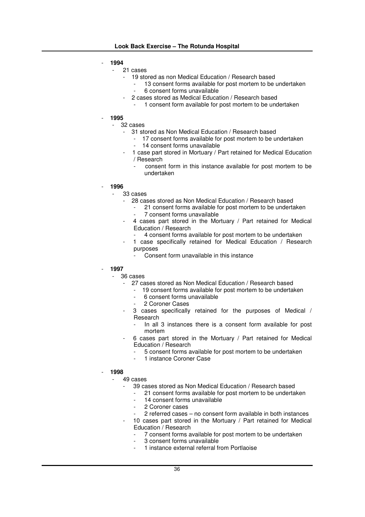- **1994**
	- 21 cases
		- 19 stored as non Medical Education / Research based
			- 13 consent forms available for post mortem to be undertaken - 6 consent forms unavailable
		- 2 cases stored as Medical Education / Research based
			- 1 consent form available for post mortem to be undertaken
- **1995**
	- 32 cases
		- 31 stored as Non Medical Education / Research based
			- 17 consent forms available for post mortem to be undertaken
			- 14 consent forms unavailable
		- 1 case part stored in Mortuary / Part retained for Medical Education / Research
			- consent form in this instance available for post mortem to be undertaken
- **1996**
	- 33 cases
		- 28 cases stored as Non Medical Education / Research based
			- 21 consent forms available for post mortem to be undertaken 7 consent forms unavailable
		- 4 cases part stored in the Mortuary / Part retained for Medical Education / Research
			- 4 consent forms available for post mortem to be undertaken
		- 1 case specifically retained for Medical Education / Research purposes
			- Consent form unavailable in this instance
	- **1997**
		- 36 cases
			- 27 cases stored as Non Medical Education / Research based
				- 19 consent forms available for post mortem to be undertaken
				- 6 consent forms unavailable
				- 2 Coroner Cases
			- 3 cases specifically retained for the purposes of Medical / Research
				- In all 3 instances there is a consent form available for post mortem
			- 6 cases part stored in the Mortuary / Part retained for Medical Education / Research
				- 5 consent forms available for post mortem to be undertaken
				- 1 instance Coroner Case
- **1998**

49 cases

- 39 cases stored as Non Medical Education / Research based
	- 21 consent forms available for post mortem to be undertaken
		- 14 consent forms unavailable
	- 2 Coroner cases
	- 2 referred cases no consent form available in both instances
- 10 cases part stored in the Mortuary / Part retained for Medical Education / Research
	- 7 consent forms available for post mortem to be undertaken
	- 3 consent forms unavailable
	- 1 instance external referral from Portlaoise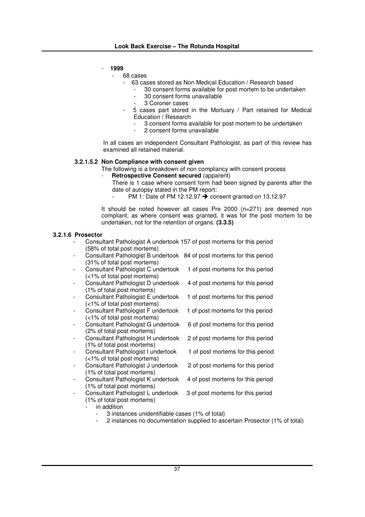- **1999**

68 cases

- 63 cases stored as Non Medical Education / Research based
	- 30 consent forms available for post mortem to be undertaken
		- 30 consent forms unavailable
		- 3 Coroner cases
- 5 cases part stored in the Mortuary / Part retained for Medical Education / Research
	- 3 consent forms available for post mortem to be undertaken
	- 2 consent forms unavailable

In all cases an independent Consultant Pathologist, as part of this review has examined all retained material.

# **3.2.1.5.2 Non Compliance with consent given**

- The following is a breakdown of non compliancy with consent process
- **Retrospective Consent secured** (apparent)
	- There is 1 case where consent form had been signed by parents after the date of autopsy stated in the PM report:
		- PM 1: Date of PM 12.12.97  $\rightarrow$  consent granted on 13.12.97

It should be noted however all cases Pre 2000 (n=271) are deemed non compliant, as where consent was granted, it was for the post mortem to be undertaken, not for the retention of organs. **(3.3.5)**

# **3.2.1.6 Prosector**

- Consultant Pathologist A undertook 157 of post mortems for this period (58% of total post mortems)
- Consultant Pathologist B undertook 84 of post mortems for this period (31% of total post mortems)
- Consultant Pathologist C undertook 1 of post mortems for this period (<1% of total post mortems)
- Consultant Pathologist D undertook 4 of post mortems for this period (1% of total post mortems)
- Consultant Pathologist E undertook 1 of post mortems for this period (<1% of total post mortems)
- (<1% of total post mortems)
- Consultant Pathologist G undertook 6 of post mortems for this period (2% of total post mortems)
- Consultant Pathologist H undertook 2 of post mortems for this period (1% of total post mortems)
- (<1% of total post mortems)
	- Consultant Pathologist J undertook 2 of post mortems for this period (1% of total post mortems)
- Consultant Pathologist K undertook 4 of post mortems for this period (1% of total post mortems)
- 
- Consultant Pathologist F undertook 1 of post mortems for this period
	-
	-
- Consultant Pathologist I undertook 1 of post mortems for this period
	-
	-
- Consultant Pathologist L undertook 3 of post mortems for this period (1% of total post mortems)
	- in addition
		- 3 instances unidentifiable cases (1% of total)
		- 2 instances no documentation supplied to ascertain Prosector (1% of total)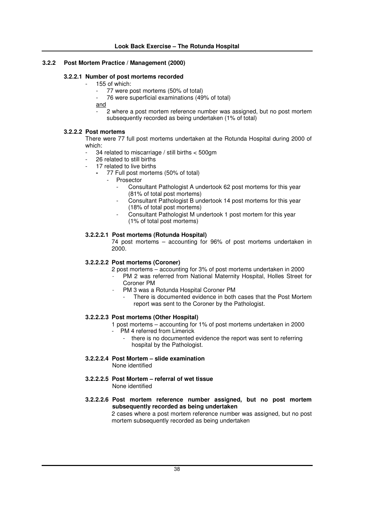# **3.2.2 Post Mortem Practice / Management (2000)**

### **3.2.2.1 Number of post mortems recorded**

- 155 of which:
	- 77 were post mortems (50% of total)
	- 76 were superficial examinations (49% of total)

and

2 where a post mortem reference number was assigned, but no post mortem subsequently recorded as being undertaken (1% of total)

# **3.2.2.2 Post mortems**

There were 77 full post mortems undertaken at the Rotunda Hospital during 2000 of which:

- 34 related to miscarriage / still births < 500gm
- 26 related to still births
- 17 related to live births
	- **-** 77 Full post mortems (50% of total)
		- **Prosector** 
			- Consultant Pathologist A undertook 62 post mortems for this year (81% of total post mortems)
			- Consultant Pathologist B undertook 14 post mortems for this year (18% of total post mortems)
			- Consultant Pathologist M undertook 1 post mortem for this year (1% of total post mortems)

### **3.2.2.2.1 Post mortems (Rotunda Hospital)**

74 post mortems – accounting for 96% of post mortems undertaken in 2000.

# **3.2.2.2.2 Post mortems (Coroner)**

- 2 post mortems accounting for 3% of post mortems undertaken in 2000
- PM 2 was referred from National Maternity Hospital, Holles Street for Coroner PM
	- PM 3 was a Rotunda Hospital Coroner PM
		- There is documented evidence in both cases that the Post Mortem report was sent to the Coroner by the Pathologist.

# **3.2.2.2.3 Post mortems (Other Hospital)**

- 1 post mortems accounting for 1% of post mortems undertaken in 2000 PM 4 referred from Limerick
	- there is no documented evidence the report was sent to referring hospital by the Pathologist.
- **3.2.2.2.4 Post Mortem – slide examination** None identified
- **3.2.2.2.5 Post Mortem – referral of wet tissue** None identified
- **3.2.2.2.6 Post mortem reference number assigned, but no post mortem subsequently recorded as being undertaken**

2 cases where a post mortem reference number was assigned, but no post mortem subsequently recorded as being undertaken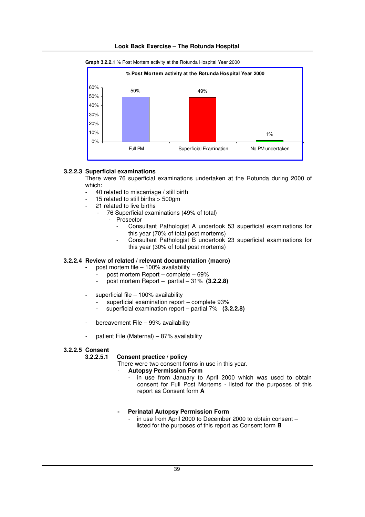

# **Look Back Exercise – The Rotunda Hospital**

# **3.2.2.3 Superficial examinations**

There were 76 superficial examinations undertaken at the Rotunda during 2000 of which:

- 40 related to miscarriage / still birth
- 15 related to still births > 500gm
- 21 related to live births
	- 76 Superficial examinations (49% of total)
		- Prosector
			- Consultant Pathologist A undertook 53 superficial examinations for this year (70% of total post mortems)
			- Consultant Pathologist B undertook 23 superficial examinations for this year (30% of total post mortems)

# **3.2.2.4 Review of related / relevant documentation (macro)**

- **-** post mortem file 100% availability
	- post mortem Report complete 69%
	- post mortem Report partial 31% **(3.2.2.8)**
- **-** superficial file 100% availability
	- superficial examination report complete 93%
	- superficial examination report partial 7% (3.2.2.8)
- bereavement File 99% availability
- patient File (Maternal) 87% availability

#### **3.2.2.5 Consent**

#### **3.2.2.5.1 Consent practice / policy**

There were two consent forms in use in this year.

- **Autopsy Permission Form**
	- in use from January to April 2000 which was used to obtain consent for Full Post Mortems - listed for the purposes of this report as Consent form **A**

# **- Perinatal Autopsy Permission Form**

in use from April 2000 to December 2000 to obtain consent  $$ listed for the purposes of this report as Consent form **B**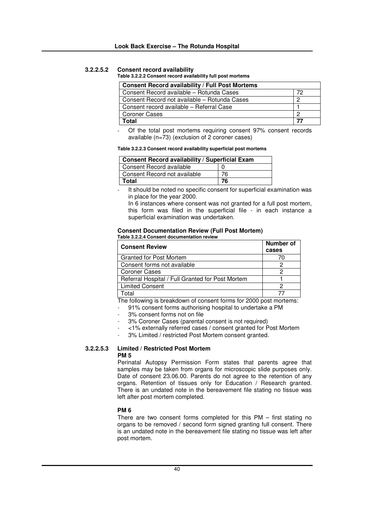# **3.2.2.5.2 Consent record availability**

#### **Table 3.2.2.2 Consent record availability full post mortems**

| <b>Consent Record availability / Full Post Mortems</b> |    |
|--------------------------------------------------------|----|
| Consent Record available - Rotunda Cases               | 72 |
| Consent Record not available – Rotunda Cases           | 0  |
| Consent record available - Referral Case               |    |
| <b>Coroner Cases</b>                                   | റ  |
| Total                                                  |    |

Of the total post mortems requiring consent 97% consent records available (n=73) (exclusion of 2 coroner cases)

**Table 3.2.2.3 Consent record availability superficial post mortems**

| Consent Record availability / Superficial Exam |    |  |
|------------------------------------------------|----|--|
| Consent Record available                       |    |  |
| Consent Record not available                   | 76 |  |
| Total                                          | 76 |  |

It should be noted no specific consent for superficial examination was in place for the year 2000.

In 6 instances where consent was not granted for a full post mortem. this form was filed in the superficial file - in each instance a superficial examination was undertaken.

#### **Consent Documentation Review (Full Post Mortem) Table 3.2.2.4 Consent documentation review**

| <b>Consent Review</b>                            | Number of<br>cases |
|--------------------------------------------------|--------------------|
| <b>Granted for Post Mortem</b>                   |                    |
| Consent forms not available                      |                    |
| <b>Coroner Cases</b>                             |                    |
| Referral Hospital / Full Granted for Post Mortem |                    |
| <b>Limited Consent</b>                           |                    |
| otal                                             |                    |

The following is breakdown of consent forms for 2000 post mortems:

- 91% consent forms authorising hospital to undertake a PM

- 3% consent forms not on file
- 3% Coroner Cases (parental consent is not required)
- <1% externally referred cases / consent granted for Post Mortem
- 3% Limited / restricted Post Mortem consent granted.

#### **3.2.2.5.3 Limited / Restricted Post Mortem PM 5**

Perinatal Autopsy Permission Form states that parents agree that samples may be taken from organs for microscopic slide purposes only. Date of consent 23.06.00. Parents do not agree to the retention of any organs. Retention of tissues only for Education / Research granted. There is an undated note in the bereavement file stating no tissue was left after post mortem completed.

#### **PM 6**

There are two consent forms completed for this PM – first stating no organs to be removed / second form signed granting full consent. There is an undated note in the bereavement file stating no tissue was left after post mortem.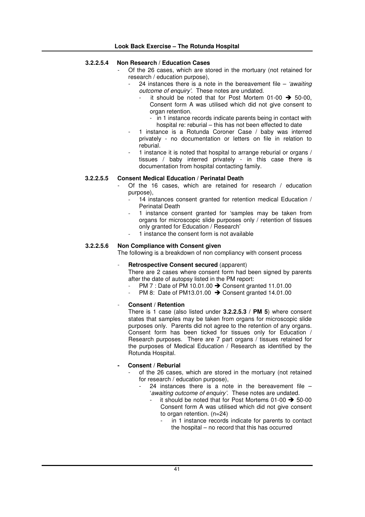# **3.2.2.5.4 Non Research / Education Cases**

- Of the 26 cases, which are stored in the mortuary (not retained for research / education purpose),
	- 24 instances there is a note in the bereavement file *'awaiting outcome of enquiry'*. These notes are undated.
		- it should be noted that for Post Mortem 01-00  $\rightarrow$  50-00, Consent form A was utilised which did not give consent to organ retention.
			- in 1 instance records indicate parents being in contact with hospital re: reburial – this has not been effected to date
	- 1 instance is a Rotunda Coroner Case / baby was interred privately - no documentation or letters on file in relation to reburial.
	- 1 instance it is noted that hospital to arrange reburial or organs / tissues / baby interred privately - in this case there is documentation from hospital contacting family.

# **3.2.2.5.5 Consent Medical Education / Perinatal Death**

- Of the 16 cases, which are retained for research / education purpose),
	- 14 instances consent granted for retention medical Education / Perinatal Death
	- 1 instance consent granted for 'samples may be taken from organs for microscopic slide purposes only / retention of tissues only granted for Education / Research'
	- 1 instance the consent form is not available

# **3.2.2.5.6 Non Compliance with Consent given**

The following is a breakdown of non compliancy with consent process

### - **Retrospective Consent secured** (apparent)

There are 2 cases where consent form had been signed by parents after the date of autopsy listed in the PM report:

- PM 7 : Date of PM 10.01.00  $\rightarrow$  Consent granted 11.01.00
- PM 8: Date of PM13.01.00  $\rightarrow$  Consent granted 14.01.00

### - **Consent / Retention**

There is 1 case (also listed under **3.2.2.5.3 / PM 5**) where consent states that samples may be taken from organs for microscopic slide purposes only. Parents did not agree to the retention of any organs. Consent form has been ticked for tissues only for Education / Research purposes. There are 7 part organs / tissues retained for the purposes of Medical Education / Research as identified by the Rotunda Hospital.

# **- Consent / Reburial**

- of the 26 cases, which are stored in the mortuary (not retained for research / education purpose),
	- 24 instances there is a note in the bereavement file  $-$ '*awaiting outcome of enquiry'*. These notes are undated.
		- it should be noted that for Post Mortems  $01-00 \rightarrow 50-00$ Consent form A was utilised which did not give consent to organ retention. (n=24)
			- in 1 instance records indicate for parents to contact the hospital – no record that this has occurred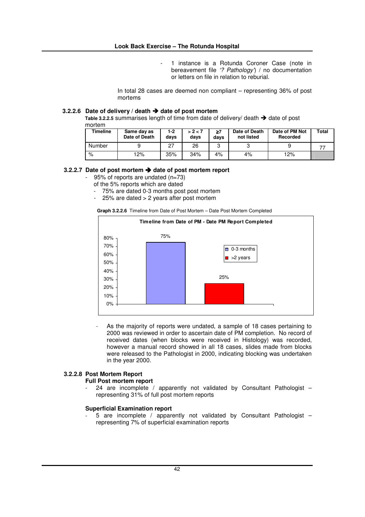1 instance is a Rotunda Coroner Case (note in bereavement file *'? Pathology'*) / no documentation or letters on file in relation to reburial.

In total 28 cases are deemed non compliant – representing 36% of post mortems

# **3.2.2.6 Date of delivery / death date of post mortem**

**Table 3.2.2.5** summarises length of time from date of delivery/ death  $\rightarrow$  date of post mortem

| Timeline | Same day as<br>Date of Death | 1-2<br>days | > 2 < 7<br>days | ≥7<br>davs | Date of Death<br>not listed | Date of PM Not<br>Recorded | Total |
|----------|------------------------------|-------------|-----------------|------------|-----------------------------|----------------------------|-------|
| Number   |                              | 27          | 26              | ◠          |                             |                            |       |
| %        | 12%                          | 35%         | 34%             | 4%         | 4%                          | 12%                        |       |

### **3.2.2.7 Date of post mortem date of post mortem report**

- 95% of reports are undated (n=73)
- of the 5% reports which are dated
- 75% are dated 0-3 months post post mortem
- 25% are dated > 2 years after post mortem

**Graph 3.2.2.6** Timeline from Date of Post Mortem – Date Post Mortem Completed



As the majority of reports were undated, a sample of 18 cases pertaining to 2000 was reviewed in order to ascertain date of PM completion. No record of received dates (when blocks were received in Histology) was recorded, however a manual record showed in all 18 cases, slides made from blocks were released to the Pathologist in 2000, indicating blocking was undertaken in the year 2000.

# **3.2.2.8 Post Mortem Report**

### **Full Post mortem report**

24 are incomplete / apparently not validated by Consultant Pathologist  $$ representing 31% of full post mortem reports

### **Superficial Examination report**

5 are incomplete / apparently not validated by Consultant Pathologist – representing 7% of superficial examination reports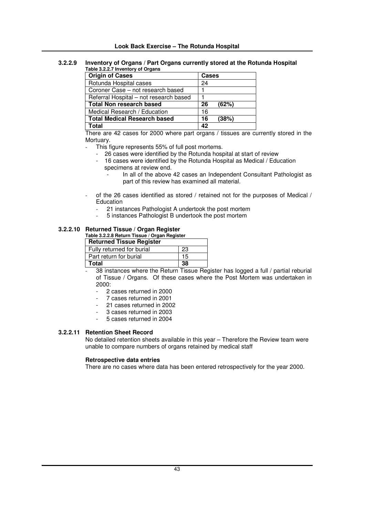#### **3.2.2.9 Inventory of Organs / Part Organs currently stored at the Rotunda Hospital Table 3.2.2.7 Inventory of Organs**

| <b>Origin of Cases</b>                 | <b>Cases</b> |
|----------------------------------------|--------------|
| Rotunda Hospital cases                 | 24           |
| Coroner Case - not research based      |              |
| Referral Hospital - not research based |              |
| <b>Total Non research based</b>        | 26<br>(62%)  |
| Medical Research / Education           | 16           |
| <b>Total Medical Research based</b>    | 16<br>(38%)  |
| `otal                                  | 42           |

There are 42 cases for 2000 where part organs / tissues are currently stored in the Mortuary.

- This figure represents 55% of full post mortems.
	- 26 cases were identified by the Rotunda hospital at start of review
	- 16 cases were identified by the Rotunda Hospital as Medical / Education specimens at review end.
		- In all of the above 42 cases an Independent Consultant Pathologist as part of this review has examined all material.
- of the 26 cases identified as stored / retained not for the purposes of Medical / **Education** 
	- 21 instances Pathologist A undertook the post mortem
	- 5 instances Pathologist B undertook the post mortem

### **3.2.2.10 Returned Tissue / Organ Register**

# **Table 3.2.2.8 Return Tissue / Organ Register**

| <b>Returned Tissue Register</b> |     |
|---------------------------------|-----|
| Fully returned for burial       | -23 |
| Part return for burial          | 15  |
| Total                           | 38  |

- 38 instances where the Return Tissue Register has logged a full / partial reburial of Tissue / Organs. Of these cases where the Post Mortem was undertaken in 2000:
	- 2 cases returned in 2000
	- 7 cases returned in 2001
	- 21 cases returned in 2002
	- 3 cases returned in 2003
	- 5 cases returned in 2004

### **3.2.2.11 Retention Sheet Record**

No detailed retention sheets available in this year – Therefore the Review team were unable to compare numbers of organs retained by medical staff

### **Retrospective data entries**

There are no cases where data has been entered retrospectively for the year 2000.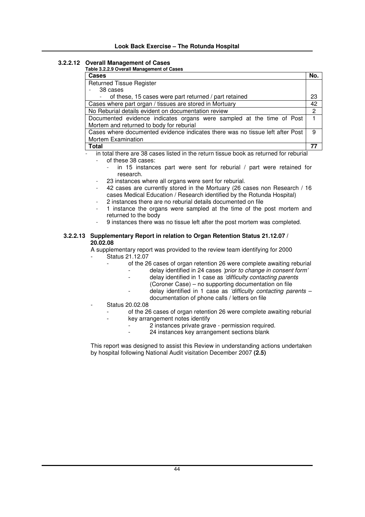# **3.2.2.12 Overall Management of Cases**

| Table 3.2.2.9 Overall Management of Cases |
|-------------------------------------------|
|-------------------------------------------|

| Cases                                                                         | No. |
|-------------------------------------------------------------------------------|-----|
| <b>Returned Tissue Register</b>                                               |     |
| 38 cases                                                                      |     |
| of these, 15 cases were part returned / part retained                         | 23  |
| Cases where part organ / tissues are stored in Mortuary                       | 42  |
| No Reburial details evident on documentation review                           | 2   |
| Documented evidence indicates organs were sampled at the time of Post         |     |
| Mortem and returned to body for reburial                                      |     |
| Cases where documented evidence indicates there was no tissue left after Post | 9   |
| <b>Mortem Examination</b>                                                     |     |
| <b>Total</b>                                                                  |     |

in total there are 38 cases listed in the return tissue book as returned for reburial of these 38 cases:

- in 15 instances part were sent for reburial / part were retained for research.
- 23 instances where all organs were sent for reburial.
- 42 cases are currently stored in the Mortuary (26 cases non Research / 16 cases Medical Education / Research identified by the Rotunda Hospital)
- 2 instances there are no reburial details documented on file
- 1 instance the organs were sampled at the time of the post mortem and returned to the body
- 9 instances there was no tissue left after the post mortem was completed.

# **3.2.2.13 Supplementary Report in relation to Organ Retention Status 21.12.07 / 20.02.08**

A supplementary report was provided to the review team identifying for 2000

- Status 21.12.07
	- of the 26 cases of organ retention 26 were complete awaiting reburial
		- delay identified in 24 cases *'prior to change in consent form'*
			- delay identified in 1 case as *'difficulty contacting parents*
				- (Coroner Case) no supporting documentation on file
				- delay identified in 1 case as *'difficulty contacting parents* documentation of phone calls / letters on file
- Status 20.02.08
	- of the 26 cases of organ retention 26 were complete awaiting reburial
	- key arrangement notes identify
		- 2 instances private grave permission required.
			- 24 instances key arrangement sections blank

This report was designed to assist this Review in understanding actions undertaken by hospital following National Audit visitation December 2007 **(2.5)**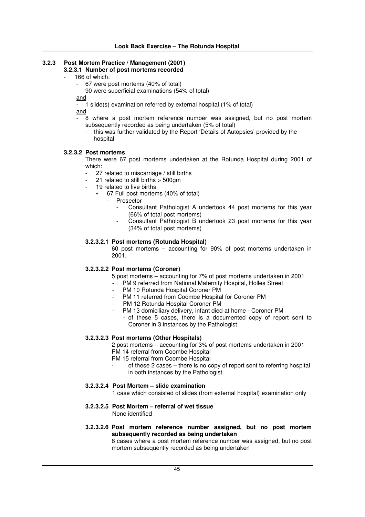# **3.2.3 Post Mortem Practice / Management (2001)**

# **3.2.3.1 Number of post mortems recorded**

- 166 of which:
	- 67 were post mortems (40% of total)
	- 90 were superficial examinations (54% of total)

and

 $\overline{\phantom{a}}$  1 slide(s) examination referred by external hospital (1% of total)

and

- 8 where a post mortem reference number was assigned, but no post mortem subsequently recorded as being undertaken (5% of total)
	- this was further validated by the Report 'Details of Autopsies' provided by the hospital

# **3.2.3.2 Post mortems**

There were 67 post mortems undertaken at the Rotunda Hospital during 2001 of which:

- 27 related to miscarriage / still births
- 21 related to still births  $>$  500 am
- 19 related to live births
	- **-** 67 Full post mortems (40% of total)
		- **Prosector** 
			- Consultant Pathologist A undertook 44 post mortems for this year (66% of total post mortems)
			- Consultant Pathologist B undertook 23 post mortems for this year (34% of total post mortems)

# **3.2.3.2.1 Post mortems (Rotunda Hospital)**

60 post mortems – accounting for 90% of post mortems undertaken in 2001.

# **3.2.3.2.2 Post mortems (Coroner)**

- 5 post mortems accounting for 7% of post mortems undertaken in 2001
- PM 9 referred from National Maternity Hospital, Holles Street
- PM 10 Rotunda Hospital Coroner PM
- PM 11 referred from Coombe Hospital for Coroner PM
- PM 12 Rotunda Hospital Coroner PM
	- PM 13 domiciliary delivery, infant died at home Coroner PM
		- of these 5 cases, there is a documented copy of report sent to Coroner in 3 instances by the Pathologist.

# **3.2.3.2.3 Post mortems (Other Hospitals)**

2 post mortems – accounting for 3% of post mortems undertaken in 2001 PM 14 referral from Coombe Hospital

- PM 15 referral from Coombe Hospital
	- of these 2 cases there is no copy of report sent to referring hospital in both instances by the Pathologist.
- **3.2.3.2.4 Post Mortem – slide examination**

1 case which consisted of slides (from external hospital) examination only

- **3.2.3.2.5 Post Mortem – referral of wet tissue** None identified
- **3.2.3.2.6 Post mortem reference number assigned, but no post mortem subsequently recorded as being undertaken**

8 cases where a post mortem reference number was assigned, but no post mortem subsequently recorded as being undertaken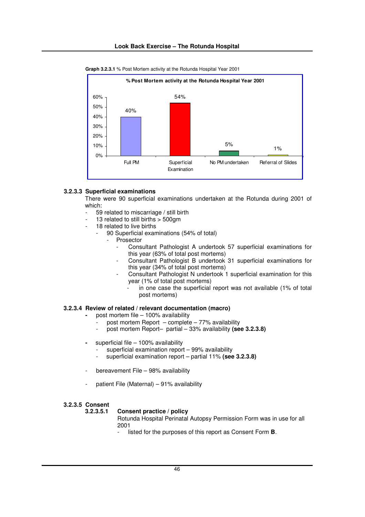

**Graph 3.2.3.1** % Post Mortem activity at the Rotunda Hospital Year 2001

# **3.2.3.3 Superficial examinations**

There were 90 superficial examinations undertaken at the Rotunda during 2001 of which:

- 59 related to miscarriage / still birth
- 13 related to still births  $> 500$ gm
- 18 related to live births
	- 90 Superficial examinations (54% of total)
		- **Prosector** 
			- Consultant Pathologist A undertook 57 superficial examinations for this year (63% of total post mortems)
			- Consultant Pathologist B undertook 31 superficial examinations for this year (34% of total post mortems)
			- Consultant Pathologist N undertook 1 superficial examination for this year (1% of total post mortems)
				- in one case the superficial report was not available (1% of total post mortems)

### **3.2.3.4 Review of related / relevant documentation (macro)**

- **-** post mortem file 100% availability
	- post mortem Report complete  $77%$  availability
	- post mortem Report– partial 33% availability **(see 3.2.3.8)**
- **-** superficial file 100% availability
	- superficial examination report 99% availability
	- superficial examination report partial 11% **(see 3.2.3.8)**
- bereavement File 98% availability
- patient File (Maternal) 91% availability

### **3.2.3.5 Consent**

#### **3.2.3.5.1 Consent practice / policy**

Rotunda Hospital Perinatal Autopsy Permission Form was in use for all 2001

listed for the purposes of this report as Consent Form **B**.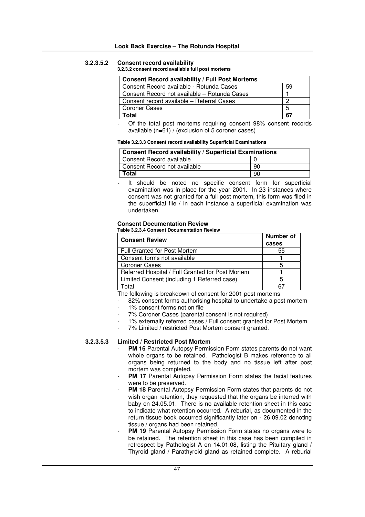# **3.2.3.5.2 Consent record availability**

**3.2.3.2 consent record available full post mortems**

| Consent Record availability / Full Post Mortems |    |
|-------------------------------------------------|----|
| Consent Record available - Rotunda Cases        | 59 |
| Consent Record not available – Rotunda Cases    |    |
| Consent record available - Referral Cases       |    |
| <b>Coroner Cases</b>                            | 5  |
| Total                                           | 67 |

Of the total post mortems requiring consent 98% consent records available (n=61) / (exclusion of 5 coroner cases)

# **Table 3.2.3.3 Consent record availability Superficial Examinations**

| <b>Consent Record availability / Superficial Examinations</b> |    |  |
|---------------------------------------------------------------|----|--|
| Consent Record available                                      |    |  |
| Consent Record not available                                  | 90 |  |
| Total                                                         | 90 |  |

It should be noted no specific consent form for superficial examination was in place for the year 2001. In 23 instances where consent was not granted for a full post mortem, this form was filed in the superficial file / in each instance a superficial examination was undertaken.

#### **Consent Documentation Review Table 3.2.3.4 Consent Documentation Review**

| <b>Consent Review</b>                            | Number of<br>cases |
|--------------------------------------------------|--------------------|
| <b>Full Granted for Post Mortem</b>              | 55                 |
| Consent forms not available                      |                    |
| <b>Coroner Cases</b>                             | 5                  |
| Referred Hospital / Full Granted for Post Mortem |                    |
| Limited Consent (including 1 Referred case)      | 5                  |
| Γotal                                            |                    |

The following is breakdown of consent for 2001 post mortems

- 82% consent forms authorising hospital to undertake a post mortem
- 1% consent forms not on file
- 7% Coroner Cases (parental consent is not required)
- 1% externally referred cases / Full consent granted for Post Mortem
	- 7% Limited / restricted Post Mortem consent granted.

# **3.2.3.5.3 Limited / Restricted Post Mortem**

- PM 16 Parental Autopsy Permission Form states parents do not want whole organs to be retained. Pathologist B makes reference to all organs being returned to the body and no tissue left after post mortem was completed.
- **PM 17** Parental Autopsy Permission Form states the facial features were to be preserved.
- **PM 18** Parental Autopsy Permission Form states that parents do not wish organ retention, they requested that the organs be interred with baby on 24.05.01. There is no available retention sheet in this case to indicate what retention occurred. A reburial, as documented in the return tissue book occurred significantly later on - 26.09.02 denoting tissue / organs had been retained.
- **PM 19** Parental Autopsy Permission Form states no organs were to be retained. The retention sheet in this case has been compiled in retrospect by Pathologist A on 14.01.08, listing the Pituitary gland / Thyroid gland / Parathyroid gland as retained complete. A reburial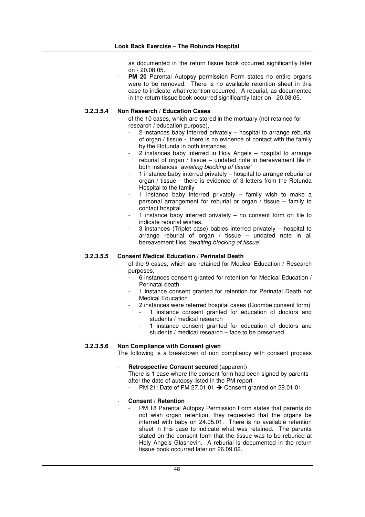as documented in the return tissue book occurred significantly later on - 20.08.05.

PM 20 Parental Autopsy permission Form states no entire organs were to be removed. There is no available retention sheet in this case to indicate what retention occurred. A reburial, as documented in the return tissue book occurred significantly later on - 20.08.05.

# **3.2.3.5.4 Non Research / Education Cases**

- of the 10 cases, which are stored in the mortuary (not retained for research / education purpose),
	- 2 instances baby interred privately hospital to arrange reburial of organ / tissue - there is no evidence of contact with the family by the Rotunda in both instances
	- 2 instances baby interred in Holy Angels hospital to arrange reburial of organ / tissue – undated note in bereavement file in both instances '*awaiting blocking of tissue'*
	- 1 instance baby interred privately hospital to arrange reburial or organ / tissue – there is evidence of 3 letters from the Rotunda Hospital to the family
	- 1 instance baby interred privately  $-$  family wish to make a personal arrangement for reburial or organ / tissue – family to contact hospital
	- 1 instance baby interred privately  $-$  no consent form on file to indicate reburial wishes.
	- 3 instances (Triplet case) babies interred privately hospital to arrange reburial of organ / tissue – undated note in all bereavement files *'awaiting blocking of tissue'*

# **3.2.3.5.5 Consent Medical Education / Perinatal Death**

- of the 9 cases, which are retained for Medical Education / Research purposes,
	- 6 instances consent granted for retention for Medical Education / Perinatal death
	- 1 instance consent granted for retention for Perinatal Death not Medical Education
	- 2 instances were referred hospital cases (Coombe consent form)
		- 1 instance consent granted for education of doctors and students / medical research
		- 1 instance consent granted for education of doctors and students / medical research – face to be preserved

# **3.2.3.5.6 Non Compliance with Consent given**

The following is a breakdown of non compliancy with consent process

# - **Retrospective Consent secured** (apparent)

There is 1 case where the consent form had been signed by parents after the date of autopsy listed in the PM report

PM 21: Date of PM 27.01.01  $\rightarrow$  Consent granted on 29.01.01

# - **Consent / Retention**

PM 18 Parental Autopsy Permission Form states that parents do not wish organ retention, they requested that the organs be interred with baby on 24.05.01. There is no available retention sheet in this case to indicate what was retained. The parents stated on the consent form that the tissue was to be reburied at Holy Angels Glasnevin. A reburial is documented in the return tissue book occurred later on 26.09.02.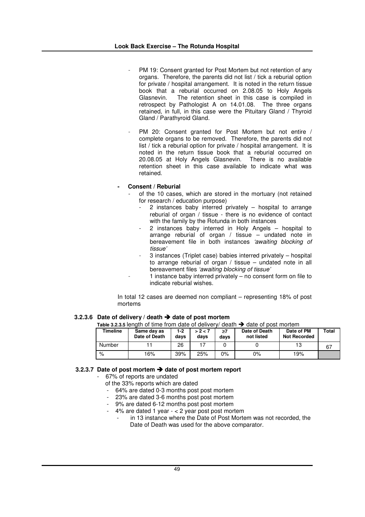- PM 19: Consent granted for Post Mortem but not retention of any organs. Therefore, the parents did not list / tick a reburial option for private / hospital arrangement. It is noted in the return tissue book that a reburial occurred on 2.08.05 to Holy Angels Glasnevin. The retention sheet in this case is compiled in retrospect by Pathologist A on 14.01.08. The three organs retained, in full, in this case were the Pituitary Gland / Thyroid Gland / Parathyroid Gland.
- PM 20: Consent granted for Post Mortem but not entire / complete organs to be removed. Therefore, the parents did not list / tick a reburial option for private / hospital arrangement. It is noted in the return tissue book that a reburial occurred on 20.08.05 at Holy Angels Glasnevin. There is no available retention sheet in this case available to indicate what was retained.

# **- Consent / Reburial**

- of the 10 cases, which are stored in the mortuary (not retained for research / education purpose)
	- $2$  instances baby interred privately  $-$  hospital to arrange reburial of organ / tissue - there is no evidence of contact with the family by the Rotunda in both instances
	- 2 instances baby interred in Holy Angels hospital to arrange reburial of organ / tissue – undated note in bereavement file in both instances *'awaiting blocking of tissue'*
	- 3 instances (Triplet case) babies interred privately hospital to arrange reburial of organ / tissue – undated note in all bereavement files *'awaiting blocking of tissue'*
		- 1 instance baby interred privately no consent form on file to indicate reburial wishes.

In total 12 cases are deemed non compliant – representing 18% of post mortems

# **3.2.3.6 Date of delivery / death date of post mortem**

|  | Table 3.2.3.5 length of time from date of delivery/ death $\rightarrow$ date of post mortem |
|--|---------------------------------------------------------------------------------------------|
|  |                                                                                             |

| Timeline | Same day as<br>Date of Death | 1-2<br>davs | > 2 < 7<br>days | ≥7<br>days | Date of Death<br>not listed | Date of PM<br><b>Not Recorded</b> | Total |
|----------|------------------------------|-------------|-----------------|------------|-----------------------------|-----------------------------------|-------|
| Number   |                              | 26          |                 |            |                             | 13                                |       |
| %        | 16%                          | 39%         | 25%             | 0%         | 0%                          | 19%                               |       |

# **3.2.3.7 Date of post mortem date of post mortem report**

- 67% of reports are undated

- of the 33% reports which are dated
- 64% are dated 0-3 months post post mortem
- 23% are dated 3-6 months post post mortem
- 9% are dated 6-12 months post post mortem
- 4% are dated 1 year  $< 2$  year post post mortem
	- in 13 instance where the Date of Post Mortem was not recorded, the Date of Death was used for the above comparator.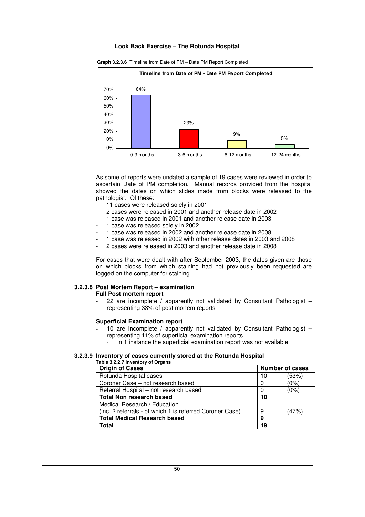



**Graph 3.2.3.6** Timeline from Date of PM – Date PM Report Completed

As some of reports were undated a sample of 19 cases were reviewed in order to ascertain Date of PM completion. Manual records provided from the hospital showed the dates on which slides made from blocks were released to the pathologist. Of these:

- 11 cases were released solely in 2001
- 2 cases were released in 2001 and another release date in 2002
- 1 case was released in 2001 and another release date in 2003
- 1 case was released solely in 2002
- 1 case was released in 2002 and another release date in 2008
- 1 case was released in 2002 with other release dates in 2003 and 2008
- 2 cases were released in 2003 and another release date in 2008

For cases that were dealt with after September 2003, the dates given are those on which blocks from which staining had not previously been requested are logged on the computer for staining

# **3.2.3.8 Post Mortem Report – examination**

# **Full Post mortem report**

22 are incomplete / apparently not validated by Consultant Pathologist  $$ representing 33% of post mortem reports

# **Superficial Examination report**

- 10 are incomplete / apparently not validated by Consultant Pathologist  $$ representing 11% of superficial examination reports
	- in 1 instance the superficial examination report was not available

#### **3.2.3.9 Inventory of cases currently stored at the Rotunda Hospital Table 3.2.2.7 Inventory of Organs**

| <b>Origin of Cases</b><br>Number of cases                |    |       |
|----------------------------------------------------------|----|-------|
| Rotunda Hospital cases                                   | 10 | (53%) |
| Coroner Case - not research based                        |    | (0%)  |
| Referral Hospital - not research based                   |    | (0%)  |
| <b>Total Non research based</b>                          | 10 |       |
| Medical Research / Education                             |    |       |
| (inc. 2 referrals - of which 1 is referred Coroner Case) | 9  | (47%) |
| <b>Total Medical Research based</b>                      | 9  |       |
| Total                                                    | 19 |       |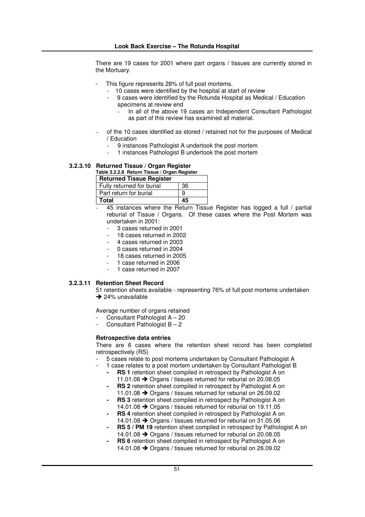There are 19 cases for 2001 where part organs / tissues are currently stored in the Mortuary.

- This figure represents 28% of full post mortems.
	- 10 cases were identified by the hospital at start of review
	- 9 cases were identified by the Rotunda Hospital as Medical / Education specimens at review end
		- In all of the above 19 cases an Independent Consultant Pathologist as part of this review has examined all material.
- of the 10 cases identified as stored / retained not for the purposes of Medical / Education
	- 9 instances Pathologist A undertook the post mortem
	- 1 instances Pathologist B undertook the post mortem

# **3.2.3.10 Returned Tissue / Organ Register**

# **Table 3.2.2.8 Return Tissue / Organ Register**

| <b>Returned Tissue Register</b> |    |
|---------------------------------|----|
| Fully returned for burial       | 36 |
| Part return for burial          | 9  |
| l Total                         | 45 |

- 45 instances where the Return Tissue Register has logged a full / partial reburial of Tissue / Organs. Of these cases where the Post Mortem was undertaken in 2001:
	- 3 cases returned in 2001
	- 18 cases returned in 2002
	- 4 cases returned in 2003
	- 0 cases returned in 2004
	- 18 cases returned in 2005
	- 1 case returned in 2006
	- 1 case returned in 2007

# **3.2.3.11 Retention Sheet Record**

51 retention sheets available - representing 76% of full post mortems undertaken  $\rightarrow$  24% unavailable

Average number of organs retained

- Consultant Pathologist  $A 20$
- Consultant Pathologist  $B 2$

# **Retrospective data entries**

There are 6 cases where the retention sheet record has been completed retrospectively (RS)

- 5 cases relate to post mortems undertaken by Consultant Pathologist A
- 1 case relates to a post mortem undertaken by Consultant Pathologist B
	- **RS** 1 retention sheet compiled in retrospect by Pathologist A on 11.01.08 → Organs / tissues returned for reburial on 20.08.05
	- **- RS 2** retention sheet compiled in retrospect by Pathologist A on 11.01.08 → Organs / tissues returned for reburial on 26.09.02
	- **- RS 3** retention sheet compiled in retrospect by Pathologist A on 14.01.08 → Organs / tissues returned for reburial on 19.11.05
	- **- RS 4** retention sheet compiled in retrospect by Pathologist A on 14.01.08 → Organs / tissues returned for reburial on 31.05.06
	- **- RS 5 / PM 19** retention sheet compiled in retrospect by Pathologist A on 14.01.08 → Organs / tissues returned for reburial on 20.08.05
	- **RS 6** retention sheet compiled in retrospect by Pathologist A on 14.01.08 → Organs / tissues returned for reburial on 26.09.02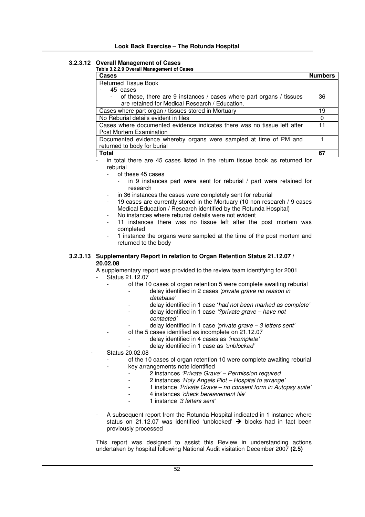# **3.2.3.12 Overall Management of Cases**

# **Table 3.2.2.9 Overall Management of Cases**

| Cases                                                                    | <b>Numbers</b> |
|--------------------------------------------------------------------------|----------------|
| <b>Returned Tissue Book</b>                                              |                |
| 45 cases                                                                 |                |
| - of these, there are 9 instances / cases where part organs / tissues    | 36             |
| are retained for Medical Research / Education.                           |                |
| Cases where part organ / tissues stored in Mortuary                      | 19             |
| No Reburial details evident in files                                     |                |
| Cases where documented evidence indicates there was no tissue left after | 11             |
| Post Mortem Examination                                                  |                |
| Documented evidence whereby organs were sampled at time of PM and        |                |
| returned to body for burial                                              |                |
| Total                                                                    | 67             |

in total there are 45 cases listed in the return tissue book as returned for reburial

- of these 45 cases
	- in 9 instances part were sent for reburial / part were retained for research
- in 36 instances the cases were completely sent for reburial
- 19 cases are currently stored in the Mortuary (10 non research / 9 cases Medical Education / Research identified by the Rotunda Hospital)
- No instances where reburial details were not evident
- 11 instances there was no tissue left after the post mortem was completed
- 1 instance the organs were sampled at the time of the post mortem and returned to the body

# **3.2.3.13 Supplementary Report in relation to Organ Retention Status 21.12.07 / 20.02.08**

A supplementary report was provided to the review team identifying for 2001 Status 21.12.07

- of the 10 cases of organ retention 5 were complete awaiting reburial
	- delay identified in 2 cases *'private grave no reason in database'*
	- delay identified in 1 case '*had not been marked as complete'*
	- delay identified in 1 case *'?private grave – have not contacted'*
	- delay identified in 1 case *'private grave – 3 letters sent'*
	- of the 5 cases identified as incomplete on 21.12.07
		- delay identified in 4 cases as *'incomplete'*
			- delay identified in 1 case as *'unblocked'*
- Status 20.02.08
	- of the 10 cases of organ retention 10 were complete awaiting reburial key arrangements note identified
		- 2 instances *'Private Grave' – Permission required*
		- 2 instances *'Holy Angels Plot – Hospital to arrange'*
		- 1 instance *'Private Grave – no consent form in Autopsy suite'*
		- 4 instances *'check bereavement file'*
			- 1 instance *'3 letters sent'*
	- A subsequent report from the Rotunda Hospital indicated in 1 instance where status on 21.12.07 was identified 'unblocked'  $\rightarrow$  blocks had in fact been previously processed

This report was designed to assist this Review in understanding actions undertaken by hospital following National Audit visitation December 2007 **(2.5)**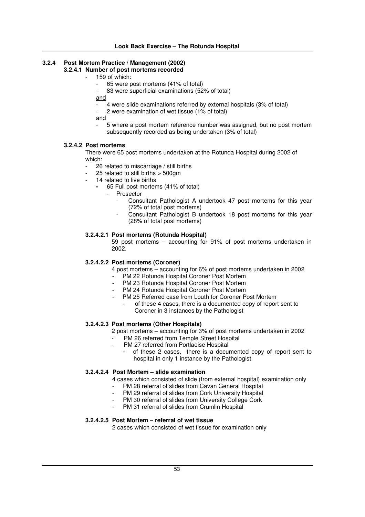# **3.2.4 Post Mortem Practice / Management (2002)**

# **3.2.4.1 Number of post mortems recorded**

- 159 of which:
	- 65 were post mortems (41% of total)
	- 83 were superficial examinations (52% of total)
	- and
		- 4 were slide examinations referred by external hospitals (3% of total)
	- 2 were examination of wet tissue (1% of total)

and

- 5 where a post mortem reference number was assigned, but no post mortem subsequently recorded as being undertaken (3% of total)

# **3.2.4.2 Post mortems**

There were 65 post mortems undertaken at the Rotunda Hospital during 2002 of which:

- 26 related to miscarriage / still births
- 25 related to still births > 500gm
- 14 related to live births
	- **-** 65 Full post mortems (41% of total)
		- **Prosector** 
			- Consultant Pathologist A undertook 47 post mortems for this year (72% of total post mortems)
			- Consultant Pathologist B undertook 18 post mortems for this year (28% of total post mortems)

# **3.2.4.2.1 Post mortems (Rotunda Hospital)**

59 post mortems – accounting for 91% of post mortems undertaken in 2002.

# **3.2.4.2.2 Post mortems (Coroner)**

- 4 post mortems accounting for 6% of post mortems undertaken in 2002
- PM 22 Rotunda Hospital Coroner Post Mortem
- PM 23 Rotunda Hospital Coroner Post Mortem
- PM 24 Rotunda Hospital Coroner Post Mortem
- PM 25 Referred case from Louth for Coroner Post Mortem
	- of these 4 cases, there is a documented copy of report sent to Coroner in 3 instances by the Pathologist

# **3.2.4.2.3 Post mortems (Other Hospitals)**

- 2 post mortems accounting for 3% of post mortems undertaken in 2002
- PM 26 referred from Temple Street Hospital
- PM 27 referred from Portlaoise Hospital
	- of these 2 cases, there is a documented copy of report sent to hospital in only 1 instance by the Pathologist

# **3.2.4.2.4 Post Mortem – slide examination**

4 cases which consisted of slide (from external hospital) examination only

- PM 28 referral of slides from Cavan General Hospital
- PM 29 referral of slides from Cork University Hospital
- PM 30 referral of slides from University College Cork
- PM 31 referral of slides from Crumlin Hospital

# **3.2.4.2.5 Post Mortem – referral of wet tissue**

2 cases which consisted of wet tissue for examination only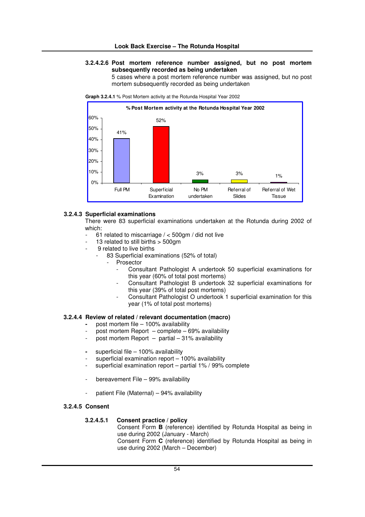### **3.2.4.2.6 Post mortem reference number assigned, but no post mortem subsequently recorded as being undertaken**

5 cases where a post mortem reference number was assigned, but no post mortem subsequently recorded as being undertaken





#### **3.2.4.3 Superficial examinations**

There were 83 superficial examinations undertaken at the Rotunda during 2002 of which:

- 61 related to miscarriage  $/ < 500$ gm  $/$  did not live
- 13 related to still births > 500gm
- 9 related to live births
	- 83 Superficial examinations (52% of total)
		- **Prosector** 
			- Consultant Pathologist A undertook 50 superficial examinations for this year (60% of total post mortems)
			- Consultant Pathologist B undertook 32 superficial examinations for this year (39% of total post mortems)
			- Consultant Pathologist O undertook 1 superficial examination for this year (1% of total post mortems)

#### **3.2.4.4 Review of related / relevant documentation (macro)**

- **-** post mortem file 100% availability
- post mortem Report  $-$  complete  $-69%$  availability
- post mortem Report  $-$  partial  $-31\%$  availability
- **-** superficial file 100% availability
- superficial examination report  $-$  100% availability
- superficial examination report partial 1% / 99% complete
- bereavement File 99% availability
- patient File (Maternal) 94% availability

# **3.2.4.5 Consent**

#### **3.2.4.5.1 Consent practice / policy**

Consent Form **B** (reference) identified by Rotunda Hospital as being in use during 2002 (January - March) Consent Form **C** (reference) identified by Rotunda Hospital as being in use during 2002 (March – December)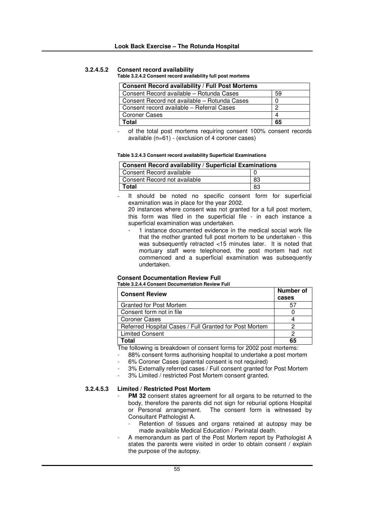# **3.2.4.5.2 Consent record availability**

#### **Table 3.2.4.2 Consent record availability full post mortems**

| <b>Consent Record availability / Full Post Mortems</b> |    |  |  |  |
|--------------------------------------------------------|----|--|--|--|
| Consent Record available - Rotunda Cases               | 59 |  |  |  |
| Consent Record not available – Rotunda Cases           |    |  |  |  |
| Consent record available - Referral Cases              | ≘  |  |  |  |
| <b>Coroner Cases</b>                                   | 4  |  |  |  |
| Total                                                  | 65 |  |  |  |

of the total post mortems requiring consent 100% consent records available (n=61) - (exclusion of 4 coroner cases)

#### **Table 3.2.4.3 Consent record availability Superficial Examinations**

| <b>Consent Record availability / Superficial Examinations</b> |    |  |  |  |
|---------------------------------------------------------------|----|--|--|--|
| Consent Record available                                      |    |  |  |  |
| Consent Record not available                                  | 83 |  |  |  |
| Total                                                         | 83 |  |  |  |

It should be noted no specific consent form for superficial examination was in place for the year 2002.

20 instances where consent was not granted for a full post mortem, this form was filed in the superficial file - in each instance a superficial examination was undertaken.

1 instance documented evidence in the medical social work file that the mother granted full post mortem to be undertaken - this was subsequently retracted <15 minutes later. It is noted that mortuary staff were telephoned, the post mortem had not commenced and a superficial examination was subsequently undertaken.

# **Consent Documentation Review Full**

**Table 3.2.4.4 Consent Documentation Review Full**

| <b>Consent Review</b>                                  | Number of<br>cases |
|--------------------------------------------------------|--------------------|
| <b>Granted for Post Mortem</b>                         | 5/                 |
| Consent form not in file                               |                    |
| <b>Coroner Cases</b>                                   |                    |
| Referred Hospital Cases / Full Granted for Post Mortem |                    |
| <b>Limited Consent</b>                                 |                    |
| `otal                                                  | 65                 |

The following is breakdown of consent forms for 2002 post mortems:

- 88% consent forms authorising hospital to undertake a post mortem
- 6% Coroner Cases (parental consent is not required)
- 3% Externally referred cases / Full consent granted for Post Mortem
- 3% Limited / restricted Post Mortem consent granted.

### **3.2.4.5.3 Limited / Restricted Post Mortem**

- **PM** 32 consent states agreement for all organs to be returned to the body, therefore the parents did not sign for reburial options Hospital or Personal arrangement. The consent form is witnessed by Consultant Pathologist A.
	- Retention of tissues and organs retained at autopsy may be made available Medical Education / Perinatal death.
- A memorandum as part of the Post Mortem report by Pathologist A states the parents were visited in order to obtain consent / explain the purpose of the autopsy.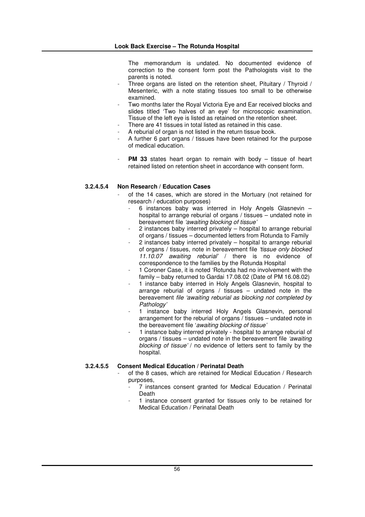The memorandum is undated. No documented evidence of correction to the consent form post the Pathologists visit to the parents is noted.

- Three organs are listed on the retention sheet, Pituitary / Thyroid / Mesenteric, with a note stating tissues too small to be otherwise examined.
- Two months later the Royal Victoria Eye and Ear received blocks and slides titled 'Two halves of an eye' for microscopic examination. Tissue of the left eye is listed as retained on the retention sheet.
- There are 41 tissues in total listed as retained in this case.
- A reburial of organ is not listed in the return tissue book.
- A further 6 part organs / tissues have been retained for the purpose of medical education.
- **PM** 33 states heart organ to remain with body tissue of heart retained listed on retention sheet in accordance with consent form.

# **3.2.4.5.4 Non Research / Education Cases**

- of the 14 cases, which are stored in the Mortuary (not retained for research / education purposes)
	- 6 instances baby was interred in Holy Angels Glasnevin hospital to arrange reburial of organs / tissues – undated note in bereavement file *'awaiting blocking of tissue'*
	- 2 instances baby interred privately hospital to arrange reburial of organs / tissues – documented letters from Rotunda to Family
	- 2 instances baby interred privately hospital to arrange reburial of organs / tissues, note in bereavement file *'tissue only blocked 11.10.07 awaiting reburial'* / there is no evidence of correspondence to the families by the Rotunda Hospital
	- 1 Coroner Case, it is noted 'Rotunda had no involvement with the family – baby returned to Gardai 17.08.02 (Date of PM 16.08.02)
	- 1 instance baby interred in Holy Angels Glasnevin, hospital to arrange reburial of organs / tissues – undated note in the bereavement *file 'awaiting reburial as blocking not completed by Pathology'*
	- 1 instance baby interred Holy Angels Glasnevin, personal arrangement for the reburial of organs / tissues – undated note in the bereavement file '*awaiting blocking of tissue'*
	- 1 instance baby interred privately hospital to arrange reburial of organs / tissues – undated note in the bereavement file *'awaiting blocking of tissue'* / no evidence of letters sent to family by the hospital.

# **3.2.4.5.5 Consent Medical Education / Perinatal Death**

- of the 8 cases, which are retained for Medical Education / Research purposes,
	- 7 instances consent granted for Medical Education / Perinatal **Death**
	- 1 instance consent granted for tissues only to be retained for Medical Education / Perinatal Death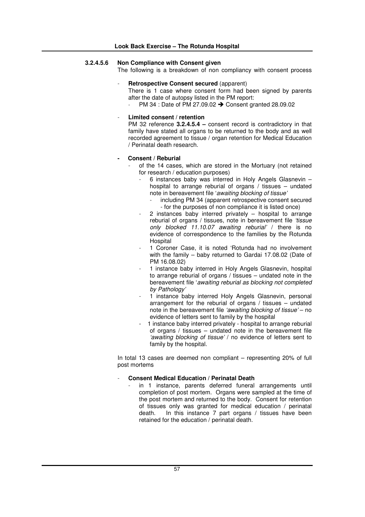# **3.2.4.5.6 Non Compliance with Consent given**

The following is a breakdown of non compliancy with consent process

- **Retrospective Consent secured** (apparent)

There is 1 case where consent form had been signed by parents after the date of autopsy listed in the PM report:

PM 34 : Date of PM 27.09.02  $\rightarrow$  Consent granted 28.09.02

### - **Limited consent / retention**

PM 32 reference **3.2.4.5.4 –** consent record is contradictory in that family have stated all organs to be returned to the body and as well recorded agreement to tissue / organ retention for Medical Education / Perinatal death research.

### **- Consent / Reburial**

- of the 14 cases, which are stored in the Mortuary (not retained for research / education purposes)
	- 6 instances baby was interred in Holy Angels Glasnevin hospital to arrange reburial of organs / tissues – undated note in bereavement file '*awaiting blocking of tissue'*
		- including PM 34 (apparent retrospective consent secured - for the purposes of non compliance it is listed once)
	- $2$  instances baby interred privately  $-$  hospital to arrange reburial of organs / tissues, note in bereavement file *'tissue only blocked 11.10.07 awaiting reburial'* / there is no evidence of correspondence to the families by the Rotunda **Hospital**
	- 1 Coroner Case, it is noted 'Rotunda had no involvement with the family – baby returned to Gardai 17.08.02 (Date of PM 16.08.02)
	- 1 instance baby interred in Holy Angels Glasnevin, hospital to arrange reburial of organs / tissues – undated note in the bereavement file '*awaiting reburial as blocking not completed by Pathology'*
	- 1 instance baby interred Holy Angels Glasnevin, personal arrangement for the reburial of organs / tissues – undated note in the bereavement file *'awaiting blocking of tissue'* – no evidence of letters sent to family by the hospital
	- 1 instance baby interred privately hospital to arrange reburial of organs / tissues – undated note in the bereavement file *'awaiting blocking of tissue'* / no evidence of letters sent to family by the hospital.

In total 13 cases are deemed non compliant – representing 20% of full post mortems

# - **Consent Medical Education / Perinatal Death**

in 1 instance, parents deferred funeral arrangements until completion of post mortem. Organs were sampled at the time of the post mortem and returned to the body. Consent for retention of tissues only was granted for medical education / perinatal death. In this instance 7 part organs / tissues have been retained for the education / perinatal death.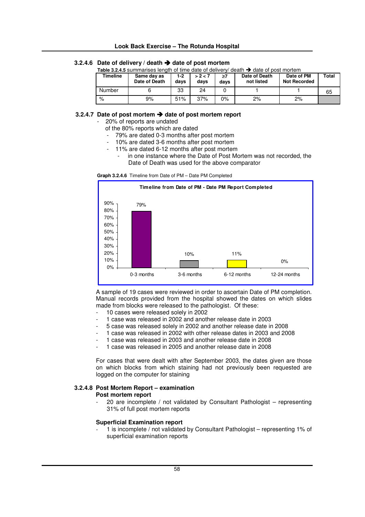# **Look Back Exercise – The Rotunda Hospital**

# **3.2.4.6 Date of delivery / death date of post mortem**

**Table 3.2.4.5** summarises length of time date of delivery/ death  $\rightarrow$  date of post mortem

| Timeline      | Same day as<br>Date of Death | 1-2<br>davs | > 2 < 7<br>days | ≥7<br>days | Date of Death<br>not listed | Date of PM<br><b>Not Recorded</b> | Total |
|---------------|------------------------------|-------------|-----------------|------------|-----------------------------|-----------------------------------|-------|
| <b>Number</b> |                              | 33          | 24              |            |                             |                                   | 65    |
| %             | 9%                           | 51%         | 37%             | 0%         | 2%                          | 2%                                |       |

### **3.2.4.7 Date of post mortem date of post mortem report**

20% of reports are undated

- of the 80% reports which are dated
- 79% are dated 0-3 months after post mortem
- 10% are dated 3-6 months after post mortem
- 11% are dated 6-12 months after post mortem
	- in one instance where the Date of Post Mortem was not recorded, the Date of Death was used for the above comparator





A sample of 19 cases were reviewed in order to ascertain Date of PM completion. Manual records provided from the hospital showed the dates on which slides made from blocks were released to the pathologist. Of these:

- 10 cases were released solely in 2002
- 1 case was released in 2002 and another release date in 2003
- 5 case was released solely in 2002 and another release date in 2008
- 1 case was released in 2002 with other release dates in 2003 and 2008
	- 1 case was released in 2003 and another release date in 2008
- 1 case was released in 2005 and another release date in 2008

For cases that were dealt with after September 2003, the dates given are those on which blocks from which staining had not previously been requested are logged on the computer for staining

# **3.2.4.8 Post Mortem Report – examination**

# **Post mortem report**

20 are incomplete / not validated by Consultant Pathologist - representing 31% of full post mortem reports

# **Superficial Examination report**

- 1 is incomplete / not validated by Consultant Pathologist – representing 1% of superficial examination reports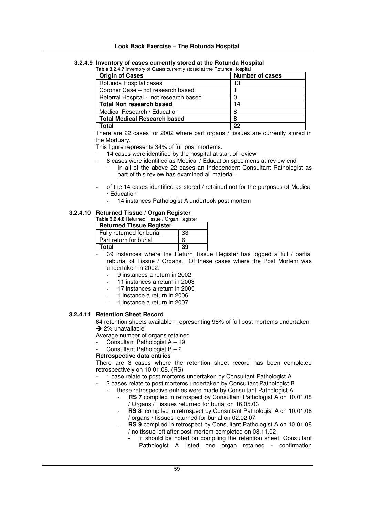# **3.2.4.9 Inventory of cases currently stored at the Rotunda Hospital**

| Table 3.2.4.7 Inventory of Cases currently stored at the Rotunda Hospital |                        |
|---------------------------------------------------------------------------|------------------------|
| <b>Origin of Cases</b>                                                    | <b>Number of cases</b> |
| Rotunda Hospital cases                                                    | 13                     |
| Coroner Case – not research based                                         |                        |
| Referral Hospital - not research based                                    |                        |
| <b>Total Non research based</b>                                           | 14                     |
| Medical Research / Education                                              | 8                      |
| <b>Total Medical Research based</b>                                       | 8                      |
| Total                                                                     | 22                     |

**Total 22** There are 22 cases for 2002 where part organs / tissues are currently stored in

the Mortuary.

This figure represents 34% of full post mortems.

- 14 cases were identified by the hospital at start of review
- 8 cases were identified as Medical / Education specimens at review end
	- In all of the above 22 cases an Independent Consultant Pathologist as part of this review has examined all material.
- of the 14 cases identified as stored / retained not for the purposes of Medical / Education
	- 14 instances Pathologist A undertook post mortem

# **3.2.4.10 Returned Tissue / Organ Register**

**Table 3.2.4.8** Returned Tissue / Organ Register

| <b>Returned Tissue Register</b> |    |  |  |  |
|---------------------------------|----|--|--|--|
| Fully returned for burial       | 33 |  |  |  |
| Part return for burial          | 6  |  |  |  |
| Total                           |    |  |  |  |

39 instances where the Return Tissue Register has logged a full / partial reburial of Tissue / Organs. Of these cases where the Post Mortem was undertaken in 2002:

- 9 instances a return in 2002
- 11 instances a return in 2003
- 17 instances a return in 2005
- 1 instance a return in 2006
- 1 instance a return in 2007

# **3.2.4.11 Retention Sheet Record**

64 retention sheets available - representing 98% of full post mortems undertaken  $\rightarrow$  2% unavailable

Average number of organs retained

- Consultant Pathologist A 19
- Consultant Pathologist  $B 2$

# **Retrospective data entries**

There are 3 cases where the retention sheet record has been completed retrospectively on 10.01.08. (RS)

- 1 case relate to post mortems undertaken by Consultant Pathologist A
	- 2 cases relate to post mortems undertaken by Consultant Pathologist B
	- these retrospective entries were made by Consultant Pathologist A
		- **RS** 7 compiled in retrospect by Consultant Pathologist A on 10.01.08 / Organs / Tissues returned for burial on 16.05.03
		- **RS** 8 compiled in retrospect by Consultant Pathologist A on 10.01.08 / organs / tissues returned for burial on 02.02.07
		- RS 9 compiled in retrospect by Consultant Pathologist A on 10.01.08 / no tissue left after post mortem completed on 08.11.02
			- **-** it should be noted on compiling the retention sheet, Consultant Pathologist A listed one organ retained - confirmation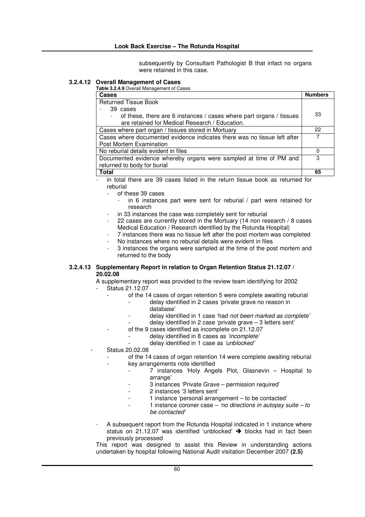subsequently by Consultant Pathologist B that infact no organs were retained in this case.

# **3.2.4.12 Overall Management of Cases**

**Table 3.2.4.9** Overall Management of Cases

| Cases                                                                    | <b>Numbers</b> |
|--------------------------------------------------------------------------|----------------|
| <b>Returned Tissue Book</b>                                              |                |
| 39 cases                                                                 |                |
| of these, there are 6 instances / cases where part organs / tissues      | 33             |
| are retained for Medical Research / Education.                           |                |
| Cases where part organ / tissues stored in Mortuary                      | 22             |
| Cases where documented evidence indicates there was no tissue left after |                |
| Post Mortem Examination                                                  |                |
| No reburial details evident in files                                     | O              |
| Documented evidence whereby organs were sampled at time of PM and        | З              |
| returned to body for burial                                              |                |
| <b>Total</b>                                                             | 65             |

in total there are 39 cases listed in the return tissue book as returned for reburial

- of these 39 cases
	- in 6 instances part were sent for reburial  $/$  part were retained for research
- in 33 instances the case was completely sent for reburial
- 22 cases are currently stored in the Mortuary (14 non research / 8 cases Medical Education / Research identified by the Rotunda Hospital)
- 7 instances there was no tissue left after the post mortem was completed
- No instances where no reburial details were evident in files
- 3 instances the organs were sampled at the time of the post mortem and returned to the body

### **3.2.4.13 Supplementary Report in relation to Organ Retention Status 21.12.07 / 20.02.08**

A supplementary report was provided to the review team identifying for 2002 - Status 21.12.07

- of the 14 cases of organ retention 5 were complete awaiting reburial
	- delay identified in 2 cases 'private grave no reason in
		- database'
	- delay identified in 1 case 'had *not been marked as complete'*
	- delay identified in 2 case 'private grave  $-3$  letters sent'
- of the 9 cases identified as incomplete on 21.12.07
	- delay identified in 8 cases as *'incomplete'*
	- delay identified in 1 case as *'unblocked'*
- Status 20.02.08
	- of the 14 cases of organ retention 14 were complete awaiting reburial
		- key arrangements note identified
			- 7 instances 'Holy Angels Plot, Glasnevin Hospital to arrange'
				- 3 instances 'Private Grave permission required'
			- 2 instances '3 letters sent'
			- 1 instance 'personal arrangement to be contacted'
			- 1 instance coroner case *'no directions in autopsy suite – to be contacted'*
	- A subsequent report from the Rotunda Hospital indicated in 1 instance where status on 21.12.07 was identified 'unblocked'  $\rightarrow$  blocks had in fact been previously processed

This report was designed to assist this Review in understanding actions undertaken by hospital following National Audit visitation December 2007 **(2.5)**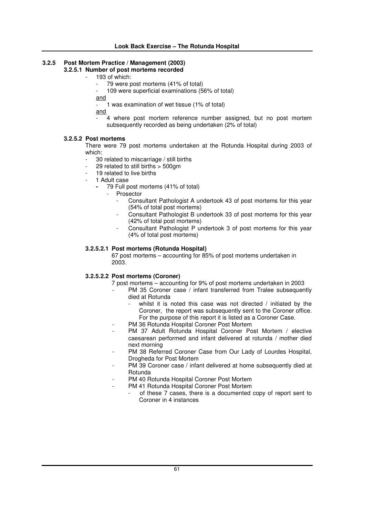# **3.2.5 Post Mortem Practice / Management (2003)**

# **3.2.5.1 Number of post mortems recorded**

- 193 of which:
	- 79 were post mortems (41% of total)
	- 109 were superficial examinations (56% of total)

and

1 was examination of wet tissue (1% of total)

and

4 where post mortem reference number assigned, but no post mortem subsequently recorded as being undertaken (2% of total)

# **3.2.5.2 Post mortems**

There were 79 post mortems undertaken at the Rotunda Hospital during 2003 of which:

- 30 related to miscarriage / still births
- 29 related to still births > 500gm
- 19 related to live births
- 1 Adult case
	- **-** 79 Full post mortems (41% of total)
		- **Prosector** 
			- Consultant Pathologist A undertook 43 of post mortems for this year (54% of total post mortems)
			- Consultant Pathologist B undertook 33 of post mortems for this year (42% of total post mortems)
			- Consultant Pathologist P undertook 3 of post mortems for this year (4% of total post mortems)

# **3.2.5.2.1 Post mortems (Rotunda Hospital)**

67 post mortems – accounting for 85% of post mortems undertaken in 2003.

# **3.2.5.2.2 Post mortems (Coroner)**

7 post mortems – accounting for 9% of post mortems undertaken in 2003

- PM 35 Coroner case / infant transferred from Tralee subsequently died at Rotunda
	- whilst it is noted this case was not directed  $/$  initiated by the Coroner, the report was subsequently sent to the Coroner office. For the purpose of this report it is listed as a Coroner Case.
- PM 36 Rotunda Hospital Coroner Post Mortem
- PM 37 Adult Rotunda Hospital Coroner Post Mortem / elective caesarean performed and infant delivered at rotunda / mother died next morning
- PM 38 Referred Coroner Case from Our Lady of Lourdes Hospital, Drogheda for Post Mortem
- PM 39 Coroner case / infant delivered at home subsequently died at Rotunda
- PM 40 Rotunda Hospital Coroner Post Mortem
	- PM 41 Rotunda Hospital Coroner Post Mortem
		- of these 7 cases, there is a documented copy of report sent to Coroner in 4 instances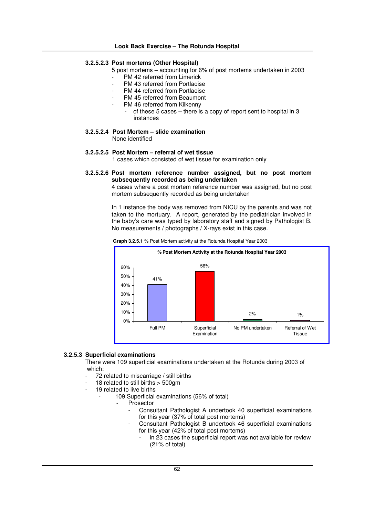### **3.2.5.2.3 Post mortems (Other Hospital)**

- 5 post mortems accounting for 6% of post mortems undertaken in 2003
	- PM 42 referred from Limerick
	- PM 43 referred from Portlaoise
	- PM 44 referred from Portlaoise
	- PM 45 referred from Beaumont
	- PM 46 referred from Kilkenny
		- of these 5 cases there is a copy of report sent to hospital in 3 instances
- **3.2.5.2.4 Post Mortem – slide examination**

None identified

**3.2.5.2.5 Post Mortem – referral of wet tissue**

1 cases which consisted of wet tissue for examination only

**3.2.5.2.6 Post mortem reference number assigned, but no post mortem subsequently recorded as being undertaken**

4 cases where a post mortem reference number was assigned, but no post mortem subsequently recorded as being undertaken

In 1 instance the body was removed from NICU by the parents and was not taken to the mortuary. A report, generated by the pediatrician involved in the baby's care was typed by laboratory staff and signed by Pathologist B. No measurements / photographs / X-rays exist in this case.

**Graph 3.2.5.1** % Post Mortem activity at the Rotunda Hospital Year 2003



# **3.2.5.3 Superficial examinations**

There were 109 superficial examinations undertaken at the Rotunda during 2003 of which:

- 72 related to miscarriage / still births
- 18 related to still births  $>$  500gm
- 19 related to live births
	- 109 Superficial examinations (56% of total)
		- **Prosector** 
			- Consultant Pathologist A undertook 40 superficial examinations for this year (37% of total post mortems)
			- Consultant Pathologist B undertook 46 superficial examinations for this year (42% of total post mortems)
				- in 23 cases the superficial report was not available for review (21% of total)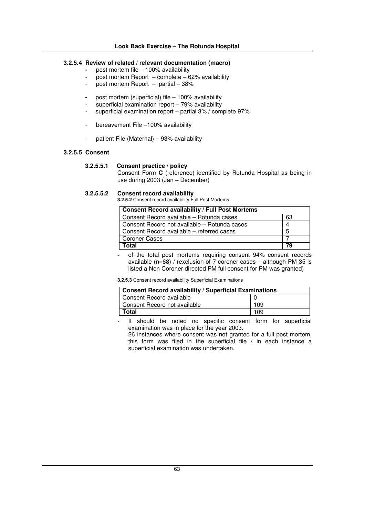# **3.2.5.4 Review of related / relevant documentation (macro)**

- **-** post mortem file 100% availability
- post mortem Report complete 62% availability
- post mortem Report partial 38%
- **-** post mortem (superficial) file 100% availability
- superficial examination report 79% availability
- superficial examination report partial 3% / complete 97%
- bereavement File –100% availability
- patient File (Maternal) 93% availability

# **3.2.5.5 Consent**

### **3.2.5.5.1 Consent practice / policy**

Consent Form **C** (reference) identified by Rotunda Hospital as being in use during 2003 (Jan – December)

# **3.2.5.5.2 Consent record availability**

**3.2.5.2** Consent record availability Full Post Mortems

| <b>Consent Record availability / Full Post Mortems</b> |    |  |  |
|--------------------------------------------------------|----|--|--|
| Consent Record available - Rotunda cases               | 63 |  |  |
| Consent Record not available - Rotunda cases           |    |  |  |
| Consent Record available – referred cases              | 5  |  |  |
| <b>Coroner Cases</b>                                   |    |  |  |
| Total                                                  | 79 |  |  |

of the total post mortems requiring consent 94% consent records available (n=68) / (exclusion of 7 coroner cases – although PM 35 is listed a Non Coroner directed PM full consent for PM was granted)

**3.2.5.3** Consent record availability Superficial Examinations

| <b>Consent Record availability / Superficial Examinations</b> |     |
|---------------------------------------------------------------|-----|
| Consent Record available                                      |     |
| Consent Record not available                                  | 109 |
| Total                                                         | 109 |

It should be noted no specific consent form for superficial examination was in place for the year 2003.

26 instances where consent was not granted for a full post mortem. this form was filed in the superficial file / in each instance a superficial examination was undertaken.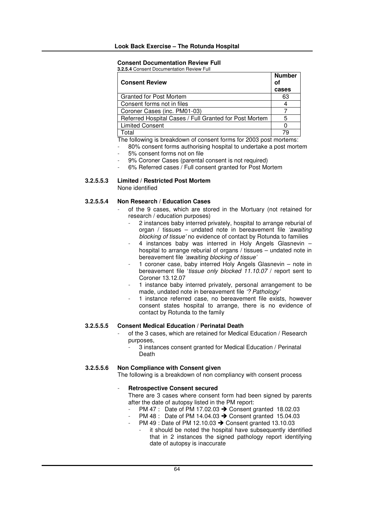# **Consent Documentation Review Full**

**3.2.5.4** Consent Documentation Review Full

| <b>Number</b> |
|---------------|
| cases         |
| 63            |
|               |
|               |
| 5             |
|               |
| 79            |
|               |

The following is breakdown of consent forms for 2003 post mortems:

- 80% consent forms authorising hospital to undertake a post mortem
- 5% consent forms not on file
- 9% Coroner Cases (parental consent is not required)
- 6% Referred cases / Full consent granted for Post Mortem

# **3.2.5.5.3 Limited / Restricted Post Mortem**

None identified

# **3.2.5.5.4 Non Research / Education Cases**

- of the 9 cases, which are stored in the Mortuary (not retained for research / education purposes)
	- 2 instances baby interred privately, hospital to arrange reburial of organ / tissues – undated note in bereavement file *'awaiting blocking of tissue'* no evidence of contact by Rotunda to families
	- 4 instances baby was interred in Holy Angels Glasnevin hospital to arrange reburial of organs / tissues – undated note in bereavement file *'awaiting blocking of tissue'*
	- 1 coroner case, baby interred Holy Angels Glasnevin note in bereavement file '*tissue only blocked 11.10.07* / report sent to Coroner 13.12.07
	- 1 instance baby interred privately, personal arrangement to be made, undated note in bereavement file *'? Pathology'*
	- 1 instance referred case, no bereavement file exists, however consent states hospital to arrange, there is no evidence of contact by Rotunda to the family

# **3.2.5.5.5 Consent Medical Education / Perinatal Death**

- of the 3 cases, which are retained for Medical Education / Research purposes,
	- 3 instances consent granted for Medical Education / Perinatal Death

# **3.2.5.5.6 Non Compliance with Consent given**

The following is a breakdown of non compliancy with consent process

# - **Retrospective Consent secured**

There are 3 cases where consent form had been signed by parents after the date of autopsy listed in the PM report:

- PM 47 : Date of PM 17.02.03  $\rightarrow$  Consent granted 18.02.03
- PM 48 : Date of PM 14.04.03  $\rightarrow$  Consent granted 15.04.03
- PM 49 : Date of PM 12.10.03  $\rightarrow$  Consent granted 13.10.03 it should be noted the hospital have subsequently identified that in 2 instances the signed pathology report identifying date of autopsy is inaccurate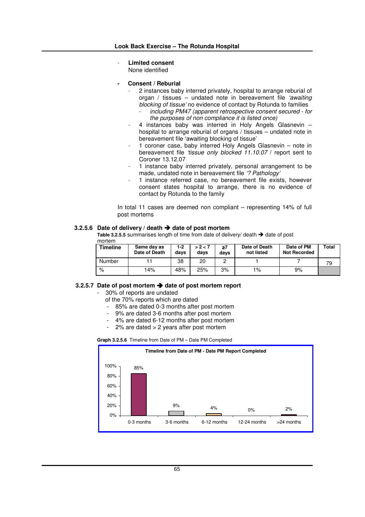- **Limited consent**

None identified

- **- Consent / Reburial**
	- 2 instances baby interred privately, hospital to arrange reburial of organ / tissues – undated note in bereavement file *'awaiting blocking of tissue'* no evidence of contact by Rotunda to families
		- *including PM47 (apparent retrospective consent secured - for the purposes of non compliance it is listed once)*
	- 4 instances baby was interred in Holy Angels Glasnevin hospital to arrange reburial of organs / tissues – undated note in bereavement file 'awaiting blocking of tissue'
	- 1 coroner case, baby interred Holy Angels Glasnevin note in bereavement file *'tissue only blocked 11.10.07* / report sent to Coroner 13.12.07
	- 1 instance baby interred privately, personal arrangement to be made, undated note in bereavement file *'? Pathology'*
	- 1 instance referred case, no bereavement file exists, however consent states hospital to arrange, there is no evidence of contact by Rotunda to the family

In total 11 cases are deemed non compliant – representing 14% of full post mortems

### **3.2.5.6 Date of delivery / death date of post mortem**

**Table 3.2.5.5** summarises length of time from date of delivery/ death  $\rightarrow$  date of post mortem

| <b>Timeline</b> | Same day as<br>Date of Death | 1-2<br>davs | > 2 < 7<br>davs | davs | Date of Death<br>not listed | Date of PM<br><b>Not Recorded</b> | Total |
|-----------------|------------------------------|-------------|-----------------|------|-----------------------------|-----------------------------------|-------|
| Number          |                              | 38          | 20              |      |                             |                                   | 79    |
| %               | 14%                          | 48%         | 25%             | 3%   | $1\%$                       | 9%                                |       |

#### **3.2.5.7 Date of post mortem date of post mortem report**

- 30% of reports are undated
	- of the 70% reports which are dated
	- 85% are dated 0-3 months after post mortem
	- 9% are dated 3-6 months after post mortem
	- 4% are dated 6-12 months after post mortem
	- $2\%$  are dated  $> 2$  years after post mortem

**Graph 3.2.5.6** Timeline from Date of PM – Date PM Completed

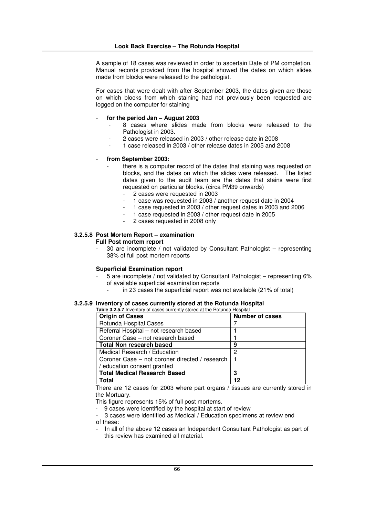A sample of 18 cases was reviewed in order to ascertain Date of PM completion. Manual records provided from the hospital showed the dates on which slides made from blocks were released to the pathologist.

For cases that were dealt with after September 2003, the dates given are those on which blocks from which staining had not previously been requested are logged on the computer for staining

- **for the period Jan – August 2003**
	- 8 cases where slides made from blocks were released to the Pathologist in 2003.
	- 2 cases were released in 2003 / other release date in 2008
	- 1 case released in 2003 / other release dates in 2005 and 2008
- **from September 2003:**
	- there is a computer record of the dates that staining was requested on blocks, and the dates on which the slides were released. The listed dates given to the audit team are the dates that stains were first requested on particular blocks. (circa PM39 onwards)
		- 2 cases were requested in 2003
		- 1 case was requested in 2003 / another request date in 2004
		- 1 case requested in 2003 / other request dates in 2003 and 2006
		- 1 case requested in 2003 / other request date in 2005
		- 2 cases requested in 2008 only

# **3.2.5.8 Post Mortem Report – examination**

**Full Post mortem report**

30 are incomplete / not validated by Consultant Pathologist - representing 38% of full post mortem reports

### **Superficial Examination report**

- 5 are incomplete / not validated by Consultant Pathologist representing 6% of available superficial examination reports
	- in 23 cases the superficial report was not available (21% of total)

# **3.2.5.9 Inventory of cases currently stored at the Rotunda Hospital**

| <b>Table 3.2.5.7</b> Inventory of cases currently stored at the Rotunda Hospital |                        |
|----------------------------------------------------------------------------------|------------------------|
| <b>Origin of Cases</b>                                                           | <b>Number of cases</b> |
| Rotunda Hospital Cases                                                           |                        |
| Referral Hospital - not research based                                           |                        |
| Coroner Case – not research based                                                |                        |
| <b>Total Non research based</b>                                                  | 9                      |
| Medical Research / Education                                                     | 2                      |
| Coroner Case – not coroner directed / research                                   |                        |
| education consent granted                                                        |                        |
| <b>Total Medical Research Based</b>                                              | 3                      |
| Total                                                                            | 12                     |

There are 12 cases for 2003 where part organs / tissues are currently stored in the Mortuary.

This figure represents 15% of full post mortems.

- 9 cases were identified by the hospital at start of review
- 3 cases were identified as Medical / Education specimens at review end of these:
- In all of the above 12 cases an Independent Consultant Pathologist as part of this review has examined all material.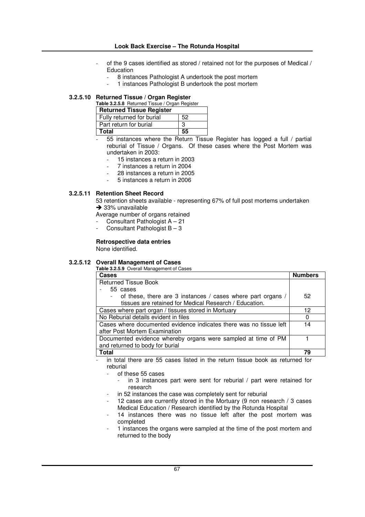# **Look Back Exercise – The Rotunda Hospital**

- of the 9 cases identified as stored / retained not for the purposes of Medical / Education
	- 8 instances Pathologist A undertook the post mortem
	- 1 instances Pathologist B undertook the post mortem

# **3.2.5.10 Returned Tissue / Organ Register**

| Table 3.2.5.8 Returned Tissue / Organ Register |    |
|------------------------------------------------|----|
| <b>Returned Tissue Register</b>                |    |
| Fully returned for burial                      | 52 |
| Part return for burial                         | з  |
| Total                                          | 55 |

- 55 instances where the Return Tissue Register has logged a full / partial reburial of Tissue / Organs. Of these cases where the Post Mortem was undertaken in 2003:

- 15 instances a return in 2003
- 7 instances a return in 2004
- 28 instances a return in 2005
- 5 instances a return in 2006

# **3.2.5.11 Retention Sheet Record**

53 retention sheets available - representing 67% of full post mortems undertaken  $\rightarrow$  33% unavailable

Average number of organs retained

- Consultant Pathologist  $A 21$
- Consultant Pathologist  $B 3$

# **Retrospective data entries**

None identified.

# **3.2.5.12 Overall Management of Cases**

**Table 3.2.5.9** Overall Management of Cases

| <b>Cases</b>                                                       | <b>Numbers</b> |
|--------------------------------------------------------------------|----------------|
| <b>Returned Tissue Book</b>                                        |                |
| 55 cases                                                           |                |
| of these, there are 3 instances / cases where part organs /        | 52             |
| tissues are retained for Medical Research / Education.             |                |
| Cases where part organ / tissues stored in Mortuary                | 12             |
| No Reburial details evident in files                               | 0              |
| Cases where documented evidence indicates there was no tissue left | 14             |
| after Post Mortem Examination                                      |                |
| Documented evidence whereby organs were sampled at time of PM      |                |
| and returned to body for burial                                    |                |
| Total                                                              | 79             |

in total there are 55 cases listed in the return tissue book as returned for reburial

- of these 55 cases

- in 3 instances part were sent for reburial / part were retained for research
- in 52 instances the case was completely sent for reburial
- 12 cases are currently stored in the Mortuary (9 non research / 3 cases Medical Education / Research identified by the Rotunda Hospital
- 14 instances there was no tissue left after the post mortem was completed
- 1 instances the organs were sampled at the time of the post mortem and returned to the body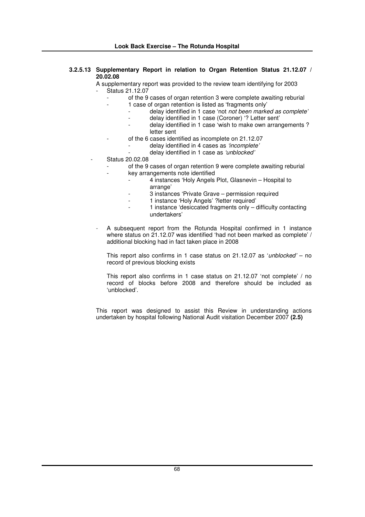# **3.2.5.13 Supplementary Report in relation to Organ Retention Status 21.12.07 / 20.02.08**

A supplementary report was provided to the review team identifying for 2003 Status 21.12.07

- of the 9 cases of organ retention 3 were complete awaiting reburial
- 1 case of organ retention is listed as 'fragments only'
	- delay identified in 1 case 'not *not been marked as complete'*
		- delay identified in 1 case (Coroner) '? Letter sent'
		- delay identified in 1 case 'wish to make own arrangements ? letter sent
- of the 6 cases identified as incomplete on 21.12.07
	- delay identified in 4 cases as *'incomplete'*
		- delay identified in 1 case as *'unblocked'*
- Status 20.02.08
	- of the 9 cases of organ retention 9 were complete awaiting reburial key arrangements note identified
		- 4 instances 'Holy Angels Plot, Glasnevin Hospital to arrange'
		- 3 instances 'Private Grave permission required
		- 1 instance 'Holy Angels' ?letter required'
		- 1 instance 'desiccated fragments only difficulty contacting undertakers'
- A subsequent report from the Rotunda Hospital confirmed in 1 instance where status on 21.12.07 was identified 'had not been marked as complete' / additional blocking had in fact taken place in 2008

This report also confirms in 1 case status on 21.12.07 as '*unblocked'* – no record of previous blocking exists

This report also confirms in 1 case status on 21.12.07 'not complete' / no record of blocks before 2008 and therefore should be included as 'unblocked'.

This report was designed to assist this Review in understanding actions undertaken by hospital following National Audit visitation December 2007 **(2.5)**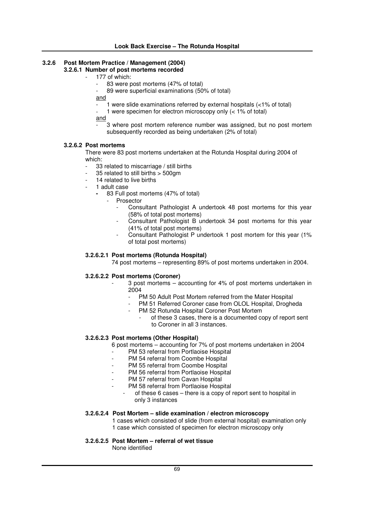#### **3.2.6 Post Mortem Practice / Management (2004) 3.2.6.1 Number of post mortems recorded**

- 177 of which:
	- 83 were post mortems (47% of total)
	- 89 were superficial examinations (50% of total)
	- and
		- 1 were slide examinations referred by external hospitals  $($  <1% of total)
	- 1 were specimen for electron microscopy only  $(< 1\%$  of total)
	- and
		- 3 where post mortem reference number was assigned, but no post mortem subsequently recorded as being undertaken (2% of total)

# **3.2.6.2 Post mortems**

There were 83 post mortems undertaken at the Rotunda Hospital during 2004 of which:

- 33 related to miscarriage / still births
- 35 related to still births > 500gm
- 14 related to live births
- 1 adult case
	- **-** 83 Full post mortems (47% of total)
		- **Prosector** 
			- Consultant Pathologist A undertook 48 post mortems for this year (58% of total post mortems)
			- Consultant Pathologist B undertook 34 post mortems for this year (41% of total post mortems)
			- Consultant Pathologist P undertook 1 post mortem for this year (1%) of total post mortems)

# **3.2.6.2.1 Post mortems (Rotunda Hospital)**

74 post mortems – representing 89% of post mortems undertaken in 2004.

# **3.2.6.2.2 Post mortems (Coroner)**

- 3 post mortems accounting for 4% of post mortems undertaken in 2004
	- PM 50 Adult Post Mortem referred from the Mater Hospital
	- PM 51 Referred Coroner case from OLOL Hospital, Drogheda
	- PM 52 Rotunda Hospital Coroner Post Mortem
		- of these 3 cases, there is a documented copy of report sent to Coroner in all 3 instances.

# **3.2.6.2.3 Post mortems (Other Hospital)**

6 post mortems – accounting for 7% of post mortems undertaken in 2004

- PM 53 referral from Portlaoise Hospital
- PM 54 referral from Coombe Hospital
- PM 55 referral from Coombe Hospital
- PM 56 referral from Portlaoise Hospital
- PM 57 referral from Cavan Hospital
- PM 58 referral from Portlaoise Hospital
	- of these 6 cases there is a copy of report sent to hospital in only 3 instances

# **3.2.6.2.4 Post Mortem – slide examination / electron microscopy**

1 cases which consisted of slide (from external hospital) examination only 1 case which consisted of specimen for electron microscopy only

# **3.2.6.2.5 Post Mortem – referral of wet tissue**

None identified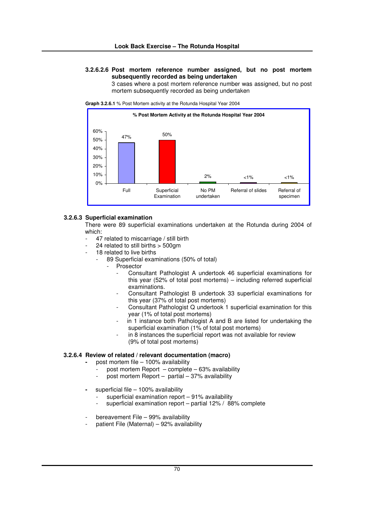# **3.2.6.2.6 Post mortem reference number assigned, but no post mortem subsequently recorded as being undertaken**

3 cases where a post mortem reference number was assigned, but no post mortem subsequently recorded as being undertaken



**Graph 3.2.6.1** % Post Mortem activity at the Rotunda Hospital Year 2004

### **3.2.6.3 Superficial examination**

There were 89 superficial examinations undertaken at the Rotunda during 2004 of which:

- 47 related to miscarriage / still birth
- 24 related to still births  $>$  500gm
- 18 related to live births
	- 89 Superficial examinations (50% of total)
		- Prosector
			- Consultant Pathologist A undertook 46 superficial examinations for this year (52% of total post mortems) – including referred superficial examinations.
			- Consultant Pathologist B undertook 33 superficial examinations for this year (37% of total post mortems)
			- Consultant Pathologist Q undertook 1 superficial examination for this year (1% of total post mortems)
			- in 1 instance both Pathologist A and B are listed for undertaking the superficial examination (1% of total post mortems)
			- in 8 instances the superficial report was not available for review (9% of total post mortems)

### **3.2.6.4 Review of related / relevant documentation (macro)**

- **-** post mortem file 100% availability
	- post mortem Report  $-$  complete  $-$  63% availability
	- post mortem Report  $-$  partial  $-37%$  availability
- **-** superficial file 100% availability
	- superficial examination report  $-91%$  availability
	- superficial examination report partial  $12\%$  /  $88\%$  complete
- bereavement File 99% availability
- patient File (Maternal) 92% availability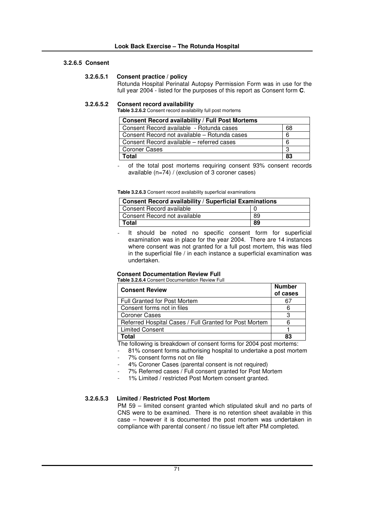# **3.2.6.5 Consent**

# **3.2.6.5.1 Consent practice / policy**

Rotunda Hospital Perinatal Autopsy Permission Form was in use for the full year 2004 - listed for the purposes of this report as Consent form **C**.

### **3.2.6.5.2 Consent record availability**

**Table 3.2.6.2** Consent record availability full post mortems

| <b>Consent Record availability / Full Post Mortems</b> |    |
|--------------------------------------------------------|----|
| Consent Record available - Rotunda cases               | 68 |
| Consent Record not available – Rotunda cases           | 6  |
| Consent Record available – referred cases              | 6  |
| <b>Coroner Cases</b>                                   | 3  |
| Total                                                  | 83 |

of the total post mortems requiring consent 93% consent records available (n=74) / (exclusion of 3 coroner cases)

#### **Table 3.2.6.3** Consent record availability superficial examinations

| <b>Consent Record availability / Superficial Examinations</b> |    |
|---------------------------------------------------------------|----|
| Consent Record available                                      |    |
| Consent Record not available                                  | 89 |
| Total                                                         | 89 |

It should be noted no specific consent form for superficial examination was in place for the year 2004. There are 14 instances where consent was not granted for a full post mortem, this was filed in the superficial file / in each instance a superficial examination was undertaken.

# **Consent Documentation Review Full**

**Table 3.2.6.4** Consent Documentation Review Full

| <b>Consent Review</b>                                  | <b>Number</b><br>of cases |
|--------------------------------------------------------|---------------------------|
| <b>Full Granted for Post Mortem</b>                    | 67                        |
| Consent forms not in files                             | 6                         |
| <b>Coroner Cases</b>                                   | З                         |
| Referred Hospital Cases / Full Granted for Post Mortem | ี                         |
| <b>Limited Consent</b>                                 |                           |
| 'otal                                                  | 83                        |

The following is breakdown of consent forms for 2004 post mortems:

81% consent forms authorising hospital to undertake a post mortem

- 7% consent forms not on file
- 4% Coroner Cases (parental consent is not required)
- 7% Referred cases / Full consent granted for Post Mortem
- 1% Limited / restricted Post Mortem consent granted.

# **3.2.6.5.3 Limited / Restricted Post Mortem**

PM 59 – limited consent granted which stipulated skull and no parts of CNS were to be examined. There is no retention sheet available in this case – however it is documented the post mortem was undertaken in compliance with parental consent / no tissue left after PM completed.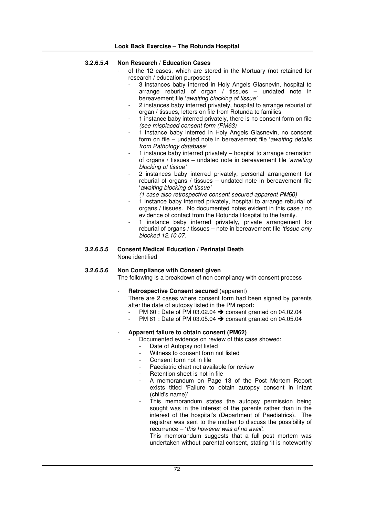| 3.2.6.5.4 | Non Research / Education Cases<br>of the 12 cases, which are stored in the Mortuary (not retained for<br>research / education purposes)<br>3 instances baby interred in Holy Angels Glasnevin, hospital to<br>arrange reburial of organ / tissues - undated note in<br>bereavement file 'awaiting blocking of tissue'<br>2 instances baby interred privately, hospital to arrange reburial of<br>organ / tissues, letters on file from Rotunda to families<br>1 instance baby interred privately, there is no consent form on file<br>$\overline{\phantom{a}}$<br>(see misplaced consent form (PM63)<br>1 instance baby interred in Holy Angels Glasnevin, no consent<br>form on file - undated note in bereavement file 'awaiting details<br>from Pathology database'<br>1 instance baby interred privately - hospital to arrange cremation<br>of organs / tissues - undated note in bereavement file 'awaiting<br>blocking of tissue'<br>2 instances baby interred privately, personal arrangement for<br>$\qquad \qquad -$<br>reburial of organs / tissues - undated note in bereavement file<br>'awaiting blocking of tissue'<br>(1 case also retrospective consent secured apparent PM60)<br>1 instance baby interred privately, hospital to arrange reburial of<br>organs / tissues. No documented notes evident in this case / no<br>evidence of contact from the Rotunda Hospital to the family.<br>1 instance baby interred privately, private arrangement for<br>$\overline{\phantom{a}}$<br>reburial of organs / tissues - note in bereavement file 'tissue only<br>blocked 12.10.07. |
|-----------|--------------------------------------------------------------------------------------------------------------------------------------------------------------------------------------------------------------------------------------------------------------------------------------------------------------------------------------------------------------------------------------------------------------------------------------------------------------------------------------------------------------------------------------------------------------------------------------------------------------------------------------------------------------------------------------------------------------------------------------------------------------------------------------------------------------------------------------------------------------------------------------------------------------------------------------------------------------------------------------------------------------------------------------------------------------------------------------------------------------------------------------------------------------------------------------------------------------------------------------------------------------------------------------------------------------------------------------------------------------------------------------------------------------------------------------------------------------------------------------------------------------------------------------------------------------------------------------------------|
| 3.2.6.5.5 | <b>Consent Medical Education / Perinatal Death</b><br>None identified                                                                                                                                                                                                                                                                                                                                                                                                                                                                                                                                                                                                                                                                                                                                                                                                                                                                                                                                                                                                                                                                                                                                                                                                                                                                                                                                                                                                                                                                                                                            |
| 3.2.6.5.6 | Non Compliance with Consent given<br>The following is a breakdown of non compliancy with consent process<br><b>Retrospective Consent secured (apparent)</b><br>There are 2 cases where consent form had been signed by parents<br>after the date of autopsy listed in the PM report:<br>PM 60 : Date of PM 03.02.04 → consent granted on 04.02.04<br>PM 61 : Date of PM 03.05.04 → consent granted on 04.05.04<br>Apparent failure to obtain consent (PM62)<br>Documented evidence on review of this case showed:<br>Date of Autopsy not listed<br>Witness to consent form not listed<br>Consent form not in file<br>Paediatric chart not available for review<br>Retention sheet is not in file<br>A memorandum on Page 13 of the Post Mortem Report<br>exists titled 'Failure to obtain autopsy consent in infant<br>(child's name)'<br>This memorandum states the autopsy permission being<br>sought was in the interest of the parents rather than in the<br>interest of the hospital's (Department of Paediatrics). The<br>registrar was sent to the mother to discuss the possibility of<br>recurrence - 'this however was of no avail'.<br>This memorandum suggests that a full post mortem was<br>undertaken without parental consent, stating 'it is noteworthy                                                                                                                                                                                                                                                                                                                         |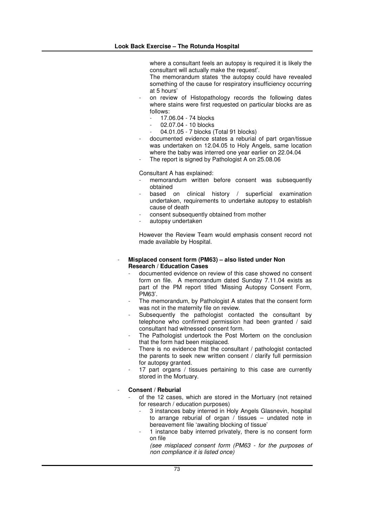where a consultant feels an autopsy is required it is likely the consultant will actually make the request'.

The memorandum states 'the autopsy could have revealed something of the cause for respiratory insufficiency occurring at 5 hours'

- on review of Histopathology records the following dates where stains were first requested on particular blocks are as follows:
	- 17.06.04 74 blocks
	- 02.07.04 10 blocks
	- 04.01.05 7 blocks (Total 91 blocks)
- documented evidence states a reburial of part organ/tissue was undertaken on 12.04.05 to Holy Angels, same location where the baby was interred one year earlier on 22.04.04
- The report is signed by Pathologist A on 25.08.06

Consultant A has explained:

- memorandum written before consent was subsequently obtained
- based on clinical history / superficial examination undertaken, requirements to undertake autopsy to establish cause of death
- consent subsequently obtained from mother
- autopsy undertaken

However the Review Team would emphasis consent record not made available by Hospital.

#### - **Misplaced consent form (PM63) – also listed under Non Research / Education Cases**

- documented evidence on review of this case showed no consent form on file. A memorandum dated Sunday 7.11.04 exists as part of the PM report titled 'Missing Autopsy Consent Form, PM63'.
- The memorandum, by Pathologist A states that the consent form was not in the maternity file on review.
- Subsequently the pathologist contacted the consultant by telephone who confirmed permission had been granted / said consultant had witnessed consent form.
- The Pathologist undertook the Post Mortem on the conclusion that the form had been misplaced.
- There is no evidence that the consultant / pathologist contacted the parents to seek new written consent / clarify full permission for autopsy granted.
- 17 part organs / tissues pertaining to this case are currently stored in the Mortuary.

#### - **Consent / Reburial**

- of the 12 cases, which are stored in the Mortuary (not retained for research / education purposes)
	- 3 instances baby interred in Holy Angels Glasnevin, hospital to arrange reburial of organ / tissues – undated note in bereavement file 'awaiting blocking of tissue'
	- 1 instance baby interred privately, there is no consent form on file

*(see misplaced consent form (PM63 - for the purposes of non compliance it is listed once)*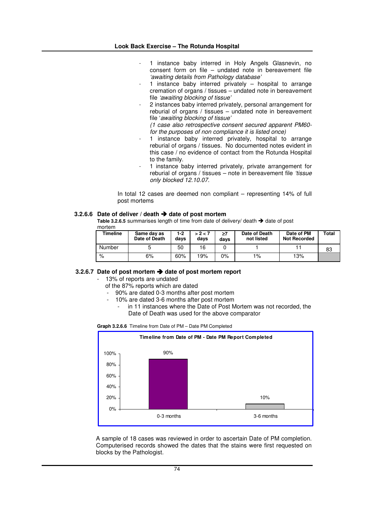- 1 instance baby interred in Holy Angels Glasnevin, no consent form on file – undated note in bereavement file *'awaiting details from Pathology database'*
- 1 instance baby interred privately  $-$  hospital to arrange cremation of organs / tissues – undated note in bereavement file *'awaiting blocking of tissue'*
- 2 instances baby interred privately, personal arrangement for reburial of organs / tissues – undated note in bereavement file '*awaiting blocking of tissue'*

*(1 case also retrospective consent secured apparent PM60 for the purposes of non compliance it is listed once)*

- 1 instance baby interred privately, hospital to arrange reburial of organs / tissues. No documented notes evident in this case / no evidence of contact from the Rotunda Hospital to the family.
- 1 instance baby interred privately, private arrangement for reburial of organs / tissues – note in bereavement file *'tissue only blocked 12.10.07.*

In total 12 cases are deemed non compliant – representing 14% of full post mortems

#### **3.2.6.6 Date of deliver / death date of post mortem**

Table 3.2.6.5 summarises length of time from date of delivery/ death → date of post mortem

| Timeline | Same day as<br>Date of Death | 1-2<br>davs | > 2 < 7<br>days | ≥7<br>days | Date of Death<br>not listed | Date of PM<br><b>Not Recorded</b> | Total |
|----------|------------------------------|-------------|-----------------|------------|-----------------------------|-----------------------------------|-------|
| Number   |                              | 50          | 16              |            |                             |                                   | 83    |
| %        | 6%                           | 60%         | 19%             | 0%         | 1%                          | 13%                               |       |

#### **3.2.6.7 Date of post mortem date of post mortem report**

13% of reports are undated

- of the 87% reports which are dated
- 90% are dated 0-3 months after post mortem
- 10% are dated 3-6 months after post mortem
	- in 11 instances where the Date of Post Mortem was not recorded, the Date of Death was used for the above comparator

**Graph 3.2.6.6** Timeline from Date of PM – Date PM Completed



A sample of 18 cases was reviewed in order to ascertain Date of PM completion. Computerised records showed the dates that the stains were first requested on blocks by the Pathologist.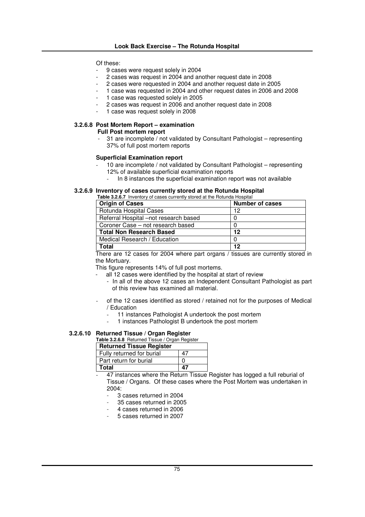Of these:

- 9 cases were request solely in 2004
- 2 cases was request in 2004 and another request date in 2008
- 2 cases were requested in 2004 and another request date in 2005
- 1 case was requested in 2004 and other request dates in 2006 and 2008
- 1 case was requested solely in 2005
- 2 cases was request in 2006 and another request date in 2008
- 1 case was request solely in 2008

## **3.2.6.8 Post Mortem Report – examination**

**Full Post mortem report**

- 31 are incomplete / not validated by Consultant Pathologist – representing 37% of full post mortem reports

#### **Superficial Examination report**

- 10 are incomplete / not validated by Consultant Pathologist representing 12% of available superficial examination reports
	- In 8 instances the superficial examination report was not available

#### **3.2.6.9 Inventory of cases currently stored at the Rotunda Hospital**

**Table 3.2.6.7** Inventory of cases currently stored at the Rotunda Hospital

| <b>Origin of Cases</b>                | <b>Number of cases</b> |
|---------------------------------------|------------------------|
| Rotunda Hospital Cases                | 12                     |
| Referral Hospital -not research based |                        |
| Coroner Case – not research based     |                        |
| <b>Total Non Research Based</b>       | 12                     |
| Medical Research / Education          |                        |
| Total                                 | 12                     |

There are 12 cases for 2004 where part organs / tissues are currently stored in the Mortuary.

This figure represents 14% of full post mortems.

- all 12 cases were identified by the hospital at start of review
	- In all of the above 12 cases an Independent Consultant Pathologist as part of this review has examined all material.
- of the 12 cases identified as stored / retained not for the purposes of Medical / Education
	- 11 instances Pathologist A undertook the post mortem
	- 1 instances Pathologist B undertook the post mortem

### **3.2.6.10 Returned Tissue / Organ Register**

| <b>Table 3.2.6.8</b> Returned Tissue / Organ Register |              |  |  |  |
|-------------------------------------------------------|--------------|--|--|--|
| <b>Returned Tissue Register</b>                       |              |  |  |  |
| Fully returned for burial                             | 47           |  |  |  |
| Part return for burial                                | $\mathbf{U}$ |  |  |  |
| <b>Total</b>                                          | 47           |  |  |  |

- 47 instances where the Return Tissue Register has logged a full reburial of Tissue / Organs. Of these cases where the Post Mortem was undertaken in 2004:
	- 3 cases returned in 2004
	- 35 cases returned in 2005
	- 4 cases returned in 2006
	- 5 cases returned in 2007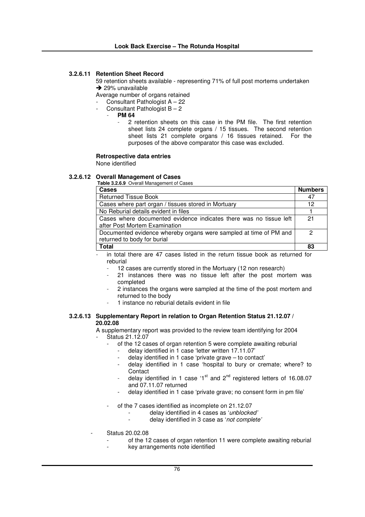#### **3.2.6.11 Retention Sheet Record**

59 retention sheets available - representing 71% of full post mortems undertaken  $\rightarrow$  29% unavailable

Average number of organs retained

- Consultant Pathologist A 22
- Consultant Pathologist  $B 2$ 
	- **PM 64**
		- 2 retention sheets on this case in the PM file. The first retention sheet lists 24 complete organs / 15 tissues. The second retention sheet lists 21 complete organs / 16 tissues retained. For the purposes of the above comparator this case was excluded.

#### **Retrospective data entries**

None identified

#### **3.2.6.12 Overall Management of Cases**

**Table 3.2.6.9** Overall Management of Cases

| Cases                                                                                            | <b>Numbers</b> |
|--------------------------------------------------------------------------------------------------|----------------|
| <b>Returned Tissue Book</b>                                                                      | 47             |
| Cases where part organ / tissues stored in Mortuary                                              |                |
| No Reburial details evident in files                                                             |                |
| Cases where documented evidence indicates there was no tissue left                               | 21             |
| after Post Mortem Examination                                                                    |                |
| Documented evidence whereby organs were sampled at time of PM and<br>returned to body for burial | 2              |
| <b>Total</b>                                                                                     | 83             |

in total there are 47 cases listed in the return tissue book as returned for reburial

- 12 cases are currently stored in the Mortuary (12 non research)
- 21 instances there was no tissue left after the post mortem was completed
- 2 instances the organs were sampled at the time of the post mortem and returned to the body
- 1 instance no reburial details evident in file

#### **3.2.6.13 Supplementary Report in relation to Organ Retention Status 21.12.07 / 20.02.08**

A supplementary report was provided to the review team identifying for 2004

#### Status 21.12.07

- of the 12 cases of organ retention 5 were complete awaiting reburial
	- delay identified in 1 case 'letter written 17.11.07'
	- delay identified in 1 case 'private grave to contact'
	- delay identified in 1 case 'hospital to bury or cremate; where? to **Contact**
	- delay identified in 1 case '1<sup>st</sup> and 2<sup>nd</sup> registered letters of 16.08.07 and 07.11.07 returned
	- delay identified in 1 case 'private grave; no consent form in pm file'
- of the 7 cases identified as incomplete on 21.12.07
	- delay identified in 4 cases as '*unblocked'*
	- delay identified in 3 case as '*not complete'*
- Status 20.02.08
	- of the 12 cases of organ retention 11 were complete awaiting reburial
		- key arrangements note identified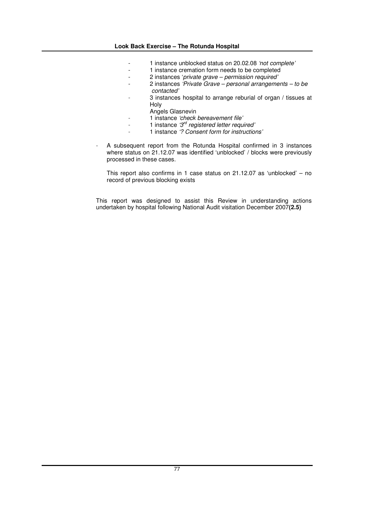- 1 instance unblocked status on 20.02.08 *'not complete'*
- 1 instance cremation form needs to be completed
- 2 instances '*private grave – permission required'*
- 2 instances *'Private Grave – personal arrangements – to be contacted'*
- 3 instances hospital to arrange reburial of organ / tissues at Holy
	- Angels Glasnevin
- 1 instance *'check bereavement file'*
- 1 instance *'3 rd registered letter required'*
- 1 instance *'? Consent form for instructions'*
- A subsequent report from the Rotunda Hospital confirmed in 3 instances where status on 21.12.07 was identified 'unblocked' / blocks were previously processed in these cases.

This report also confirms in 1 case status on 21.12.07 as 'unblocked' – no record of previous blocking exists

This report was designed to assist this Review in understanding actions undertaken by hospital following National Audit visitation December 2007**(2.5)**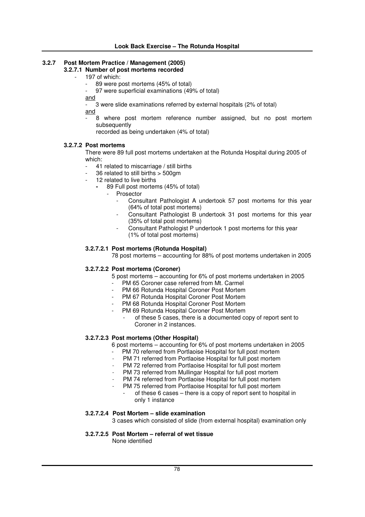## **3.2.7 Post Mortem Practice / Management (2005)**

- **3.2.7.1 Number of post mortems recorded**
	- 197 of which:
		- 89 were post mortems (45% of total)
			- 97 were superficial examinations (49% of total)

and

- 3 were slide examinations referred by external hospitals (2% of total)

and

8 where post mortem reference number assigned, but no post mortem subsequently

recorded as being undertaken (4% of total)

#### **3.2.7.2 Post mortems**

There were 89 full post mortems undertaken at the Rotunda Hospital during 2005 of which:

- 41 related to miscarriage / still births
- 36 related to still births > 500gm
- 12 related to live births
	- **-** 89 Full post mortems (45% of total)
		- **Prosector** 
			- Consultant Pathologist A undertook 57 post mortems for this year (64% of total post mortems)
			- Consultant Pathologist B undertook 31 post mortems for this year (35% of total post mortems)
			- Consultant Pathologist P undertook 1 post mortems for this year (1% of total post mortems)

#### **3.2.7.2.1 Post mortems (Rotunda Hospital)**

78 post mortems – accounting for 88% of post mortems undertaken in 2005

#### **3.2.7.2.2 Post mortems (Coroner)**

- 5 post mortems accounting for 6% of post mortems undertaken in 2005
	- PM 65 Coroner case referred from Mt. Carmel
	- PM 66 Rotunda Hospital Coroner Post Mortem
	- PM 67 Rotunda Hospital Coroner Post Mortem
	- PM 68 Rotunda Hospital Coroner Post Mortem
	- PM 69 Rotunda Hospital Coroner Post Mortem
		- of these 5 cases, there is a documented copy of report sent to Coroner in 2 instances.

#### **3.2.7.2.3 Post mortems (Other Hospital)**

6 post mortems – accounting for 6% of post mortems undertaken in 2005

- PM 70 referred from Portlaoise Hospital for full post mortem
- PM 71 referred from Portlaoise Hospital for full post mortem
- PM 72 referred from Portlaoise Hospital for full post mortem
- PM 73 referred from Mullingar Hospital for full post mortem
- PM 74 referred from Portlaoise Hospital for full post mortem
- PM 75 referred from Portlaoise Hospital for full post mortem
	- of these 6 cases there is a copy of report sent to hospital in only 1 instance

#### **3.2.7.2.4 Post Mortem – slide examination**

3 cases which consisted of slide (from external hospital) examination only

#### **3.2.7.2.5 Post Mortem – referral of wet tissue**

None identified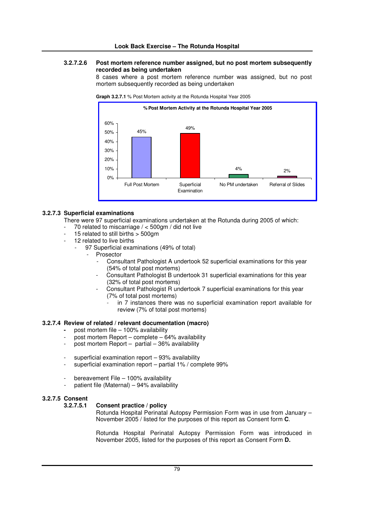#### **3.2.7.2.6 Post mortem reference number assigned, but no post mortem subsequently recorded as being undertaken**

8 cases where a post mortem reference number was assigned, but no post mortem subsequently recorded as being undertaken



**Graph 3.2.7.1** % Post Mortem activity at the Rotunda Hospital Year 2005

#### **3.2.7.3 Superficial examinations**

There were 97 superficial examinations undertaken at the Rotunda during 2005 of which:

- 70 related to miscarriage  $/ < 500$ gm  $/$  did not live
- 15 related to still births  $> 500$  am
- 12 related to live births
	- 97 Superficial examinations (49% of total)
		- **Prosector** 
			- Consultant Pathologist A undertook 52 superficial examinations for this year (54% of total post mortems)
			- Consultant Pathologist B undertook 31 superficial examinations for this year (32% of total post mortems)
			- Consultant Pathologist R undertook 7 superficial examinations for this year (7% of total post mortems)
				- in 7 instances there was no superficial examination report available for review (7% of total post mortems)

#### **3.2.7.4 Review of related / relevant documentation (macro)**

- **-** post mortem file 100% availability
- post mortem Report complete  $64%$  availability
- post mortem Report  $-$  partial  $-36\%$  availability
- superficial examination report  $-$  93% availability
- superficial examination report partial 1% / complete 99%
- bereavement File 100% availability
- patient file (Maternal)  $-94%$  availability

#### **3.2.7.5 Consent**

#### **3.2.7.5.1 Consent practice / policy**

Rotunda Hospital Perinatal Autopsy Permission Form was in use from January – November 2005 / listed for the purposes of this report as Consent form **C**.

Rotunda Hospital Perinatal Autopsy Permission Form was introduced in November 2005, listed for the purposes of this report as Consent Form **D.**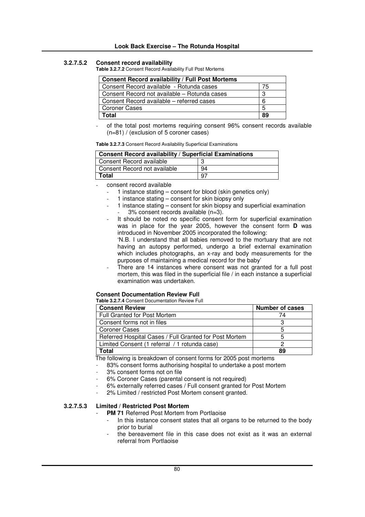#### **3.2.7.5.2 Consent record availability**

**Table 3.2.7.2** Consent Record Availability Full Post Mortems

| <b>Consent Record availability / Full Post Mortems</b> |    |
|--------------------------------------------------------|----|
| Consent Record available - Rotunda cases               | 75 |
| Consent Record not available – Rotunda cases           | 3  |
| Consent Record available – referred cases              | 6  |
| <b>Coroner Cases</b>                                   | 5  |
| Total                                                  | 89 |

of the total post mortems requiring consent 96% consent records available (n=81) / (exclusion of 5 coroner cases)

**Table 3.2.7.3** Consent Record Availability Superficial Examinations

| <b>Consent Record availability / Superficial Examinations</b> |     |  |  |  |
|---------------------------------------------------------------|-----|--|--|--|
| Consent Record available                                      |     |  |  |  |
| Consent Record not available                                  | 94  |  |  |  |
| Total                                                         | -97 |  |  |  |

consent record available

- 1 instance stating consent for blood (skin genetics only)
- 1 instance stating  $-$  consent for skin biopsy only
- 1 instance stating consent for skin biopsy and superficial examination  $3\%$  consent records available  $(n=3)$ .
- It should be noted no specific consent form for superficial examination was in place for the year 2005, however the consent form **D** was introduced in November 2005 incorporated the following:

'N.B. I understand that all babies removed to the mortuary that are not having an autopsy performed, undergo a brief external examination which includes photographs, an x-ray and body measurements for the purposes of maintaining a medical record for the baby'

There are 14 instances where consent was not granted for a full post mortem, this was filed in the superficial file / in each instance a superficial examination was undertaken.

#### **Consent Documentation Review Full**

**Table 3.2.7.4** Consent Documentation Review Full

| <b>Number of cases</b> |
|------------------------|
| 74                     |
|                        |
|                        |
|                        |
|                        |
| 89                     |
|                        |

The following is breakdown of consent forms for 2005 post mortems

83% consent forms authorising hospital to undertake a post mortem

- 3% consent forms not on file
- 6% Coroner Cases (parental consent is not required)
- 6% externally referred cases / Full consent granted for Post Mortem
- 2% Limited / restricted Post Mortem consent granted.

## **3.2.7.5.3 Limited / Restricted Post Mortem**

- **PM 71** Referred Post Mortem from Portlaoise
	- In this instance consent states that all organs to be returned to the body prior to burial
	- the bereavement file in this case does not exist as it was an external referral from Portlaoise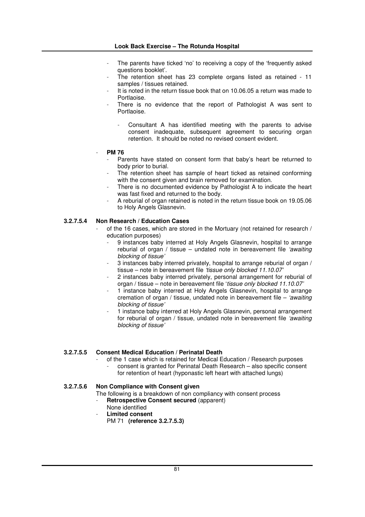- The parents have ticked 'no' to receiving a copy of the 'frequently asked questions booklet'.
- The retention sheet has 23 complete organs listed as retained 11 samples / tissues retained.
- It is noted in the return tissue book that on 10.06.05 a return was made to Portlaoise.
- There is no evidence that the report of Pathologist A was sent to Portlaoise.
	- Consultant A has identified meeting with the parents to advise consent inadequate, subsequent agreement to securing organ retention. It should be noted no revised consent evident.
- **PM 76**
	- Parents have stated on consent form that baby's heart be returned to body prior to burial.
	- The retention sheet has sample of heart ticked as retained conforming with the consent given and brain removed for examination.
	- There is no documented evidence by Pathologist A to indicate the heart was fast fixed and returned to the body.
	- A reburial of organ retained is noted in the return tissue book on 19.05.06 to Holy Angels Glasnevin.

#### **3.2.7.5.4 Non Research / Education Cases**

- of the 16 cases, which are stored in the Mortuary (not retained for research / education purposes)
	- 9 instances baby interred at Holy Angels Glasnevin, hospital to arrange reburial of organ / tissue – undated note in bereavement file *'awaiting blocking of tissue'*
	- 3 instances baby interred privately, hospital to arrange reburial of organ / tissue – note in bereavement file *'tissue only blocked 11.10.07'*
	- 2 instances baby interred privately, personal arrangement for reburial of organ / tissue – note in bereavement file '*tissue only blocked 11.10.07'*
	- 1 instance baby interred at Holy Angels Glasnevin, hospital to arrange cremation of organ / tissue, undated note in bereavement file – *'awaiting blocking of tissue'*
	- 1 instance baby interred at Holy Angels Glasnevin, personal arrangement for reburial of organ / tissue, undated note in bereavement file *'awaiting blocking of tissue'*

### **3.2.7.5.5 Consent Medical Education / Perinatal Death**

- of the 1 case which is retained for Medical Education / Research purposes
	- consent is granted for Perinatal Death Research also specific consent for retention of heart (hyponastic left heart with attached lungs)

#### **3.2.7.5.6 Non Compliance with Consent given**

- The following is a breakdown of non compliancy with consent process
- **Retrospective Consent secured** (apparent)
- None identified
- **Limited consent**
	- PM 71 **(reference 3.2.7.5.3)**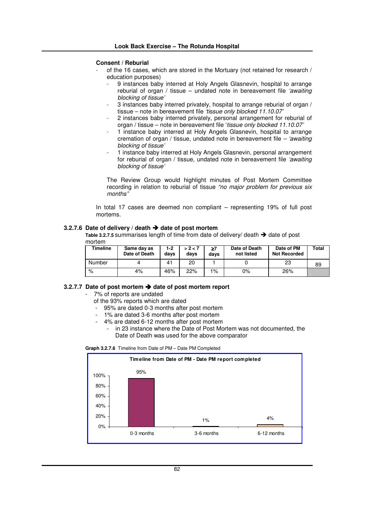#### **Consent / Reburial**

- of the 16 cases, which are stored in the Mortuary (not retained for research / education purposes)
	- 9 instances baby interred at Holy Angels Glasnevin, hospital to arrange reburial of organ / tissue – undated note in bereavement file *'awaiting blocking of tissue'*
	- 3 instances baby interred privately, hospital to arrange reburial of organ / tissue – note in bereavement file *'tissue only blocked 11.10.07'*
	- 2 instances baby interred privately, personal arrangement for reburial of organ / tissue – note in bereavement file '*tissue only blocked 11.10.07'*
	- 1 instance baby interred at Holy Angels Glasnevin, hospital to arrange cremation of organ / tissue, undated note in bereavement file *– 'awaiting blocking of tissue'*
	- 1 instance baby interred at Holy Angels Glasnevin, personal arrangement for reburial of organ / tissue, undated note in bereavement file *'awaiting blocking of tissue'*

The Review Group would highlight minutes of Post Mortem Committee recording in relation to reburial of tissue *"no major problem for previous six months"*

In total 17 cases are deemed non compliant – representing 19% of full post mortems.

#### **3.2.7.6 Date of delivery / death date of post mortem**

Table 3.2.7.5 summarises length of time from date of delivery/ death  $\rightarrow$  date of post mortem

| Timeline | Same day as<br>Date of Death | 1-2<br>davs | > 2 < 7<br>davs | ≥7<br>days | Date of Death<br>not listed | Date of PM<br><b>Not Recorded</b> | Total |
|----------|------------------------------|-------------|-----------------|------------|-----------------------------|-----------------------------------|-------|
| Number   |                              | 41          | 20              |            |                             | 23                                | 89    |
| %        | 4%                           | 46%         | 22%             | 1%         | 0%                          | 26%                               |       |

#### **3.2.7.7 Date of post mortem date of post mortem report**

- 7% of reports are undated
- of the 93% reports which are dated
- 95% are dated 0-3 months after post mortem
- 1% are dated 3-6 months after post mortem
- 4% are dated 6-12 months after post mortem
	- in 23 instance where the Date of Post Mortem was not documented, the Date of Death was used for the above comparator

#### **Graph 3.2.7.6** Timeline from Date of PM – Date PM Completed

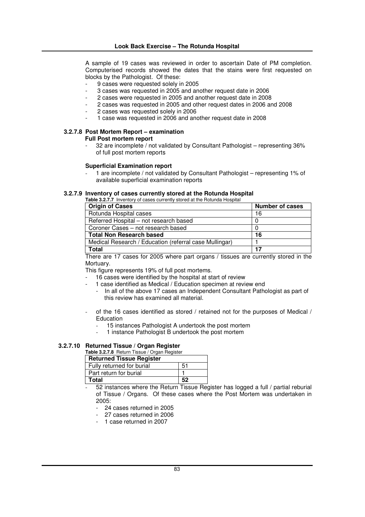A sample of 19 cases was reviewed in order to ascertain Date of PM completion. Computerised records showed the dates that the stains were first requested on blocks by the Pathologist. Of these:

- 9 cases were requested solely in 2005
- 3 cases was requested in 2005 and another request date in 2006
- 2 cases were requested in 2005 and another request date in 2008
- 2 cases was requested in 2005 and other request dates in 2006 and 2008
- 2 cases was requested solely in 2006
- 1 case was requested in 2006 and another request date in 2008

## **3.2.7.8 Post Mortem Report – examination**

## **Full Post mortem report**

- 32 are incomplete / not validated by Consultant Pathologist – representing 36% of full post mortem reports

#### **Superficial Examination report**

1 are incomplete / not validated by Consultant Pathologist – representing 1% of available superficial examination reports

#### **3.2.7.9 Inventory of cases currently stored at the Rotunda Hospital**

**Table 3.2.7.7** Inventory of cases currently stored at the Rotunda Hospital

| <b>Origin of Cases</b>                                 | <b>Number of cases</b> |
|--------------------------------------------------------|------------------------|
| Rotunda Hospital cases                                 | 16                     |
| Referred Hospital - not research based                 |                        |
| Coroner Cases – not research based                     |                        |
| <b>Total Non Research based</b>                        | 16                     |
| Medical Research / Education (referral case Mullingar) |                        |
| Total                                                  | 17                     |

There are 17 cases for 2005 where part organs / tissues are currently stored in the Mortuary.

This figure represents 19% of full post mortems.

- 16 cases were identified by the hospital at start of review
- 1 case identified as Medical / Education specimen at review end
	- In all of the above 17 cases an Independent Consultant Pathologist as part of this review has examined all material.
- of the 16 cases identified as stored / retained not for the purposes of Medical / Education
	- 15 instances Pathologist A undertook the post mortem
	- 1 instance Pathologist B undertook the post mortem

#### **3.2.7.10 Returned Tissue / Organ Register**

| <b>Table 3.2.7.8</b> Return Tissue / Organ Register |       |  |
|-----------------------------------------------------|-------|--|
| <b>Returned Tissue Register</b>                     |       |  |
| Fully returned for burial                           | $-51$ |  |
| Part return for burial                              |       |  |
| <b>Total</b>                                        | 52    |  |

- 52 instances where the Return Tissue Register has logged a full / partial reburial of Tissue / Organs. Of these cases where the Post Mortem was undertaken in 2005:

- 24 cases returned in 2005
- 27 cases returned in 2006
- 1 case returned in 2007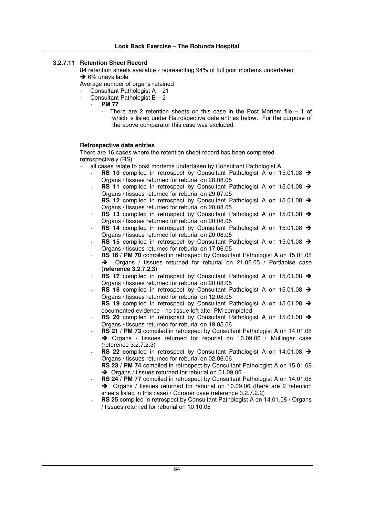#### **3.2.7.11 Retention Sheet Record**

84 retention sheets available - representing 94% of full post mortems undertaken  $\rightarrow$  6% unavailable

Average number of organs retained

- Consultant Pathologist A 21
- Consultant Pathologist  $B 2$
- **PM 77**
	- There are 2 retention sheets on this case in the Post Mortem file  $-1$  of which is listed under Retrospective data entries below. For the purpose of the above comparator this case was excluded.

#### **Retrospective data entries**

There are 16 cases where the retention sheet record has been completed retrospectively (RS)

- all cases relate to post mortems undertaken by Consultant Pathologist A
	- **RS** 10 compiled in retrospect by Consultant Pathologist A on 15.01.08 → Organs / tissues returned for reburial on 28.08.05
	- **RS** 11 compiled in retrospect by Consultant Pathologist A on 15.01.08 → Organs / tissues returned for reburial on 29.07.05
	- **RS** 12 compiled in retrospect by Consultant Pathologist A on 15.01.08 → Organs / tissues returned for reburial on 20.08.05
	- RS 13 compiled in retrospect by Consultant Pathologist A on 15.01.08 → Organs / tissues returned for reburial on 20.08.05
	- **RS 14** compiled in retrospect by Consultant Pathologist A on 15.01.08 → Organs / tissues returned for reburial on 20.08.05
	- RS 15 compiled in retrospect by Consultant Pathologist A on 15.01.08 > Organs / tissues returned for reburial on 17.06.05
	- **RS 16 / PM 70** compiled in retrospect by Consultant Pathologist A on 15.01.08 → Organs / tissues returned for reburial on 21.06.05 / Portlaoise case (**reference 3.2.7.2.3)**
	- **RS** 17 compiled in retrospect by Consultant Pathologist A on 15.01.08 → Organs / tissues returned for reburial on 20.08.05
	- **RS** 18 compiled in retrospect by Consultant Pathologist A on 15.01.08 → Organs / tissues returned for reburial on 12.08.05
	- **RS** 19 compiled in retrospect by Consultant Pathologist A on 15.01.08 → documented evidence - no tissue left after PM completed
	- **RS** 20 compiled in retrospect by Consultant Pathologist A on 15.01.08 → Organs / tissues returned for reburial on 19.05.06
	- **RS 21 / PM 73** compiled in retrospect by Consultant Pathologist A on 14.01.08  $\rightarrow$  Organs / tissues returned for reburial on 10.09.06 / Mullingar case (reference 3.2.7.2.3)
	- **RS** 22 compiled in retrospect by Consultant Pathologist A on 14.01.08 → Organs / tissues returned for reburial on 02.06.06
	- **RS 23 / PM 74** compiled in retrospect by Consultant Pathologist A on 15.01.08 → Organs / tissues returned for reburial on 01.09.06
	- **RS 24 / PM 77** compiled in retrospect by Consultant Pathologist A on 14.01.08 → Organs / tissues returned for reburial on 10.09.06 (there are 2 retention sheets listed in this case) / Coroner case (reference 3.2.7.2.2)
	- **RS 25** compiled in retrospect by Consultant Pathologist A on 14.01.08 / Organs / tissues returned for reburial on 10.10.06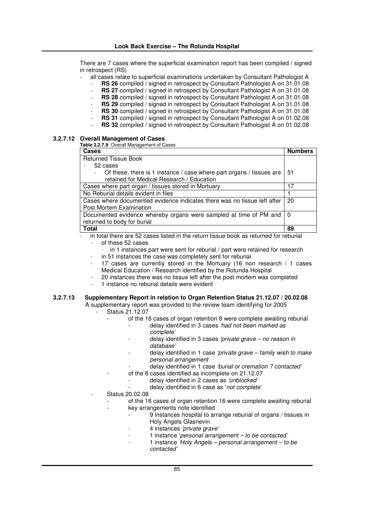There are 7 cases where the superficial examination report has been compiled / signed in retrospect (RS)

- all cases relate to superficial examinations undertaken by Consultant Pathologist A
	- **RS 26** compiled / signed in retrospect by Consultant Pathologist A on 31.01.08
	- RS 27 compiled / signed in retrospect by Consultant Pathologist A on 31.01.08
	- **RS** 28 compiled / signed in retrospect by Consultant Pathologist A on 31.01.08
	- **RS** 29 compiled / signed in retrospect by Consultant Pathologist A on 31.01.08
	- **RS** 30 compiled / signed in retrospect by Consultant Pathologist A on 31.01.08
	- **RS 31** compiled / signed in retrospect by Consultant Pathologist A on 01.02.08 **RS** 32 compiled / signed in retrospect by Consultant Pathologist A on 01.02.08

#### **3.2.7.12 Overall Management of Cases**

**Table 3.2.7.9** Overall Management of Cases

| Cases                                                                                            | <b>Numbers</b> |
|--------------------------------------------------------------------------------------------------|----------------|
| <b>Returned Tissue Book</b>                                                                      |                |
| 52 cases                                                                                         |                |
| Of these, there is 1 instance / case where part organs / tissues are<br>$\overline{\phantom{a}}$ | 51             |
| retained for Medical Research / Education                                                        |                |
| Cases where part organ / tissues stored in Mortuary                                              | 17             |
| No Reburial details evident in files                                                             |                |
| Cases where documented evidence indicates there was no tissue left after                         |                |
| Post Mortem Examination                                                                          |                |
| Documented evidence whereby organs were sampled at time of PM and                                | - റ            |
| returned to body for burial                                                                      |                |
| Total                                                                                            | 89             |

in total there are 52 cases listed in the return tissue book as returned for reburial

- of these 52 cases
	- in 1 instances part were sent for reburial / part were retained for research
- in 51 instances the case was completely sent for reburial
- 17 cases are currently stored in the Mortuary (16 non research / 1 cases Medical Education / Research identified by the Rotunda Hospital
- 20 instances there was no tissue left after the post mortem was completed
- 1 instance no reburial details were evident

## **3.2.7.13 Supplementary Report in relation to Organ Retention Status 21.12.07 / 20.02.08**

A supplementary report was provided to the review team identifying for 2005 - Status 21.12.07

- of the 16 cases of organ retention 8 were complete awaiting reburial
	- delay identified in 3 cases *'had not been marked as complete'*
		- delay identified in 3 cases *'private grave – no reason in database'*
			- delay identified in 1 case *'private grave – family wish to make personal arrangement*
	- delay identified in 1 case *'burial or cremation ? contacted'*
	- of the 8 cases identified as incomplete on 21.12.07
		- delay identified in 2 cases as *'unblocked'*
		- delay identified in 6 case as '*not complete'*
- Status 20.02.08
	- of the 16 cases of organ retention 16 were complete awaiting reburial
		- key arrangements note identified
			- 9 instances hospital to arrange reburial of organs / tissues in Holy Angels Glasnevin
				- 4 instances *'private grave'*
				- 1 instance '*personal arrangement – to be contacted'*
				- 1 instance *'Holy Angels – personal arrangement – to be contacted'*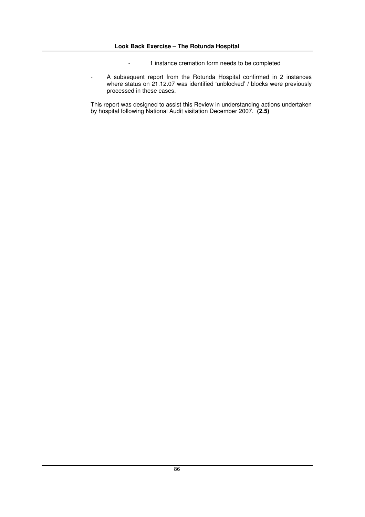- 1 instance cremation form needs to be completed
- A subsequent report from the Rotunda Hospital confirmed in 2 instances where status on 21.12.07 was identified 'unblocked' / blocks were previously processed in these cases.

This report was designed to assist this Review in understanding actions undertaken by hospital following National Audit visitation December 2007. **(2.5)**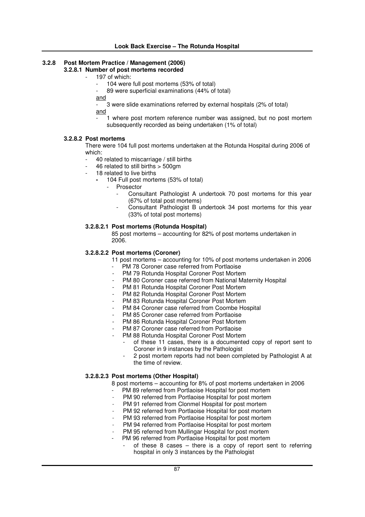## **3.2.8 Post Mortem Practice / Management (2006)**

## **3.2.8.1 Number of post mortems recorded**

- 197 of which:
	- 104 were full post mortems (53% of total)
	- 89 were superficial examinations (44% of total)
	- and

- 3 were slide examinations referred by external hospitals (2% of total) and

1 where post mortem reference number was assigned, but no post mortem subsequently recorded as being undertaken (1% of total)

#### **3.2.8.2 Post mortems**

There were 104 full post mortems undertaken at the Rotunda Hospital during 2006 of which:

- 40 related to miscarriage / still births
- 46 related to still births > 500gm
- 18 related to live births
	- **-** 104 Full post mortems (53% of total)
		- Prosector
			- Consultant Pathologist A undertook 70 post mortems for this year (67% of total post mortems)
			- Consultant Pathologist B undertook 34 post mortems for this year (33% of total post mortems)

#### **3.2.8.2.1 Post mortems (Rotunda Hospital)**

85 post mortems – accounting for 82% of post mortems undertaken in 2006.

#### **3.2.8.2.2 Post mortems (Coroner)**

11 post mortems – accounting for 10% of post mortems undertaken in 2006

- PM 78 Coroner case referred from Portlaoise
- PM 79 Rotunda Hospital Coroner Post Mortem
- PM 80 Coroner case referred from National Maternity Hospital
- PM 81 Rotunda Hospital Coroner Post Mortem
- PM 82 Rotunda Hospital Coroner Post Mortem
- PM 83 Rotunda Hospital Coroner Post Mortem
- PM 84 Coroner case referred from Coombe Hospital
- PM 85 Coroner case referred from Portlaoise
- PM 86 Rotunda Hospital Coroner Post Mortem
- PM 87 Coroner case referred from Portlaoise
- PM 88 Rotunda Hospital Coroner Post Mortem
	- of these 11 cases, there is a documented copy of report sent to Coroner in 9 instances by the Pathologist
	- 2 post mortem reports had not been completed by Pathologist A at the time of review.

#### **3.2.8.2.3 Post mortems (Other Hospital)**

8 post mortems – accounting for 8% of post mortems undertaken in 2006

- PM 89 referred from Portlaoise Hospital for post mortem
- PM 90 referred from Portlaoise Hospital for post mortem
- PM 91 referred from Clonmel Hospital for post mortem
- PM 92 referred from Portlaoise Hospital for post mortem
- PM 93 referred from Portlaoise Hospital for post mortem
- PM 94 referred from Portlaoise Hospital for post mortem
- PM 95 referred from Mullingar Hospital for post mortem
- PM 96 referred from Portlaoise Hospital for post mortem
	- of these  $8$  cases there is a copy of report sent to referring hospital in only 3 instances by the Pathologist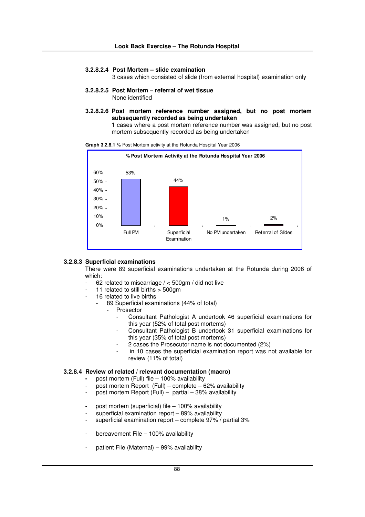#### **3.2.8.2.4 Post Mortem – slide examination**

3 cases which consisted of slide (from external hospital) examination only

- **3.2.8.2.5 Post Mortem – referral of wet tissue** None identified
- **3.2.8.2.6 Post mortem reference number assigned, but no post mortem subsequently recorded as being undertaken**

1 cases where a post mortem reference number was assigned, but no post mortem subsequently recorded as being undertaken





#### **3.2.8.3 Superficial examinations**

There were 89 superficial examinations undertaken at the Rotunda during 2006 of which:

- 62 related to miscarriage  $/ < 500$ gm  $/$  did not live
- 11 related to still births  $>$  500 am
- 16 related to live births
	- 89 Superficial examinations (44% of total)
		- **Prosector** 
			- Consultant Pathologist A undertook 46 superficial examinations for this year (52% of total post mortems)
			- Consultant Pathologist B undertook 31 superficial examinations for this year (35% of total post mortems)
			- 2 cases the Prosecutor name is not documented (2%)
			- in 10 cases the superficial examination report was not available for review (11% of total)

#### **3.2.8.4 Review of related / relevant documentation (macro)**

- **-** post mortem (Full) file 100% availability
- post mortem Report  $(Full)$  complete 62% availability
- post mortem Report  $(Full)$  partial 38% availability
- **-** post mortem (superficial) file 100% availability
- superficial examination report  $-$  89% availability
- superficial examination report complete 97% / partial 3%
- bereavement File 100% availability
- patient File (Maternal) 99% availability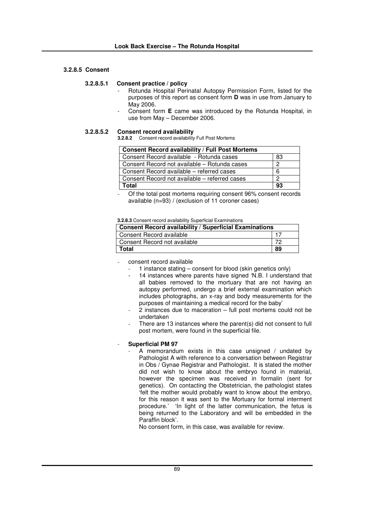#### **3.2.8.5 Consent**

#### **3.2.8.5.1 Consent practice / policy**

- Rotunda Hospital Perinatal Autopsy Permission Form, listed for the purposes of this report as consent form **D** was in use from January to May 2006.
- Consent form **E** came was introduced by the Rotunda Hospital, in use from May – December 2006.

#### **3.2.8.5.2 Consent record availability**

**3.2.8.2** Consent record availability Full Post Mortems

| <b>Consent Record availability / Full Post Mortems</b> |    |  |
|--------------------------------------------------------|----|--|
| Consent Record available - Rotunda cases               | 83 |  |
| Consent Record not available – Rotunda cases           | Ω  |  |
| Consent Record available – referred cases              | 6  |  |
| Consent Record not available – referred cases          | ົ  |  |
| Total                                                  | 93 |  |

- Of the total post mortems requiring consent 96% consent records available (n=93) / (exclusion of 11 coroner cases)

#### **3.2.8.3** Consent record availability Superficial Examinations

| <b>Consent Record availability / Superficial Examinations</b> |  |  |  |  |  |
|---------------------------------------------------------------|--|--|--|--|--|
| Consent Record available                                      |  |  |  |  |  |
| Consent Record not available                                  |  |  |  |  |  |
| 89<br>Total                                                   |  |  |  |  |  |

consent record available

- 1 instance stating consent for blood (skin genetics only)
- 14 instances where parents have signed 'N.B. I understand that all babies removed to the mortuary that are not having an autopsy performed, undergo a brief external examination which includes photographs, an x-ray and body measurements for the purposes of maintaining a medical record for the baby'
- 2 instances due to maceration full post mortems could not be undertaken
- There are 13 instances where the parent(s) did not consent to full post mortem, were found in the superficial file.

#### - **Superficial PM 97**

A memorandum exists in this case unsigned / undated by Pathologist A with reference to a conversation between Registrar in Obs / Gynae Registrar and Pathologist. It is stated the mother did not wish to know about the embryo found in material, however the specimen was received in formalin (sent for genetics). On contacting the Obstetrician, the pathologist states 'felt the mother would probably want to know about the embryo, for this reason it was sent to the Mortuary for formal interment procedure.' 'In light of the latter communication, the fetus is being returned to the Laboratory and will be embedded in the Paraffin block'.

No consent form, in this case, was available for review.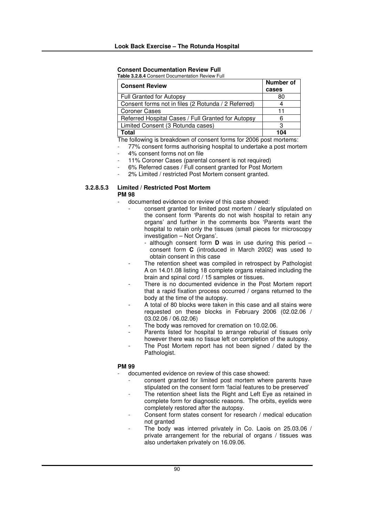### **Consent Documentation Review Full**

**Table 3.2.8.4** Consent Documentation Review Full

| <b>Consent Review</b>                               | Number of |
|-----------------------------------------------------|-----------|
|                                                     | cases     |
| <b>Full Granted for Autopsy</b>                     | 80        |
| Consent forms not in files (2 Rotunda / 2 Referred) |           |
| <b>Coroner Cases</b>                                | 11        |
| Referred Hospital Cases / Full Granted for Autopsy  |           |
| Limited Consent (3 Rotunda cases)                   |           |
| Total                                               | 104       |

The following is breakdown of consent forms for 2006 post mortems:

- 77% consent forms authorising hospital to undertake a post mortem
- 4% consent forms not on file
- 11% Coroner Cases (parental consent is not required)
- 6% Referred cases / Full consent granted for Post Mortem
- 2% Limited / restricted Post Mortem consent granted.

#### **3.2.8.5.3 Limited / Restricted Post Mortem PM 98**

- documented evidence on review of this case showed:
	- consent granted for limited post mortem / clearly stipulated on the consent form 'Parents do not wish hospital to retain any organs' and further in the comments box 'Parents want the hospital to retain only the tissues (small pieces for microscopy investigation – Not Organs'.
		- although consent form **D** was in use during this period consent form **C** (introduced in March 2002) was used to obtain consent in this case
	- The retention sheet was compiled in retrospect by Pathologist A on 14.01.08 listing 18 complete organs retained including the brain and spinal cord / 15 samples or tissues.
	- There is no documented evidence in the Post Mortem report that a rapid fixation process occurred / organs returned to the body at the time of the autopsy.
	- A total of 80 blocks were taken in this case and all stains were requested on these blocks in February 2006 (02.02.06 / 03.02.06 / 06.02.06)
	- The body was removed for cremation on 10.02.06.
	- Parents listed for hospital to arrange reburial of tissues only however there was no tissue left on completion of the autopsy.
	- The Post Mortem report has not been signed / dated by the Pathologist.

#### **PM 99**

- documented evidence on review of this case showed:
	- consent granted for limited post mortem where parents have stipulated on the consent form 'facial features to be preserved'
	- The retention sheet lists the Right and Left Eye as retained in complete form for diagnostic reasons. The orbits, eyelids were completely restored after the autopsy.
	- Consent form states consent for research / medical education not granted
	- The body was interred privately in Co. Laois on 25.03.06 / private arrangement for the reburial of organs / tissues was also undertaken privately on 16.09.06.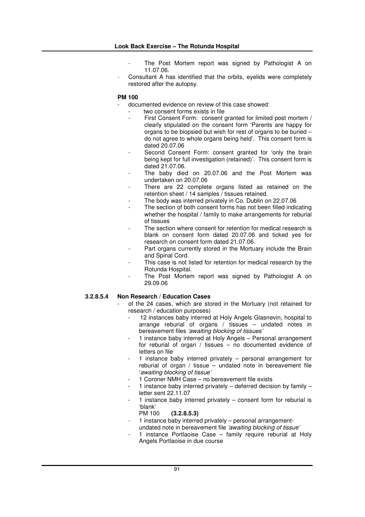- The Post Mortem report was signed by Pathologist A on 11.07.06.
- Consultant A has identified that the orbits, eyelids were completely restored after the autopsy.

#### **PM 100**

- documented evidence on review of this case showed:
	- two consent forms exists in file
		- First Consent Form: consent granted for limited post mortem / clearly stipulated on the consent form 'Parents are happy for organs to be biopsied but wish for rest of organs to be buried – do not agree to whole organs being held'. This consent form is dated 20.07.06
		- Second Consent Form: consent granted for 'only the brain being kept for full investigation (retained)'. This consent form is dated 21.07.06.
	- The baby died on 20.07.06 and the Post Mortem was undertaken on 20.07.06
	- There are 22 complete organs listed as retained on the retention sheet / 14 samples / tissues retained.
	- The body was interred privately in Co. Dublin on 22.07.06
	- The section of both consent forms has not been filled indicating whether the hospital / family to make arrangements for reburial of tissues
	- The section where consent for retention for medical research is blank on consent form dated 20.07.06 and ticked yes for research on consent form dated 21.07.06.
	- Part organs currently stored in the Mortuary include the Brain and Spinal Cord.
	- This case is not listed for retention for medical research by the Rotunda Hospital.
	- The Post Mortem report was signed by Pathologist A on 29.09.06

#### **3.2.8.5.4 Non Research / Education Cases**

- of the 24 cases, which are stored in the Mortuary (not retained for research / education purposes)
	- 12 instances baby interred at Holy Angels Glasnevin, hospital to arrange reburial of organs / tissues – undated notes in bereavement files *'awaiting blocking of tissues'*
	- 1 instance baby interred at Holy Angels Personal arrangement for reburial of organ / tissues – no documented evidence of letters on file
	- 1 instance baby interred privately personal arrangement for reburial of organ / tissue – undated note in bereavement file '*awaiting blocking of tissue'*
	- 1 Coroner NMH Case no bereavement file exists
	- 1 instance baby interred privately  $-$  deferred decision by family  $$ letter sent 22.11.07
	- 1 instance baby interred privately  $-$  consent form for reburial is 'blank'
		- PM 100 **(3.2.8.5.3)**
	- 1 instance baby interred privately personal arrangementundated note in bereavement file *'awaiting blocking of tissue'*
	- 1 instance Portlaoise Case family require reburial at Holy Angels Portlaoise in due course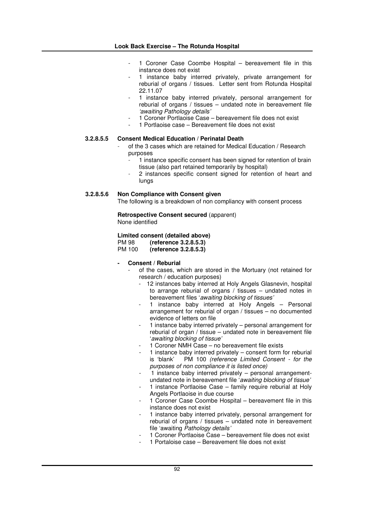- 1 Coroner Case Coombe Hospital bereavement file in this instance does not exist
- 1 instance baby interred privately, private arrangement for reburial of organs / tissues. Letter sent from Rotunda Hospital 22.11.07
- 1 instance baby interred privately, personal arrangement for reburial of organs / tissues – undated note in bereavement file *'awaiting Pathology details'*
- 1 Coroner Portlaoise Case bereavement file does not exist
- 1 Portlaoise case Bereavement file does not exist

#### **3.2.8.5.5 Consent Medical Education / Perinatal Death**

- of the 3 cases which are retained for Medical Education / Research purposes
	- 1 instance specific consent has been signed for retention of brain tissue (also part retained temporarily by hospital)
	- 2 instances specific consent signed for retention of heart and lungs

#### **3.2.8.5.6 Non Compliance with Consent given**

The following is a breakdown of non compliancy with consent process

**Retrospective Consent secured** (apparent) None identified

# **Limited consent (detailed above)**

PM 98 **(reference 3.2.8.5.3)**

PM 100 **(reference 3.2.8.5.3)**

#### **- Consent / Reburial**

- of the cases, which are stored in the Mortuary (not retained for research / education purposes)
	- 12 instances baby interred at Holy Angels Glasnevin, hospital to arrange reburial of organs / tissues – undated notes in bereavement files '*awaiting blocking of tissues'*
	- 1 instance baby interred at Holy Angels Personal arrangement for reburial of organ / tissues – no documented evidence of letters on file
	- 1 instance baby interred privately personal arrangement for reburial of organ / tissue – undated note in bereavement file '*awaiting blocking of tissue'*
	- 1 Coroner NMH Case no bereavement file exists
	- 1 instance baby interred privately  $-$  consent form for reburial is 'blank' PM 100 (reference Limited Consent for the  $PM$  100 *(reference Limited Consent - for the purposes of non compliance it is listed once)*
	- $1$  instance baby interred privately personal arrangementundated note in bereavement file '*awaiting blocking of tissue'*
	- 1 instance Portlaoise Case family require reburial at Holy Angels Portlaoise in due course
	- 1 Coroner Case Coombe Hospital bereavement file in this instance does not exist
	- 1 instance baby interred privately, personal arrangement for reburial of organs / tissues – undated note in bereavement file 'awaiting *Pathology details'*
	- 1 Coroner Portlaoise Case bereavement file does not exist
	- 1 Portaloise case Bereavement file does not exist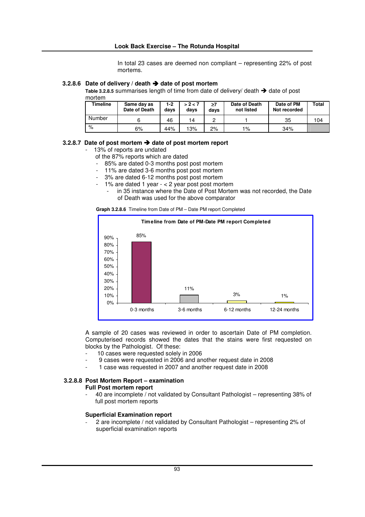In total 23 cases are deemed non compliant – representing 22% of post mortems.

#### **3.2.8.6 Date of delivery / death date of post mortem**

Table  $3.2.8.5$  summarises length of time from date of delivery/ death  $\rightarrow$  date of post

mortem

| <b>Timeline</b> | Same day as<br>Date of Death | 1-2<br>days | > 2 < 7<br>davs | $\geq 7$<br>davs | Date of Death<br>not listed | Date of PM<br>Not recorded | Total |
|-----------------|------------------------------|-------------|-----------------|------------------|-----------------------------|----------------------------|-------|
| Number          |                              | 46          | 14              |                  |                             | 35                         | 104   |
| %               | 6%                           | 44%         | 13%             | 2%               | $1\%$                       | 34%                        |       |

#### **3.2.8.7 Date of post mortem date of post mortem report**

- 13% of reports are undated
	- of the 87% reports which are dated
	- 85% are dated 0-3 months post post mortem
	- 11% are dated 3-6 months post post mortem
	- 3% are dated 6-12 months post post mortem
	- $-1\%$  are dated 1 year  $-2$  year post post mortem
		- in 35 instance where the Date of Post Mortem was not recorded, the Date of Death was used for the above comparator

|  | Graph 3.2.8.6 Timeline from Date of PM - Date PM report Completed |  |  |  |
|--|-------------------------------------------------------------------|--|--|--|
|--|-------------------------------------------------------------------|--|--|--|



A sample of 20 cases was reviewed in order to ascertain Date of PM completion. Computerised records showed the dates that the stains were first requested on blocks by the Pathologist. Of these:

- 10 cases were requested solely in 2006
- 9 cases were requested in 2006 and another request date in 2008
- 1 case was requested in 2007 and another request date in 2008

## **3.2.8.8 Post Mortem Report – examination**

- **Full Post mortem report**
	- 40 are incomplete / not validated by Consultant Pathologist representing 38% of full post mortem reports

#### **Superficial Examination report**

2 are incomplete / not validated by Consultant Pathologist – representing 2% of superficial examination reports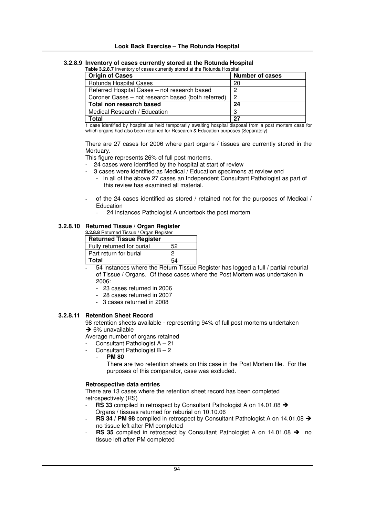#### **Look Back Exercise – The Rotunda Hospital**

#### **3.2.8.9 Inventory of cases currently stored at the Rotunda Hospital**

| <b>Table 3.2.8.7</b> Inventory of cases currently stored at the Rotunda Hospital |                        |  |  |  |  |
|----------------------------------------------------------------------------------|------------------------|--|--|--|--|
| <b>Origin of Cases</b>                                                           | <b>Number of cases</b> |  |  |  |  |
| Rotunda Hospital Cases                                                           | 20                     |  |  |  |  |
| Referred Hospital Cases - not research based                                     |                        |  |  |  |  |
| Coroner Cases – not research based (both referred)                               | റ                      |  |  |  |  |
| Total non research based                                                         | 24                     |  |  |  |  |
| Medical Research / Education                                                     | З                      |  |  |  |  |
| Total                                                                            | 27                     |  |  |  |  |

1 case identified by hospital as held temporarily awaiting hospital disposal from a post mortem case for which organs had also been retained for Research & Education purposes (Separately)

There are 27 cases for 2006 where part organs / tissues are currently stored in the Mortuary.

This figure represents 26% of full post mortems.

- 24 cases were identified by the hospital at start of review
	- 3 cases were identified as Medical / Education specimens at review end
		- In all of the above 27 cases an Independent Consultant Pathologist as part of this review has examined all material.
- of the 24 cases identified as stored / retained not for the purposes of Medical / Education
	- 24 instances Pathologist A undertook the post mortem

## **3.2.8.10 Returned Tissue / Organ Register**

## **3.2.8.8** Returned Tissue / Organ Register

| <b>Returned Tissue Register</b> |    |  |  |  |  |  |
|---------------------------------|----|--|--|--|--|--|
| Fully returned for burial       | 52 |  |  |  |  |  |
| I Part return for burial        | 0  |  |  |  |  |  |
| Total                           | 54 |  |  |  |  |  |

- 54 instances where the Return Tissue Register has logged a full / partial reburial of Tissue / Organs. Of these cases where the Post Mortem was undertaken in 2006:

- 23 cases returned in 2006
- 28 cases returned in 2007
- 3 cases returned in 2008

#### **3.2.8.11 Retention Sheet Record**

98 retention sheets available - representing 94% of full post mortems undertaken  $\rightarrow$  6% unavailable

Average number of organs retained

- Consultant Pathologist A 21
- Consultant Pathologist  $B 2$ 
	- **PM 80**

There are two retention sheets on this case in the Post Mortem file. For the purposes of this comparator, case was excluded.

#### **Retrospective data entries**

There are 13 cases where the retention sheet record has been completed retrospectively (RS)

- **RS** 33 compiled in retrospect by Consultant Pathologist A on 14.01.08 → Organs / tissues returned for reburial on 10.10.06
- **RS** 34 / **PM** 98 compiled in retrospect by Consultant Pathologist A on 14.01.08 → no tissue left after PM completed
- **RS** 35 compiled in retrospect by Consultant Pathologist A on 14.01.08  $\rightarrow$  no tissue left after PM completed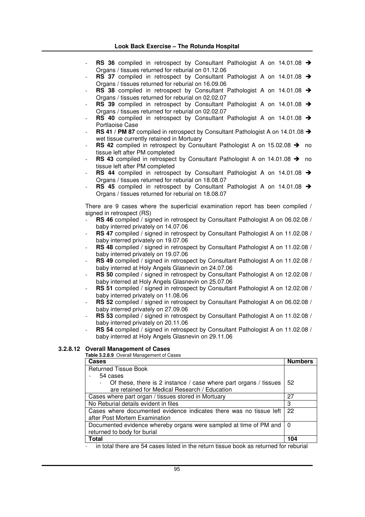#### **Look Back Exercise – The Rotunda Hospital**

- **RS** 36 compiled in retrospect by Consultant Pathologist A on 14.01.08 → Organs / tissues returned for reburial on 01.12.06
- **RS** 37 compiled in retrospect by Consultant Pathologist A on 14.01.08 → Organs / tissues returned for reburial on 16.09.06
- **RS** 38 compiled in retrospect by Consultant Pathologist A on 14.01.08 → Organs / tissues returned for reburial on 02.02.07
- **RS** 39 compiled in retrospect by Consultant Pathologist A on 14.01.08 → Organs / tissues returned for reburial on 02.02.07
- **RS** 40 compiled in retrospect by Consultant Pathologist A on 14.01.08 → Portlaoise Case
- **RS 41** / **PM** 87 compiled in retrospect by Consultant Pathologist A on 14.01.08 → wet tissue currently retained in Mortuary
- **RS** 42 compiled in retrospect by Consultant Pathologist A on 15.02.08  $\rightarrow$  no tissue left after PM completed
- **RS 43** compiled in retrospect by Consultant Pathologist A on 14.01.08 → no tissue left after PM completed
- RS 44 compiled in retrospect by Consultant Pathologist A on 14.01.08 > Organs / tissues returned for reburial on 18.08.07
- **RS** 45 compiled in retrospect by Consultant Pathologist A on 14.01.08 → Organs / tissues returned for reburial on 18.08.07

There are 9 cases where the superficial examination report has been compiled / signed in retrospect (RS)

- **RS** 46 compiled / signed in retrospect by Consultant Pathologist A on 06.02.08 / baby interred privately on 14.07.06
- **RS** 47 compiled / signed in retrospect by Consultant Pathologist A on 11.02.08 / baby interred privately on 19.07.06
- RS 48 compiled / signed in retrospect by Consultant Pathologist A on 11.02.08 / baby interred privately on 19.07.06
- RS 49 compiled / signed in retrospect by Consultant Pathologist A on 11.02.08 / baby interred at Holy Angels Glasnevin on 24.07.06
- RS 50 compiled / signed in retrospect by Consultant Pathologist A on 12.02.08 / baby interred at Holy Angels Glasnevin on 25.07.06
- RS 51 compiled / signed in retrospect by Consultant Pathologist A on 12.02.08 / baby interred privately on 11.08.06
- RS 52 compiled / signed in retrospect by Consultant Pathologist A on 06.02.08 / baby interred privately on 27.09.06
- RS 53 compiled / signed in retrospect by Consultant Pathologist A on 11.02.08 / baby interred privately on 20.11.06
- RS 54 compiled / signed in retrospect by Consultant Pathologist A on 11.02.08 / baby interred at Holy Angels Glasnevin on 29.11.06

#### **3.2.8.12 Overall Management of Cases**

| <b>Table 3.2.8.9</b> Overall Management of Cases                   |                |
|--------------------------------------------------------------------|----------------|
| Cases                                                              | <b>Numbers</b> |
| <b>Returned Tissue Book</b>                                        |                |
| 54 cases                                                           |                |
| Of these, there is 2 instance / case where part organs / tissues   | 52             |
| are retained for Medical Research / Education                      |                |
| Cases where part organ / tissues stored in Mortuary                | 27             |
| No Reburial details evident in files                               | 3              |
| Cases where documented evidence indicates there was no tissue left | 22             |
| after Post Mortem Examination                                      |                |
| Documented evidence whereby organs were sampled at time of PM and  | $\Omega$       |
| returned to body for burial                                        |                |
| Total                                                              | 104            |
|                                                                    |                |

in total there are 54 cases listed in the return tissue book as returned for reburial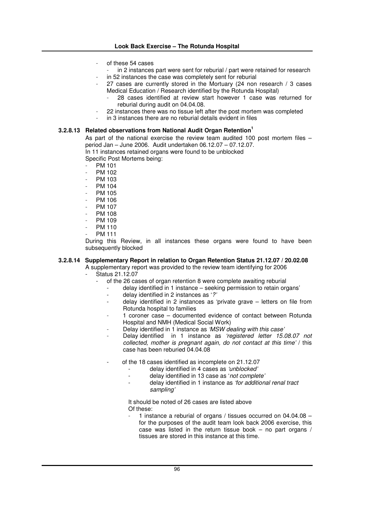- of these 54 cases
- in 2 instances part were sent for reburial / part were retained for research
- in 52 instances the case was completely sent for reburial
- 27 cases are currently stored in the Mortuary (24 non research / 3 cases Medical Education / Research identified by the Rotunda Hospital)
	- 28 cases identified at review start however 1 case was returned for reburial during audit on 04.04.08.
- 22 instances there was no tissue left after the post mortem was completed
- in 3 instances there are no reburial details evident in files

#### **3.2.8.13 Related observations from National Audit Organ Retention 1**

As part of the national exercise the review team audited 100 post mortem files – period Jan – June 2006. Audit undertaken 06.12.07 – 07.12.07. In 11 instances retained organs were found to be unblocked

Specific Post Mortems being:

- PM 101
- PM 102
- PM 103
- PM 104
- PM 105
- PM 106
- PM 107
- PM 108
- PM 109 - PM 110
- PM 111

During this Review, in all instances these organs were found to have been subsequently blocked

## **3.2.8.14 Supplementary Report in relation to Organ Retention Status 21.12.07 / 20.02.08**

A supplementary report was provided to the review team identifying for 2006 Status 21.12.07

- of the 26 cases of organ retention 8 were complete awaiting reburial
	- delay identified in 1 instance seeking permission to retain organs'
		- delay identified in 2 instances as '*?'*
		- $delay$  identified in 2 instances as 'private grave  $-$  letters on file from Rotunda hospital to families
		- 1 coroner case documented evidence of contact between Rotunda Hospital and NMH (Medical Social Work)
		- Delay identified in 1 instance as *'MSW dealing with this case'*
		- Delay identified in 1 instance as *'registered letter 15.08.07 not collected, mother is pregnant again, do not contact at this time'* / this case has been reburied 04.04.08
		- of the 18 cases identified as incomplete on 21.12.07
			- delay identified in 4 cases as *'unblocked'*
			- delay identified in 13 case as '*not complete'*
			- delay identified in 1 instance as *'for additional renal tract sampling'*

It should be noted of 26 cases are listed above Of these:

1 instance a reburial of organs / tissues occurred on  $04.04.08$ for the purposes of the audit team look back 2006 exercise, this case was listed in the return tissue book – no part organs / tissues are stored in this instance at this time.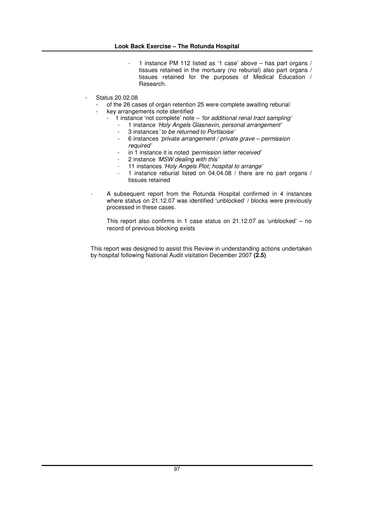- 1 instance PM 112 listed as '1 case' above has part organs / tissues retained in the mortuary (no reburial) also part organs / tissues retained for the purposes of Medical Education / Research.
- Status 20.02.08
	- of the 26 cases of organ retention 25 were complete awaiting reburial
	- key arrangements note identified
		- 1 instance 'not complete' note *'for additional renal tract sampling'*
			- 1 instance *'Holy Angels Glasnevin, personal arrangement'*
				- 3 instances*' to be returned to Portlaoise'*
			- 6 instances *'private arrangement / private grave – permission required'*
			- in 1 instance it is noted *'permission letter received'*
			- 2 instance *'MSW dealing with this'*
			- 11 instances *'Holy Angels Plot; hospital to arrange'*
			- 1 instance reburial listed on 04.04.08 / there are no part organs / tissues retained
	- A subsequent report from the Rotunda Hospital confirmed in 4 instances where status on 21.12.07 was identified 'unblocked' / blocks were previously processed in these cases.

This report also confirms in 1 case status on 21.12.07 as 'unblocked' – no record of previous blocking exists

This report was designed to assist this Review in understanding actions undertaken by hospital following National Audit visitation December 2007 **(2.5)**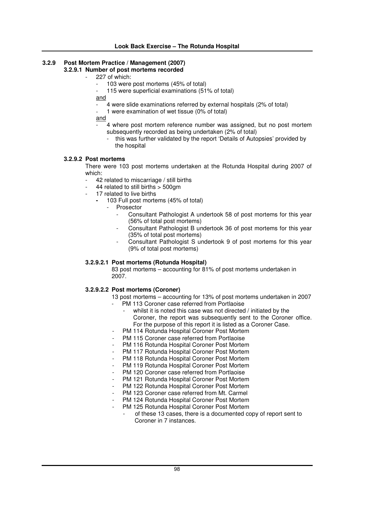## **3.2.9 Post Mortem Practice / Management (2007)**

## **3.2.9.1 Number of post mortems recorded**

- 227 of which:
	- 103 were post mortems (45% of total)
	- 115 were superficial examinations (51% of total)
	- and
		- 4 were slide examinations referred by external hospitals (2% of total)
	- 1 were examination of wet tissue  $(0\%$  of total)

and

- 4 where post mortem reference number was assigned, but no post mortem subsequently recorded as being undertaken (2% of total)
	- this was further validated by the report 'Details of Autopsies' provided by the hospital

#### **3.2.9.2 Post mortems**

There were 103 post mortems undertaken at the Rotunda Hospital during 2007 of which:

- 42 related to miscarriage / still births
- 44 related to still births > 500gm
- 17 related to live births
	- **-** 103 Full post mortems (45% of total)
		- Prosector
			- Consultant Pathologist A undertook 58 of post mortems for this year (56% of total post mortems)
			- Consultant Pathologist B undertook 36 of post mortems for this year (35% of total post mortems)
			- Consultant Pathologist S undertook 9 of post mortems for this year (9% of total post mortems)

#### **3.2.9.2.1 Post mortems (Rotunda Hospital)**

83 post mortems – accounting for 81% of post mortems undertaken in 2007.

#### **3.2.9.2.2 Post mortems (Coroner)**

- 13 post mortems accounting for 13% of post mortems undertaken in 2007
	- PM 113 Coroner case referred from Portlaoise
		- whilst it is noted this case was not directed / initiated by the Coroner, the report was subsequently sent to the Coroner office. For the purpose of this report it is listed as a Coroner Case.
- PM 114 Rotunda Hospital Coroner Post Mortem
- PM 115 Coroner case referred from Portlaoise
- PM 116 Rotunda Hospital Coroner Post Mortem
- PM 117 Rotunda Hospital Coroner Post Mortem
- PM 118 Rotunda Hospital Coroner Post Mortem
- PM 119 Rotunda Hospital Coroner Post Mortem
- PM 120 Coroner case referred from Portlaoise
- PM 121 Rotunda Hospital Coroner Post Mortem
- PM 122 Rotunda Hospital Coroner Post Mortem
- PM 123 Coroner case referred from Mt. Carmel
- PM 124 Rotunda Hospital Coroner Post Mortem
- PM 125 Rotunda Hospital Coroner Post Mortem
	- of these 13 cases, there is a documented copy of report sent to Coroner in 7 instances.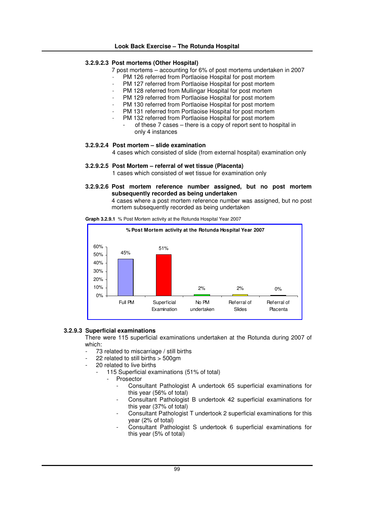#### **3.2.9.2.3 Post mortems (Other Hospital)**

- 7 post mortems accounting for 6% of post mortems undertaken in 2007
	- PM 126 referred from Portlaoise Hospital for post mortem
	- PM 127 referred from Portlaoise Hospital for post mortem
- PM 128 referred from Mullingar Hospital for post mortem
- PM 129 referred from Portlaoise Hospital for post mortem
- PM 130 referred from Portlaoise Hospital for post mortem
- PM 131 referred from Portlaoise Hospital for post mortem
- PM 132 referred from Portlaoise Hospital for post mortem
	- of these 7 cases there is a copy of report sent to hospital in only 4 instances

#### **3.2.9.2.4 Post mortem – slide examination**

4 cases which consisted of slide (from external hospital) examination only

**3.2.9.2.5 Post Mortem – referral of wet tissue (Placenta)**

1 cases which consisted of wet tissue for examination only

**3.2.9.2.6 Post mortem reference number assigned, but no post mortem subsequently recorded as being undertaken**

4 cases where a post mortem reference number was assigned, but no post mortem subsequently recorded as being undertaken

**Graph 3.2.9.1** % Post Mortem activity at the Rotunda Hospital Year 2007



#### **3.2.9.3 Superficial examinations**

There were 115 superficial examinations undertaken at the Rotunda during 2007 of which:

- 73 related to miscarriage / still births
- 22 related to still births  $> 500$ gm
- 20 related to live births
	- 115 Superficial examinations (51% of total)
		- Prosector
			- Consultant Pathologist A undertook 65 superficial examinations for this year (56% of total)
			- Consultant Pathologist B undertook 42 superficial examinations for this year (37% of total)
			- Consultant Pathologist T undertook 2 superficial examinations for this year (2% of total)
			- Consultant Pathologist S undertook 6 superficial examinations for this year (5% of total)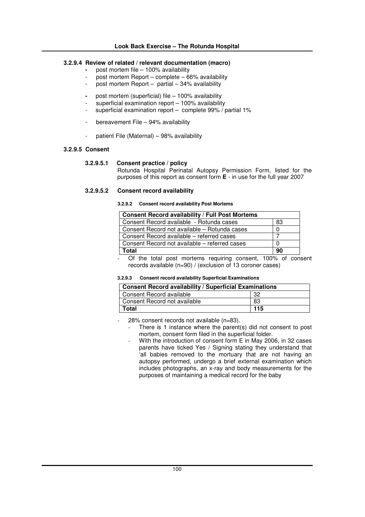#### **3.2.9.4 Review of related / relevant documentation (macro)**

- **-** post mortem file 100% availability
- post mortem Report complete 66% availability
- post mortem Report partial 34% availability
- **-** post mortem (superficial) file 100% availability
- superficial examination report  $-$  100% availability
- superficial examination report complete  $99\%$  / partial 1%
- bereavement File 94% availability
- patient File (Maternal) 98% availability

#### **3.2.9.5 Consent**

#### **3.2.9.5.1 Consent practice / policy**

Rotunda Hospital Perinatal Autopsy Permission Form, listed for the purposes of this report as consent form **E** - in use for the full year 2007

#### **3.2.9.5.2 Consent record availability**

**3.2.9.2 Consent record availability Post Mortems**

| <b>Consent Record availability / Full Post Mortems</b> |    |  |  |  |
|--------------------------------------------------------|----|--|--|--|
| Consent Record available - Rotunda cases               | 83 |  |  |  |
| Consent Record not available – Rotunda cases           |    |  |  |  |
| Consent Record available – referred cases              |    |  |  |  |
| Consent Record not available – referred cases          |    |  |  |  |
| Total<br>90                                            |    |  |  |  |

Of the total post mortems requiring consent, 100% of consent records available (n=90) / (exclusion of 13 coroner cases)

#### **3.2.9.3 Consent record availability Superficial Examinations**

| <b>Consent Record availability / Superficial Examinations</b> |     |  |  |  |  |
|---------------------------------------------------------------|-----|--|--|--|--|
| Consent Record available                                      |     |  |  |  |  |
| Consent Record not available                                  | 83  |  |  |  |  |
| Total                                                         | 115 |  |  |  |  |

- 28% consent records not available (n=83).
	- There is 1 instance where the parent(s) did not consent to post mortem, consent form filed in the superficial folder.
	- With the introduction of consent form E in May 2006, in 32 cases parents have ticked Yes / Signing stating they understand that 'all babies removed to the mortuary that are not having an autopsy performed, undergo a brief external examination which includes photographs, an x-ray and body measurements for the purposes of maintaining a medical record for the baby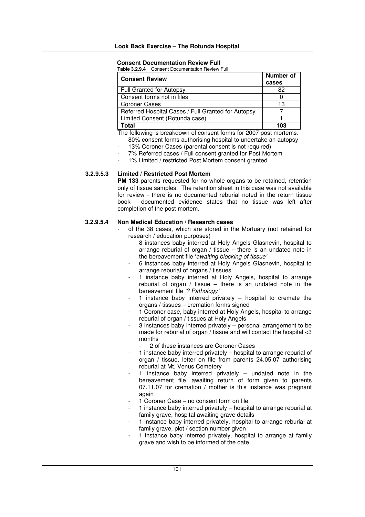#### **Consent Documentation Review Full**

**Table 3.2.9.4** Consent Documentation Review Full

| <b>Consent Review</b>                              | Number of<br>cases |
|----------------------------------------------------|--------------------|
| Full Granted for Autopsy                           | 82                 |
| Consent forms not in files                         |                    |
| <b>Coroner Cases</b>                               | 13                 |
| Referred Hospital Cases / Full Granted for Autopsy |                    |
| Limited Consent (Rotunda case)                     |                    |
| `otal                                              | 103                |

The following is breakdown of consent forms for 2007 post mortems:

- 80% consent forms authorising hospital to undertake an autopsy
	- 13% Coroner Cases (parental consent is not required)
	- 7% Referred cases / Full consent granted for Post Mortem
- 1% Limited / restricted Post Mortem consent granted.

#### **3.2.9.5.3 Limited / Restricted Post Mortem**

**PM 133** parents requested for no whole organs to be retained, retention only of tissue samples. The retention sheet in this case was not available for review - there is no documented reburial noted in the return tissue book - documented evidence states that no tissue was left after completion of the post mortem.

#### **3.2.9.5.4 Non Medical Education / Research cases**

- of the 38 cases, which are stored in the Mortuary (not retained for research / education purposes)
	- 8 instances baby interred at Holy Angels Glasnevin, hospital to arrange reburial of organ / tissue – there is an undated note in the bereavement file '*awaiting blocking of tissue'*
	- 6 instances baby interred at Holy Angels Glasnevin, hospital to arrange reburial of organs / tissues
	- 1 instance baby interred at Holy Angels, hospital to arrange reburial of organ / tissue – there is an undated note in the bereavement file *'? Pathology'*
	- 1 instance baby interred privately  $-$  hospital to cremate the organs / tissues – cremation forms signed
	- 1 Coroner case, baby interred at Holy Angels, hospital to arrange reburial of organ / tissues at Holy Angels
	- 3 instances baby interred privately personal arrangement to be made for reburial of organ / tissue and will contact the hospital <3 months
		- 2 of these instances are Coroner Cases
	- 1 instance baby interred privately hospital to arrange reburial of organ / tissue, letter on file from parents 24.05.07 authorising reburial at Mt. Venus Cemetery
	- 1 instance baby interred privately  $-$  undated note in the bereavement file 'awaiting return of form given to parents 07.11.07 for cremation / mother is this instance was pregnant again
	- 1 Coroner Case no consent form on file
	- 1 instance baby interred privately hospital to arrange reburial at family grave, hospital awaiting grave details
	- 1 instance baby interred privately, hospital to arrange reburial at family grave, plot / section number given
	- 1 instance baby interred privately, hospital to arrange at family grave and wish to be informed of the date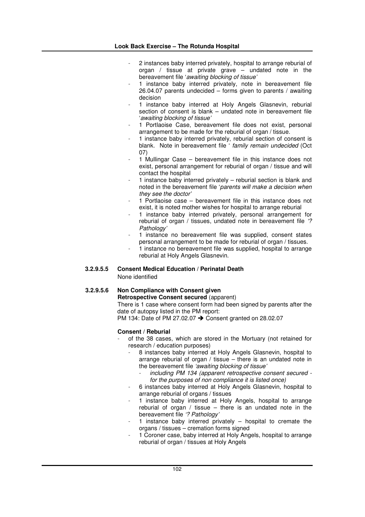- 2 instances baby interred privately, hospital to arrange reburial of organ / tissue at private grave – undated note in the bereavement file '*awaiting blocking of tissue'*
- 1 instance baby interred privately, note in bereavement file 26.04.07 parents undecided – forms given to parents / awaiting decision
- 1 instance baby interred at Holy Angels Glasnevin, reburial section of consent is blank – undated note in bereavement file '*awaiting blocking of tissue'*
- 1 Portlaoise Case, bereavement file does not exist, personal arrangement to be made for the reburial of organ / tissue.
- 1 instance baby interred privately, reburial section of consent is blank. Note in bereavement file ' *family remain undecided* (Oct 07)
- 1 Mullingar Case bereavement file in this instance does not exist, personal arrangement for reburial of organ / tissue and will contact the hospital
- 1 instance baby interred privately  $-$  reburial section is blank and noted in the bereavement file '*parents will make a decision when they see the doctor'*
- 1 Portlaoise case bereavement file in this instance does not exist, it is noted mother wishes for hospital to arrange reburial
- 1 instance baby interred privately, personal arrangement for reburial of organ / tissues, undated note in bereavement file *'? Pathology'*
- 1 instance no bereavement file was supplied, consent states personal arrangement to be made for reburial of organ / tissues.
- 1 instance no bereavement file was supplied, hospital to arrange reburial at Holy Angels Glasnevin.

#### **3.2.9.5.5 Consent Medical Education / Perinatal Death**

None identified

## **3.2.9.5.6 Non Compliance with Consent given**

**Retrospective Consent secured** (apparent) There is 1 case where consent form had been signed by parents after the date of autopsy listed in the PM report:

PM 134: Date of PM 27.02.07 → Consent granted on 28.02.07

#### **Consent / Reburial**

- of the 38 cases, which are stored in the Mortuary (not retained for research / education purposes)
	- 8 instances baby interred at Holy Angels Glasnevin, hospital to arrange reburial of organ / tissue – there is an undated note in the bereavement file *'awaiting blocking of tissue'*
		- *including PM 134 (apparent retrospective consent secured for the purposes of non compliance it is listed once)*
	- 6 instances baby interred at Holy Angels Glasnevin, hospital to arrange reburial of organs / tissues
	- 1 instance baby interred at Holy Angels, hospital to arrange reburial of organ / tissue – there is an undated note in the bereavement file *'? Pathology'*
	- 1 instance baby interred privately  $-$  hospital to cremate the organs / tissues – cremation forms signed
	- 1 Coroner case, baby interred at Holy Angels, hospital to arrange reburial of organ / tissues at Holy Angels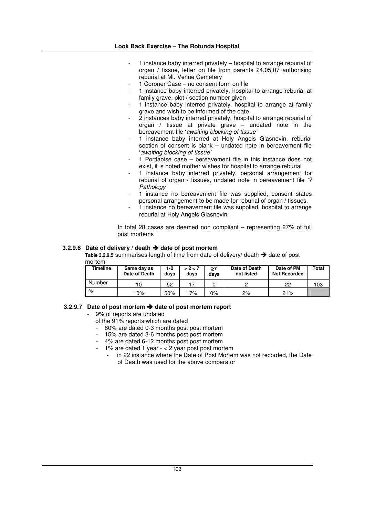- 1 instance baby interred privately hospital to arrange reburial of organ / tissue, letter on file from parents 24.05.07 authorising reburial at Mt. Venue Cemetery
- 1 Coroner Case no consent form on file
- 1 instance baby interred privately, hospital to arrange reburial at family grave, plot / section number given
- 1 instance baby interred privately, hospital to arrange at family grave and wish to be informed of the date
- $\frac{3}{2}$  instances baby interred privately, hospital to arrange reburial of organ / tissue at private grave – undated note in the bereavement file '*awaiting blocking of tissue'*
- 1 instance baby interred at Holy Angels Glasnevin, reburial section of consent is blank – undated note in bereavement file '*awaiting blocking of tissue'*
- 1 Portlaoise case bereavement file in this instance does not exist, it is noted mother wishes for hospital to arrange reburial
- 1 instance baby interred privately, personal arrangement for reburial of organ / tissues, undated note in bereavement file *'? Pathology'*
- 1 instance no bereavement file was supplied, consent states personal arrangement to be made for reburial of organ / tissues.
- 1 instance no bereavement file was supplied, hospital to arrange reburial at Holy Angels Glasnevin.

In total 28 cases are deemed non compliant – representing 27% of full post mortems

#### **3.2.9.6 Date of delivery / death date of post mortem**

**Table 3.2.9.5** summarises length of time from date of delivery/ death  $\rightarrow$  date of post mortem

| Timeline | Same day as<br>Date of Death | 1-2<br>davs | > 2 < 7<br>davs | ≥7<br>days | Date of Death<br>not listed | Date of PM<br><b>Not Recorded</b> | Total |
|----------|------------------------------|-------------|-----------------|------------|-----------------------------|-----------------------------------|-------|
| Number   |                              | 52          |                 |            |                             | 22                                | 103   |
| $\%$     | 10%                          | 50%         | 17%             | $0\%$      | 2%                          | 21%                               |       |

#### **3.2.9.7 Date of post mortem date of post mortem report**

- 9% of reports are undated
- of the 91% reports which are dated
- 80% are dated 0-3 months post post mortem
- 15% are dated 3-6 months post post mortem
- 4% are dated 6-12 months post post mortem
- 1% are dated 1 year < 2 year post post mortem
	- in 22 instance where the Date of Post Mortem was not recorded, the Date of Death was used for the above comparator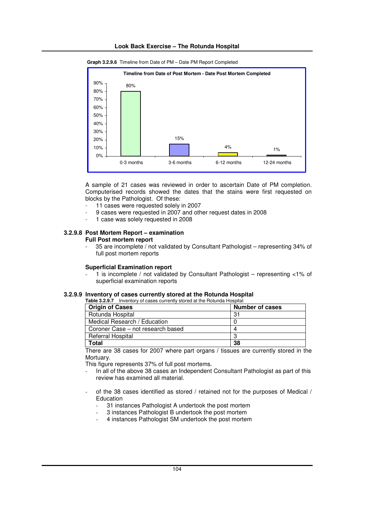



**Graph 3.2.9.6** Timeline from Date of PM – Date PM Report Completed

A sample of 21 cases was reviewed in order to ascertain Date of PM completion. Computerised records showed the dates that the stains were first requested on blocks by the Pathologist. Of these:

- 11 cases were requested solely in 2007
- 9 cases were requested in 2007 and other request dates in 2008
- 1 case was solely requested in 2008

### **3.2.9.8 Post Mortem Report – examination**

#### **Full Post mortem report**

- 35 are incomplete / not validated by Consultant Pathologist – representing 34% of full post mortem reports

#### **Superficial Examination report**

- 1 is incomplete / not validated by Consultant Pathologist – representing <1% of superficial examination reports

#### **3.2.9.9 Inventory of cases currently stored at the Rotunda Hospital Table 3.2.9.7** Inventory of cases currently stored at the Rotunda Hospital

| <b>Table 3.2.3.7</b> Inventory or cases currently stored at the Hotunga Hospital |                        |  |  |  |  |
|----------------------------------------------------------------------------------|------------------------|--|--|--|--|
| <b>Origin of Cases</b>                                                           | <b>Number of cases</b> |  |  |  |  |
| Rotunda Hospital                                                                 | 31                     |  |  |  |  |
| Medical Research / Education                                                     |                        |  |  |  |  |
| Coroner Case – not research based                                                | 4                      |  |  |  |  |
| Referral Hospital                                                                | -3                     |  |  |  |  |
| Total                                                                            | 38                     |  |  |  |  |

There are 38 cases for 2007 where part organs / tissues are currently stored in the Mortuary.

This figure represents 37% of full post mortems.

- In all of the above 38 cases an Independent Consultant Pathologist as part of this review has examined all material.
- of the 38 cases identified as stored / retained not for the purposes of Medical / **Education** 
	- 31 instances Pathologist A undertook the post mortem
	- 3 instances Pathologist B undertook the post mortem
	- 4 instances Pathologist SM undertook the post mortem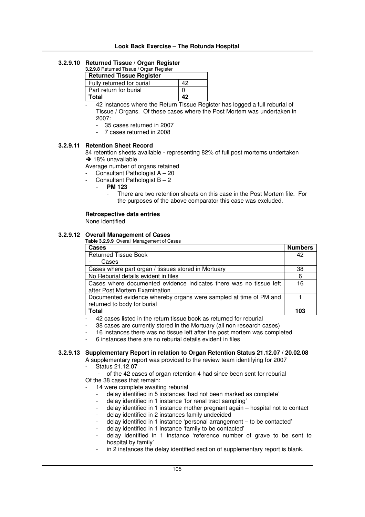#### **Look Back Exercise – The Rotunda Hospital**

## **3.2.9.10 Returned Tissue / Organ Register**

| 3.2.9.8 Returned Tissue / Organ Register |    |
|------------------------------------------|----|
| <b>Returned Tissue Register</b>          |    |
| Fully returned for burial                | 42 |
| Part return for burial                   |    |
| <b>Total</b>                             | 42 |

42 instances where the Return Tissue Register has logged a full reburial of Tissue / Organs. Of these cases where the Post Mortem was undertaken in 2007:

- 35 cases returned in 2007
- 7 cases returned in 2008

#### **3.2.9.11 Retention Sheet Record**

84 retention sheets available - representing 82% of full post mortems undertaken  $\rightarrow$  18% unavailable

Average number of organs retained

- Consultant Pathologist  $A 20$
- Consultant Pathologist  $B 2$ 
	- **PM 123**
		- There are two retention sheets on this case in the Post Mortem file. For the purposes of the above comparator this case was excluded.

#### **Retrospective data entries**

None identified

### **3.2.9.12 Overall Management of Cases**

**Table 3.2.9.9** Overall Management of Cases

| Cases                                                                                               | <b>Numbers</b> |
|-----------------------------------------------------------------------------------------------------|----------------|
| <b>Returned Tissue Book</b>                                                                         | 42             |
| Cases                                                                                               |                |
| Cases where part organ / tissues stored in Mortuary                                                 | 38             |
| No Reburial details evident in files                                                                | 6              |
| Cases where documented evidence indicates there was no tissue left<br>after Post Mortem Examination | 16             |
| Documented evidence whereby organs were sampled at time of PM and<br>returned to body for burial    |                |
| <b>Total</b>                                                                                        | 103            |
| locage lieted in the return tionup heak as returned for reburiel                                    |                |

42 cases listed in the return tissue book as returned for reburial

- 38 cases are currently stored in the Mortuary (all non research cases)
- 16 instances there was no tissue left after the post mortem was completed
- 6 instances there are no reburial details evident in files

#### **3.2.9.13 Supplementary Report in relation to Organ Retention Status 21.12.07 / 20.02.08**

A supplementary report was provided to the review team identifying for 2007 Status 21.12.07

of the 42 cases of organ retention 4 had since been sent for reburial Of the 38 cases that remain:

- 14 were complete awaiting reburial
	- delay identified in 5 instances 'had not been marked as complete'
	- delay identified in 1 instance 'for renal tract sampling'
	- delay identified in 1 instance mother pregnant again hospital not to contact
	- delay identified in 2 instances family undecided
	- delay identified in 1 instance 'personal arrangement to be contacted'
	- delay identified in 1 instance 'family to be contacted' - delay identified in 1 instance 'reference number of grave to be sent to
	- hospital by family'
	- in 2 instances the delay identified section of supplementary report is blank.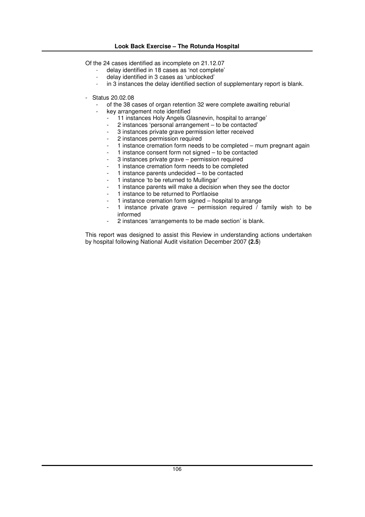#### **Look Back Exercise – The Rotunda Hospital**

Of the 24 cases identified as incomplete on 21.12.07

- delay identified in 18 cases as 'not complete'
- delay identified in 3 cases as 'unblocked'
- in 3 instances the delay identified section of supplementary report is blank.
- Status 20.02.08
	- of the 38 cases of organ retention 32 were complete awaiting reburial
	- key arrangement note identified
		- 11 instances Holy Angels Glasnevin, hospital to arrange'<br>- 2 instances 'personal arrangement to be contacted'
		- 2 instances 'personal arrangement to be contacted'
		- 3 instances private grave permission letter received
		- 2 instances permission required
		- 1 instance cremation form needs to be completed mum pregnant again
		- 1 instance consent form not signed to be contacted
		- 3 instances private grave permission required
		- 1 instance cremation form needs to be completed
		- 1 instance parents undecided to be contacted
		- 1 instance 'to be returned to Mullingar'
		- 1 instance parents will make a decision when they see the doctor
		- 1 instance to be returned to Portlaoise
		- 1 instance cremation form signed hospital to arrange
		- 1 instance private grave permission required  $\overline{\prime}$  family wish to be informed
		- 2 instances 'arrangements to be made section' is blank.

This report was designed to assist this Review in understanding actions undertaken by hospital following National Audit visitation December 2007 **(2.5**)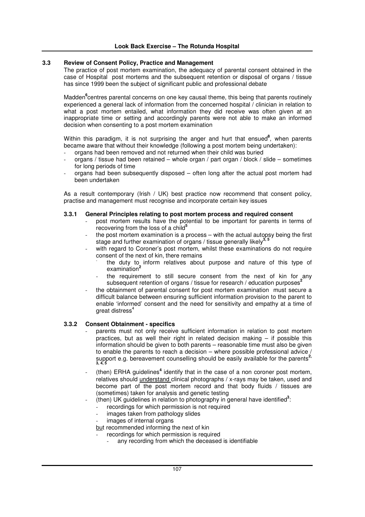#### **3.3 Review of Consent Policy, Practice and Management**

The practice of post mortem examination, the adequacy of parental consent obtained in the case of Hospital post mortems and the subsequent retention or disposal of organs / tissue has since 1999 been the subject of significant public and professional debate

Madden **6** centres parental concerns on one key causal theme, this being that parents routinely experienced a general lack of information from the concerned hospital / clinician in relation to what a post mortem entailed, what information they did receive was often given at an inappropriate time or setting and accordingly parents were not able to make an informed decision when consenting to a post mortem examination

Within this paradigm, it is not surprising the anger and hurt that ensued<sup>8</sup>, when parents became aware that without their knowledge (following a post mortem being undertaken):

- organs had been removed and not returned when their child was buried
- organs / tissue had been retained whole organ / part organ / block / slide sometimes for long periods of time
- organs had been subsequently disposed often long after the actual post mortem had been undertaken

As a result contemporary (Irish / UK) best practice now recommend that consent policy, practise and management must recognise and incorporate certain key issues

#### **3.3.1 General Principles relating to post mortem process and required consent**

- post mortem results have the potential to be important for parents in terms of recovering from the loss of a child **5**
- the post mortem examination is a process  $-$  with the actual autopsy being the first stage and further examination of organs / tissue generally likely **3, 5**
- with regard to Coroner's post mortem, whilst these examinations do not require consent of the next of kin, there remains
	- the duty to inform relatives about purpose and nature of this type of examination **2**
	- the requirement to still secure consent from the next of kin for any subsequent retention of organs / tissue for research / education purposes<sup>2</sup>
- the obtainment of parental consent for post mortem examination must secure a difficult balance between ensuring sufficient information provision to the parent to enable 'informed' consent and the need for sensitivity and empathy at a time of great distress 4

#### **3.3.2 Consent Obtainment - specifics**

- parents must not only receive sufficient information in relation to post mortem practices, but as well their right in related decision making – if possible this information should be given to both parents – reasonable time must also be given to enable the parents to reach a decision – where possible professional advice / support e.g. bereavement counselling should be easily available for the parents **2, 3, 4, 5**
- (then) ERHA guidelines<sup>4</sup> identify that in the case of a non coroner post mortem, relatives should understand clinical photographs / x-rays may be taken, used and become part of the post mortem record and that body fluids / tissues are (sometimes) taken for analysis and genetic testing
- (then) UK guidelines in relation to photography in general have identified<sup>3</sup>:
	- recordings for which permission is not required
	- images taken from pathology slides
	- images of internal organs

but recommended informing the next of kin

- recordings for which permission is required
	- any recording from which the deceased is identifiable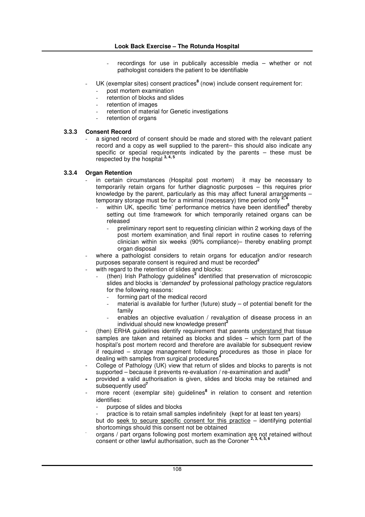- $recordings$  for use in publically accessible media  $-$  whether or not pathologist considers the patient to be identifiable
- UK (exemplar sites) consent practices **8** (now) include consent requirement for:
	- post mortem examination
	- .<br>
	retention of blocks and slides
	- retention of images
	- retention of material for Genetic investigations
	- retention of organs

#### **3.3.3 Consent Record**

a signed record of consent should be made and stored with the relevant patient record and a copy as well supplied to the parent– this should also indicate any specific or special requirements indicated by the parents – these must be respected by the hospital **3, 4, 5**

#### **3.3.4 Organ Retention**

- in certain circumstances (Hospital post mortem) it may be necessary to temporarily retain organs for further diagnostic purposes – this requires prior knowledge by the parent, particularly as this may affect funeral arrangements – temporary storage must be for a minimal (necessary) time period only **2, 4**
	- within UK, specific 'time' performance metrics have been identified<sup>5</sup> thereby setting out time framework for which temporarily retained organs can be released
		- preliminary report sent to requesting clinician within 2 working days of the post mortem examination and final report in routine cases to referring clinician within six weeks **'** (90% compliance)– thereby enabling prompt organ disposal
- where a pathologist considers to retain organs for education and/or research purposes separate consent is required and must be recorded **2**
- with regard to the retention of slides and blocks:
	- (then) Irish Pathology guidelines<sup>2</sup> identified that preservation of microscopic slides and blocks is '*demanded*' by professional pathology practice regulators for the following reasons:
		- forming part of the medical record
		- $m$ aterial is available for further (future) study of potential benefit for the family
		- enables an objective evaluation / revaluation of disease process in an individual should new knowledge present **2**
- (then) ERHA guidelines identify requirement that parents understand that tissue samples are taken and retained as blocks and slides  $-$  which form part of the hospital's post mortem record and therefore are available for subsequent review if required – storage management following procedures as those in place for **4** dealing with samples from surgical procedures
- College of Pathology (UK) view that return of slides and blocks to parents is not supported – because it prevents re-evaluation / re-examination and audit **3**
- **-** provided a valid authorisation is given, slides and blocks may be retained and subsequently used **7**
- more recent (exemplar site) guidelines<sup>8</sup> in relation to consent and retention identifies:
	- purpose of slides and blocks
	- practice is to retain small samples indefinitely (kept for at least ten years)
	- but do seek to secure specific consent for this practice identifying potential shortcomings should this consent not be obtained
- organs / part organs following post mortem examination are not retained without consent or other lawful authorisation, such as the Coroner **2, 3, 4, 5, 6**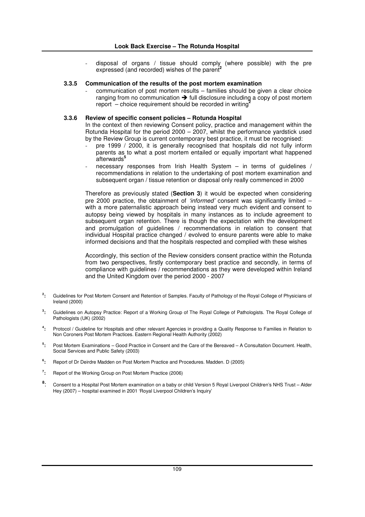disposal of organs / tissue should comply (where possible) with the pre expressed (and recorded) wishes of the parent **2**

#### **3.3.5 Communication of the results of the post mortem examination**

communication of post mortem results – families should be given a clear choice ranging from no communication  $\rightarrow$  full disclosure including a copy of post mortem report – choice requirement should be recorded in writing **2**

### **3.3.6 Review of specific consent policies – Rotunda Hospital**

In the context of then reviewing Consent policy, practice and management within the Rotunda Hospital for the period 2000 – 2007, whilst the performance yardstick used by the Review Group is current contemporary best practice, it must be recognised:

- pre 1999 / 2000, it is generally recognised that hospitals did not fully inform parents as to what a post mortem entailed or equally important what happened afterwards **5**
- necessary responses from Irish Health System  $-$  in terms of guidelines / recommendations in relation to the undertaking of post mortem examination and subsequent organ / tissue retention or disposal only really commenced in 2000

Therefore as previously stated (**Section 3**) it would be expected when considering pre 2000 practice, the obtainment of *'informed'* consent was significantly limited – with a more paternalistic approach being instead very much evident and consent to autopsy being viewed by hospitals in many instances as to include agreement to subsequent organ retention. There is though the expectation with the development and promulgation of guidelines / recommendations in relation to consent that individual Hospital practice changed / evolved to ensure parents were able to make informed decisions and that the hospitals respected and complied with these wishes

Accordingly, this section of the Review considers consent practice within the Rotunda from two perspectives, firstly contemporary best practice and secondly, in terms of compliance with guidelines / recommendations as they were developed within Ireland and the United Kingdom over the period 2000 - 2007

- **2 :** Guidelines for Post Mortem Consent and Retention of Samples. Faculty of Pathology of the Royal College of Physicians of Ireland (2000)
- **3 :** Guidelines on Autopsy Practice: Report of a Working Group of The Royal College of Pathologists. The Royal College of Pathologists (UK) (2002)
- **4 :** Protocol / Guideline for Hospitals and other relevant Agencies in providing a Quality Response to Families in Relation to Non Coroners Post Mortem Practices. Eastern Regional Health Authority (2002)
- **5 :** Post Mortem Examinations – Good Practice in Consent and the Care of the Bereaved – A Consultation Document. Health, Social Services and Public Safety (2003)
- **6 :** Report of Dr Deirdre Madden on Post Mortem Practice and Procedures. Madden. D (2005)
- **7 :** Report of the Working Group on Post Mortem Practice (2006)
- **8** : Consent to a Hospital Post Mortem examination on a baby or child Version 5 Royal Liverpool Children's NHS Trust – Alder Hey (2007) – hospital examined in 2001 'Royal Liverpool Children's Inquiry'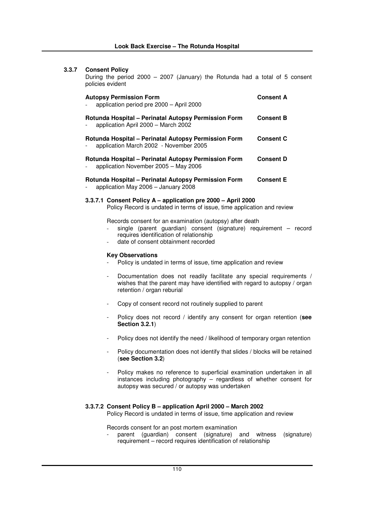# **3.3.7 Consent Policy**

During the period 2000 – 2007 (January) the Rotunda had a total of 5 consent policies evident

| <b>Autopsy Permission Form</b><br>application period pre 2000 - April 2000                     | <b>Consent A</b> |
|------------------------------------------------------------------------------------------------|------------------|
| Rotunda Hospital – Perinatal Autopsy Permission Form<br>application April 2000 - March 2002    | <b>Consent B</b> |
| Rotunda Hospital – Perinatal Autopsy Permission Form<br>application March 2002 - November 2005 | <b>Consent C</b> |
| Rotunda Hospital – Perinatal Autopsy Permission Form<br>application November 2005 - May 2006   | <b>Consent D</b> |
| Rotunda Hospital – Perinatal Autopsy Permission Form<br>application May 2006 - January 2008    | <b>Consent E</b> |

### **3.3.7.1 Consent Policy A – application pre 2000 – April 2000**

Policy Record is undated in terms of issue, time application and review

Records consent for an examination (autopsy) after death

- single (parent guardian) consent (signature) requirement record requires identification of relationship
- date of consent obtainment recorded

### **Key Observations**

- Policy is undated in terms of issue, time application and review
- Documentation does not readily facilitate any special requirements / wishes that the parent may have identified with regard to autopsy / organ retention / organ reburial
- Copy of consent record not routinely supplied to parent
- Policy does not record / identify any consent for organ retention (**see Section 3.2.1**)
- Policy does not identify the need / likelihood of temporary organ retention
- Policy documentation does not identify that slides / blocks will be retained (**see Section 3.2**)
- Policy makes no reference to superficial examination undertaken in all instances including photography – regardless of whether consent for autopsy was secured / or autopsy was undertaken

### **3.3.7.2 Consent Policy B – application April 2000 – March 2002**

Policy Record is undated in terms of issue, time application and review

Records consent for an post mortem examination

parent (guardian) consent (signature) and witness (signature) requirement – record requires identification of relationship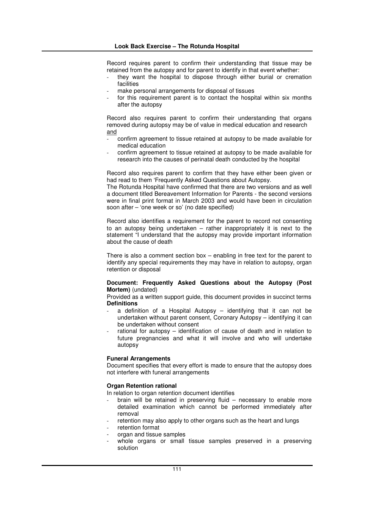Record requires parent to confirm their understanding that tissue may be retained from the autopsy and for parent to identify in that event whether:

- they want the hospital to dispose through either burial or cremation facilities
- make personal arrangements for disposal of tissues
- for this requirement parent is to contact the hospital within six months after the autopsy

Record also requires parent to confirm their understanding that organs removed during autopsy may be of value in medical education and research and

- confirm agreement to tissue retained at autopsy to be made available for medical education
- confirm agreement to tissue retained at autopsy to be made available for research into the causes of perinatal death conducted by the hospital

Record also requires parent to confirm that they have either been given or had read to them 'Frequently Asked Questions about Autopsy.

The Rotunda Hospital have confirmed that there are two versions and as well a document titled Bereavement Information for Parents - the second versions were in final print format in March 2003 and would have been in circulation soon after – 'one week or so' (no date specified)

Record also identifies a requirement for the parent to record not consenting to an autopsy being undertaken – rather inappropriately it is next to the statement "I understand that the autopsy may provide important information about the cause of death

There is also a comment section box – enabling in free text for the parent to identify any special requirements they may have in relation to autopsy, organ retention or disposal

### **Document: Frequently Asked Questions about the Autopsy (Post Mortem)** (undated)

Provided as a written support guide, this document provides in succinct terms **Definitions**

- a definition of a Hospital Autopsy  $-$  identifying that it can not be undertaken without parent consent, Coronary Autopsy – identifying it can be undertaken without consent
- rational for autopsy identification of cause of death and in relation to future pregnancies and what it will involve and who will undertake autopsy

### **Funeral Arrangements**

Document specifies that every effort is made to ensure that the autopsy does not interfere with funeral arrangements

# **Organ Retention rational**

In relation to organ retention document identifies

- brain will be retained in preserving fluid  $-$  necessary to enable more detailed examination which cannot be performed immediately after removal
- retention may also apply to other organs such as the heart and lungs
- retention format
- organ and tissue samples
- whole organs or small tissue samples preserved in a preserving solution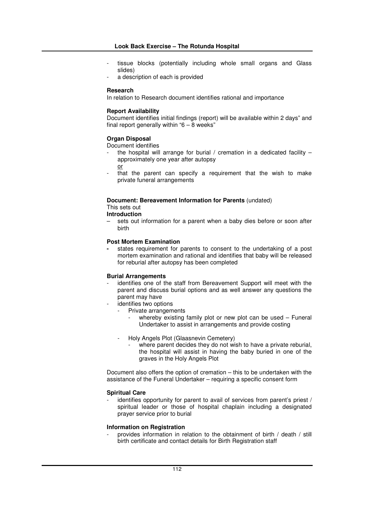- tissue blocks (potentially including whole small organs and Glass slides)
- a description of each is provided

### **Research**

In relation to Research document identifies rational and importance

# **Report Availability**

Document identifies initial findings (report) will be available within 2 days" and final report generally within " $6 - 8$  weeks"

# **Organ Disposal**

Document identifies

- the hospital will arrange for burial / cremation in a dedicated facility  $$ approximately one year after autopsy or
- that the parent can specify a requirement that the wish to make private funeral arrangements

# **Document: Bereavement Information for Parents** (undated)

This sets out

**Introduction**

sets out information for a parent when a baby dies before or soon after birth

# **Post Mortem Examination**

**-** states requirement for parents to consent to the undertaking of a post mortem examination and rational and identifies that baby will be released for reburial after autopsy has been completed

### **Burial Arrangements**

- identifies one of the staff from Bereavement Support will meet with the parent and discuss burial options and as well answer any questions the parent may have
	- identifies two options
		- Private arrangements
			- whereby existing family plot or new plot can be used  $-$  Funeral Undertaker to assist in arrangements and provide costing
		- Holy Angels Plot (Glaasnevin Cemetery)
			- where parent decides they do not wish to have a private reburial, the hospital will assist in having the baby buried in one of the graves in the Holy Angels Plot

Document also offers the option of cremation – this to be undertaken with the assistance of the Funeral Undertaker – requiring a specific consent form

### **Spiritual Care**

identifies opportunity for parent to avail of services from parent's priest / spiritual leader or those of hospital chaplain including a designated prayer service prior to burial

### **Information on Registration**

- provides information in relation to the obtainment of birth / death / still birth certificate and contact details for Birth Registration staff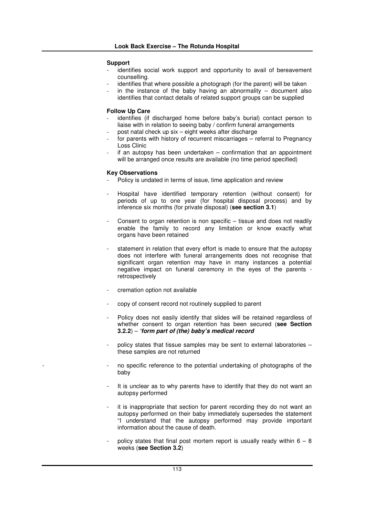## **Support**

- identifies social work support and opportunity to avail of bereavement counselling.
- identifies that where possible a photograph (for the parent) will be taken
- in the instance of the baby having an abnormality  $-$  document also identifies that contact details of related support groups can be supplied

## **Follow Up Care**

- identifies (if discharged home before baby's burial) contact person to liaise with in relation to seeing baby / confirm funeral arrangements
- post natal check up six eight weeks after discharge
- for parents with history of recurrent miscarriages referral to Pregnancy Loss Clinic
- $-$  if an autopsy has been undertaken confirmation that an appointment will be arranged once results are available (no time period specified)

### **Key Observations**

- Policy is undated in terms of issue, time application and review
- Hospital have identified temporary retention (without consent) for periods of up to one year (for hospital disposal process) and by inference six months (for private disposal) (**see section 3.1**)
- Consent to organ retention is non specific  $-$  tissue and does not readily enable the family to record any limitation or know exactly what organs have been retained
- statement in relation that every effort is made to ensure that the autopsy does not interfere with funeral arrangements does not recognise that significant organ retention may have in many instances a potential negative impact on funeral ceremony in the eyes of the parents retrospectively
- cremation option not available
- copy of consent record not routinely supplied to parent
- Policy does not easily identify that slides will be retained regardless of whether consent to organ retention has been secured (**see Section 3.2.2**) – *'form part of (the) baby's medical record*
- policy states that tissue samples may be sent to external laboratories these samples are not returned
- no specific reference to the potential undertaking of photographs of the baby
- It is unclear as to why parents have to identify that they do not want an autopsy performed
- it is inappropriate that section for parent recording they do not want an autopsy performed on their baby immediately supersedes the statement "I understand that the autopsy performed may provide important information about the cause of death.
- policy states that final post mortem report is usually ready within  $6 8$ weeks (**see Section 3.2**)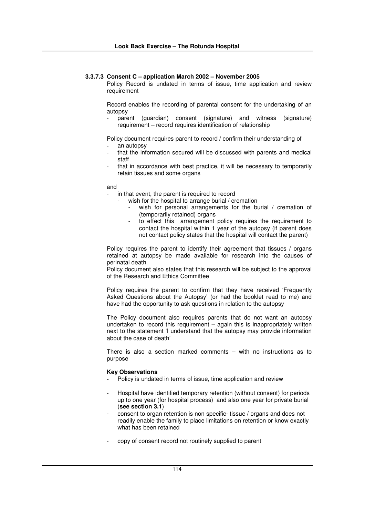### **3.3.7.3 Consent C – application March 2002 – November 2005**

Policy Record is undated in terms of issue, time application and review requirement

Record enables the recording of parental consent for the undertaking of an autopsy

parent (guardian) consent (signature) and witness (signature) requirement – record requires identification of relationship

Policy document requires parent to record / confirm their understanding of

- an autopsy
- that the information secured will be discussed with parents and medical staff
- that in accordance with best practice, it will be necessary to temporarily retain tissues and some organs

and

- in that event, the parent is required to record
	- wish for the hospital to arrange burial / cremation
		- wish for personal arrangements for the burial / cremation of (temporarily retained) organs
		- to effect this arrangement policy requires the requirement to contact the hospital within 1 year of the autopsy (if parent does not contact policy states that the hospital will contact the parent)

Policy requires the parent to identify their agreement that tissues / organs retained at autopsy be made available for research into the causes of perinatal death.

Policy document also states that this research will be subject to the approval of the Research and Ethics Committee

Policy requires the parent to confirm that they have received 'Frequently Asked Questions about the Autopsy' (or had the booklet read to me) and have had the opportunity to ask questions in relation to the autopsy

The Policy document also requires parents that do not want an autopsy undertaken to record this requirement – again this is inappropriately written next to the statement 'I understand that the autopsy may provide information about the case of death'

There is also a section marked comments – with no instructions as to purpose

### **Key Observations**

- **-** Policy is undated in terms of issue, time application and review
- Hospital have identified temporary retention (without consent) for periods up to one year (for hospital process) and also one year for private burial (**see section 3.1**)
- consent to organ retention is non specific- tissue / organs and does not readily enable the family to place limitations on retention or know exactly what has been retained
- copy of consent record not routinely supplied to parent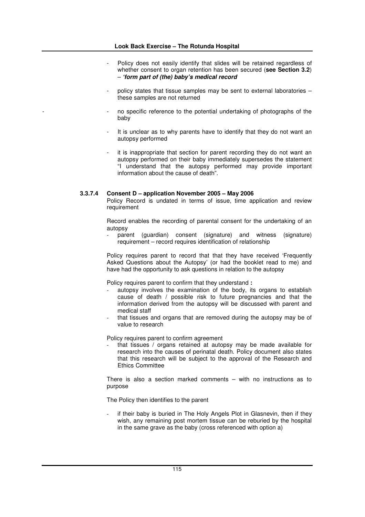- Policy does not easily identify that slides will be retained regardless of whether consent to organ retention has been secured (**see Section 3.2**) – *'form part of (the) baby's medical record*
- policy states that tissue samples may be sent to external laboratories these samples are not returned
- no specific reference to the potential undertaking of photographs of the baby
- It is unclear as to why parents have to identify that they do not want an autopsy performed
- it is inappropriate that section for parent recording they do not want an autopsy performed on their baby immediately supersedes the statement "I understand that the autopsy performed may provide important information about the cause of death".

# **3.3.7.4 Consent D – application November 2005 – May 2006**

Policy Record is undated in terms of issue, time application and review requirement

Record enables the recording of parental consent for the undertaking of an autopsy

parent (guardian) consent (signature) and witness (signature) requirement – record requires identification of relationship

Policy requires parent to record that that they have received 'Frequently Asked Questions about the Autopsy' (or had the booklet read to me) and have had the opportunity to ask questions in relation to the autopsy

Policy requires parent to confirm that they understand **:**

- autopsy involves the examination of the body, its organs to establish cause of death / possible risk to future pregnancies and that the information derived from the autopsy will be discussed with parent and medical staff
- that tissues and organs that are removed during the autopsy may be of value to research

Policy requires parent to confirm agreement

that tissues / organs retained at autopsy may be made available for research into the causes of perinatal death. Policy document also states that this research will be subject to the approval of the Research and Ethics Committee

There is also a section marked comments – with no instructions as to purpose

The Policy then identifies to the parent

if their baby is buried in The Holy Angels Plot in Glasnevin, then if they wish, any remaining post mortem tissue can be reburied by the hospital in the same grave as the baby (cross referenced with option a)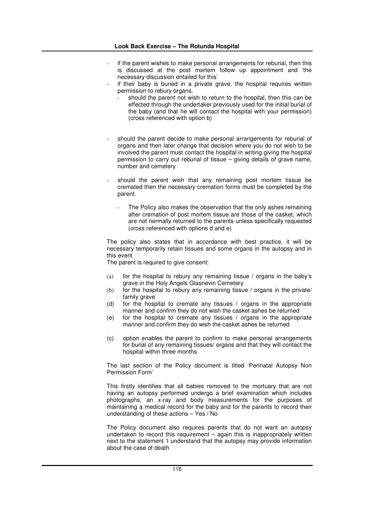- if the parent wishes to make personal arrangements for reburial, then this is discussed at the post mortem follow up appointment and 'the necessary discussion entailed for this'
	- if their baby is buried in a private grave, the hospital requires written permission to rebury organs.
		- should the parent not wish to return to the hospital, then this can be effected through the undertaker previously used for the initial burial of the baby (and that he will contact the hospital with your permission) (cross referenced with option b)
- should the parent decide to make personal arrangements for reburial of organs and then later change that decision where you do not wish to be involved the parent must contact the hospital in writing giving the hospital permission to carry out reburial of tissue – giving details of grave name, number and cemetery
- should the parent wish that any remaining post mortem tissue be cremated then the necessary cremation forms must be completed by the parent.
	- The Policy also makes the observation that the only ashes remaining after cremation of post mortem tissue are those of the casket, which are not normally returned to the parents unless specifically requested (cross referenced with options d and e)

The policy also states that in accordance with best practice, it will be necessary temporarily retain tissues and some organs in the autopsy and in this event

The parent is required to give consent:

- (a) for the hospital to rebury any remaining tissue / organs in the baby's grave in the Holy Angels Glasnevin Cemetery
- (b) for the hospital to rebury any remaining tissue / organs in the private/ family grave
- (d) for the hospital to cremate any tissues / organs in the appropriate manner and confirm they do not wish the casket ashes be returned
- (e) for the hospital to cremate any tissues / organs in the appropriate manner and confirm they do wish the casket ashes be returned
- (c) option enables the parent to confirm to make personal arrangements for burial of any remaining tissues/ organs and that they will contact the hospital within three months

The last section of the Policy document is titled 'Perinatal Autopsy Non Permission Form'

This firstly identifies that all babies removed to the mortuary that are not having an autopsy performed undergo a brief examination which includes photographs, an x-ray and body measurements for the purposes of maintaining a medical record for the baby and for the parents to record their understanding of these actions – Yes / No

The Policy document also requires parents that do not want an autopsy undertaken to record this requirement – again this is inappropriately written next to the statement 'I understand that the autopsy may provide information about the case of death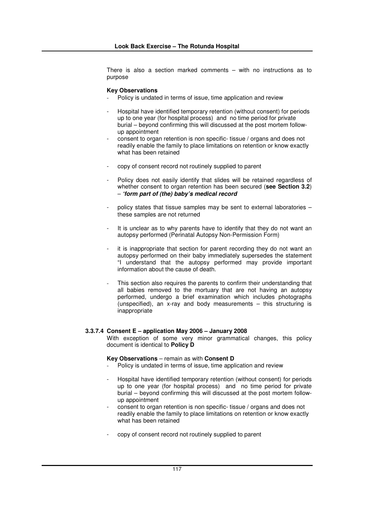There is also a section marked comments – with no instructions as to purpose

#### **Key Observations**

- Policy is undated in terms of issue, time application and review
- Hospital have identified temporary retention (without consent) for periods up to one year (for hospital process) and no time period for private burial – beyond confirming this will discussed at the post mortem followup appointment
- consent to organ retention is non specific- tissue / organs and does not readily enable the family to place limitations on retention or know exactly what has been retained
- copy of consent record not routinely supplied to parent
- Policy does not easily identify that slides will be retained regardless of whether consent to organ retention has been secured (**see Section 3.2**) – *'form part of (the) baby's medical record*
- policy states that tissue samples may be sent to external laboratories these samples are not returned
- It is unclear as to why parents have to identify that they do not want an autopsy performed (Perinatal Autopsy Non-Permission Form)
- it is inappropriate that section for parent recording they do not want an autopsy performed on their baby immediately supersedes the statement "I understand that the autopsy performed may provide important information about the cause of death.
- This section also requires the parents to confirm their understanding that all babies removed to the mortuary that are not having an autopsy performed, undergo a brief examination which includes photographs (unspecified), an x-ray and body measurements – this structuring is inappropriate

### **3.3.7.4 Consent E – application May 2006 – January 2008**

With exception of some very minor grammatical changes, this policy document is identical to **Policy D**

#### **Key Observations** – remain as with **Consent D**

- Policy is undated in terms of issue, time application and review
- Hospital have identified temporary retention (without consent) for periods up to one year (for hospital process) and no time period for private burial – beyond confirming this will discussed at the post mortem followup appointment
- consent to organ retention is non specific- tissue / organs and does not readily enable the family to place limitations on retention or know exactly what has been retained
- copy of consent record not routinely supplied to parent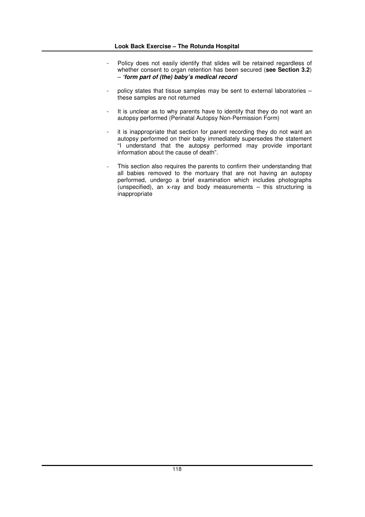- Policy does not easily identify that slides will be retained regardless of whether consent to organ retention has been secured (**see Section 3.2**) – *'form part of (the) baby's medical record*
- policy states that tissue samples may be sent to external laboratories these samples are not returned
- It is unclear as to why parents have to identify that they do not want an autopsy performed (Perinatal Autopsy Non-Permission Form)
- it is inappropriate that section for parent recording they do not want an autopsy performed on their baby immediately supersedes the statement "I understand that the autopsy performed may provide important information about the cause of death".
- This section also requires the parents to confirm their understanding that all babies removed to the mortuary that are not having an autopsy performed, undergo a brief examination which includes photographs (unspecified), an x-ray and body measurements – this structuring is inappropriate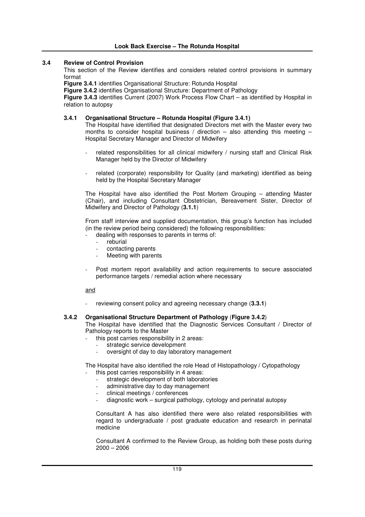## **3.4 Review of Control Provision**

This section of the Review identifies and considers related control provisions in summary format

**Figure 3.4.1** identifies Organisational Structure: Rotunda Hospital

**Figure 3.4.2** identifies Organisational Structure: Department of Pathology

**Figure 3.4.3** identifies Current (2007) Work Process Flow Chart – as identified by Hospital in relation to autopsy

### **3.4.1 Organisational Structure – Rotunda Hospital (Figure 3.4.1)**

The Hospital have identified that designated Directors met with the Master every two months to consider hospital business / direction – also attending this meeting – Hospital Secretary Manager and Director of Midwifery

- related responsibilities for all clinical midwifery / nursing staff and Clinical Risk Manager held by the Director of Midwifery
- related (corporate) responsibility for Quality (and marketing) identified as being held by the Hospital Secretary Manager

The Hospital have also identified the Post Mortem Grouping – attending Master (Chair), and including Consultant Obstetrician, Bereavement Sister, Director of Midwifery and Director of Pathology (**3.1.1**)

From staff interview and supplied documentation, this group's function has included (in the review period being considered) the following responsibilities:

- dealing with responses to parents in terms of:
	- reburial
	- contacting parents
	- Meeting with parents
- Post mortem report availability and action requirements to secure associated performance targets / remedial action where necessary

and

reviewing consent policy and agreeing necessary change (3.3.1)

## **3.4.2 Organisational Structure Department of Pathology** (**Figure 3.4.2**)

The Hospital have identified that the Diagnostic Services Consultant / Director of Pathology reports to the Master

- this post carries responsibility in 2 areas:
	- strategic service development
	- oversight of day to day laboratory management

The Hospital have also identified the role Head of Histopathology / Cytopathology

- this post carries responsibility in 4 areas:
- strategic development of both laboratories
- administrative day to day management
- clinical meetings / conferences
- diagnostic work surgical pathology, cytology and perinatal autopsy

Consultant A has also identified there were also related responsibilities with regard to undergraduate / post graduate education and research in perinatal medicine

Consultant A confirmed to the Review Group, as holding both these posts during 2000 – 2006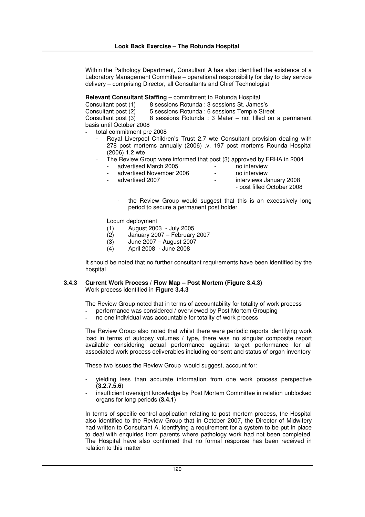Within the Pathology Department, Consultant A has also identified the existence of a Laboratory Management Committee – operational responsibility for day to day service delivery – comprising Director, all Consultants and Chief Technologist

**Relevant Consultant Staffing** – commitment to Rotunda Hospital

| Consultant post (1)      | 8 sessions Rotunda : 3 sessions St. James's             |
|--------------------------|---------------------------------------------------------|
| Consultant post (2)      | 5 sessions Rotunda : 6 sessions Temple Street           |
| Consultant post (3)      | 8 sessions Rotunda: 3 Mater – not filled on a permanent |
| basis until October 2008 |                                                         |

total commitment pre 2008

- Royal Liverpool Children's Trust 2.7 wte Consultant provision dealing with 278 post mortems annually (2006) .v. 197 post mortems Rounda Hospital (2006) 1.2 wte
- The Review Group were informed that post (3) approved by ERHA in 2004
	- - advertised March 2005<br>
		advertised November 2006<br>
		advertised November 2006<br>
		advertised November 2006
	- advertised November 2006 no interventised 2007
- interviews January 2008

- post filled October 2008
- the Review Group would suggest that this is an excessively long period to secure a permanent post holder

Locum deployment

- 
- (1) August 2003 July 2005  $(2)$  January 2007 – February 2007<br>(3) June 2007 – August 2007
- (3) June 2007 August 2007
- (4) April 2008 June 2008

It should be noted that no further consultant requirements have been identified by the hospital

### **3.4.3 Current Work Process / Flow Map – Post Mortem (Figure 3.4.3)** Work process identified in **Figure 3.4.3**

The Review Group noted that in terms of accountability for totality of work process

- performance was considered / overviewed by Post Mortem Grouping
- no one individual was accountable for totality of work process

The Review Group also noted that whilst there were periodic reports identifying work load in terms of autopsy volumes / type, there was no singular composite report available considering actual performance against target performance for all associated work process deliverables including consent and status of organ inventory

These two issues the Review Group would suggest, account for:

- yielding less than accurate information from one work process perspective **(3.2.7.5.6**)
- insufficient oversight knowledge by Post Mortem Committee in relation unblocked organs for long periods (**3.4.1**)

In terms of specific control application relating to post mortem process, the Hospital also identified to the Review Group that in October 2007, the Director of Midwifery had written to Consultant A, identifying a requirement for a system to be put in place to deal with enquiries from parents where pathology work had not been completed. The Hospital have also confirmed that no formal response has been received in relation to this matter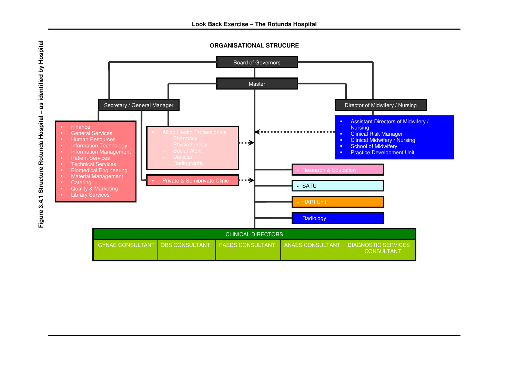

**Look Back Exercise – The Rotunda Hospital**

**p i t a**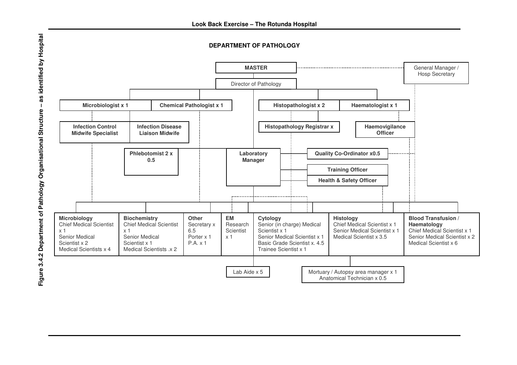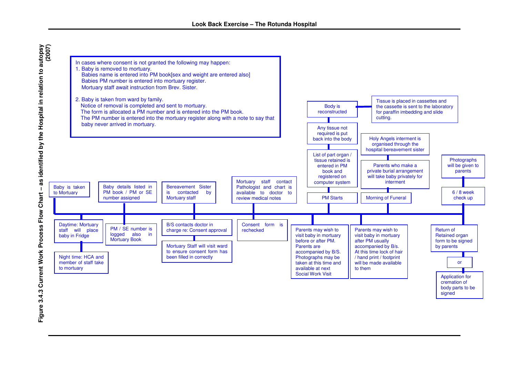

as identified by the Hospital in relation to autopsy -<br>(2007) **Figure 3.4.3 Current Work Process Flow Chart – as identified by the Hospital in relation to autopsy** Figure 3.4.3 Current Work Process Flow Chart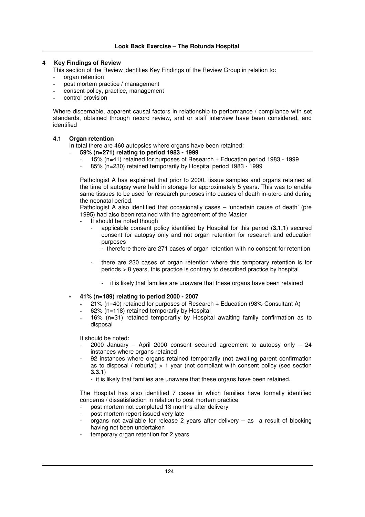## **4 Key Findings of Review**

This section of the Review identifies Key Findings of the Review Group in relation to:

- organ retention
- post mortem practice / management
- consent policy, practice, management
- control provision

Where discernable, apparent causal factors in relationship to performance / compliance with set standards, obtained through record review, and or staff interview have been considered, and identified

# **4.1 Organ retention**

In total there are 460 autopsies where organs have been retained:

- **59% (n=271) relating to period 1983 - 1999**
	- 15% (n=41) retained for purposes of Research + Education period 1983 1999
	- 85% (n=230) retained temporarily by Hospital period 1983 1999

Pathologist A has explained that prior to 2000, tissue samples and organs retained at the time of autopsy were held in storage for approximately 5 years. This was to enable same tissues to be used for research purposes into causes of death in-utero and during the neonatal period.

Pathologist A also identified that occasionally cases – 'uncertain cause of death' (pre 1995) had also been retained with the agreement of the Master

- It should be noted though
	- applicable consent policy identified by Hospital for this period (**3.1.1**) secured consent for autopsy only and not organ retention for research and education purposes
		- therefore there are 271 cases of organ retention with no consent for retention
	- there are 230 cases of organ retention where this temporary retention is for periods > 8 years, this practice is contrary to described practice by hospital
		- it is likely that families are unaware that these organs have been retained

### **- 41% (n=189) relating to period 2000 - 2007**

- 21% (n=40) retained for purposes of Research + Education (98% Consultant A)
- $62\%$  (n=118) retained temporarily by Hospital
- 16% (n=31) retained temporarily by Hospital awaiting family confirmation as to disposal

It should be noted:

- $2000$  January April 2000 consent secured agreement to autopsy only 24 instances where organs retained
- 92 instances where organs retained temporarily (not awaiting parent confirmation as to disposal / reburial)  $> 1$  year (not compliant with consent policy (see section **3.3.1**)
	- it is likely that families are unaware that these organs have been retained.

The Hospital has also identified 7 cases in which families have formally identified concerns / dissatisfaction in relation to post mortem practice

- post mortem not completed 13 months after delivery
- post mortem report issued very late
- organs not available for release 2 years after delivery  $-$  as a result of blocking having not been undertaken
- temporary organ retention for 2 years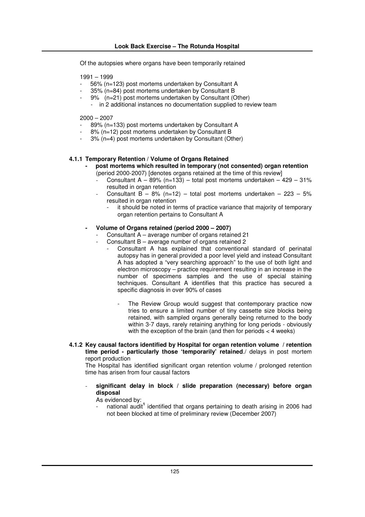Of the autopsies where organs have been temporarily retained

1991 – 1999

- 56% (n=123) post mortems undertaken by Consultant A
- 35% (n=84) post mortems undertaken by Consultant B
- 9% (n=21) post mortems undertaken by Consultant (Other) - in 2 additional instances no documentation supplied to review team

2000 – 2007

- 89% (n=133) post mortems undertaken by Consultant A
- 8% (n=12) post mortems undertaken by Consultant B
- 3% (n=4) post mortems undertaken by Consultant (Other)

# **4.1.1 Temporary Retention / Volume of Organs Retained**

- **- post mortems which resulted in temporary (not consented) organ retention** (period 2000-2007) [denotes organs retained at the time of this review]
	- Consultant A 89% (n=133) total post mortems undertaken  $429 31\%$ resulted in organ retention
	- Consultant  $B 8%$  (n=12) total post mortems undertaken 223 5% resulted in organ retention
		- it should be noted in terms of practice variance that majority of temporary organ retention pertains to Consultant A

### **- Volume of Organs retained (period 2000 – 2007)**

- Consultant  $A$  average number of organs retained 21
- Consultant B average number of organs retained 2
	- Consultant A has explained that conventional standard of perinatal autopsy has in general provided a poor level yield and instead Consultant A has adopted a "very searching approach" to the use of both light and electron microscopy – practice requirement resulting in an increase in the number of specimens samples and the use of special staining techniques. Consultant A identifies that this practice has secured a specific diagnosis in over 90% of cases
		- The Review Group would suggest that contemporary practice now tries to ensure a limited number of tiny cassette size blocks being retained, with sampled organs generally being returned to the body within 3-7 days, rarely retaining anything for long periods - obviously with the exception of the brain (and then for periods < 4 weeks)
- **4.1.2 Key causal factors identified by Hospital for organ retention volume / retention time period - particularly those 'temporarily' retained**./ delays in post mortem report production

The Hospital has identified significant organ retention volume / prolonged retention time has arisen from four causal factors

- **significant delay in block / slide preparation (necessary) before organ disposal**

# As evidenced by:

- national audit<sup>1</sup> identified that organs pertaining to death arising in 2006 had not been blocked at time of preliminary review (December 2007)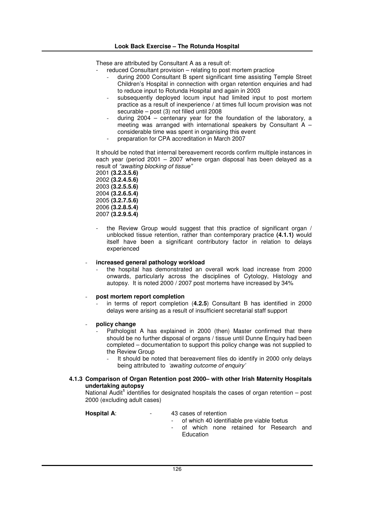These are attributed by Consultant A as a result of:

- reduced Consultant provision relating to post mortem practice
	- during 2000 Consultant B spent significant time assisting Temple Street Children's Hospital in connection with organ retention enquiries and had to reduce input to Rotunda Hospital and again in 2003
	- subsequently deployed locum input had limited input to post mortem practice as a result of inexperience / at times full locum provision was not securable – post (3) not filled until 2008
	- during  $2004$  centenary year for the foundation of the laboratory, a meeting was arranged with international speakers by Consultant A – considerable time was spent in organising this event
	- preparation for CPA accreditation in March 2007

It should be noted that internal bereavement records confirm multiple instances in each year (period 2001 – 2007 where organ disposal has been delayed as a result of *"awaiting blocking of tissue"*

 **(3.2.3.5.6) (3.2.4.5.6) (3.2.5.5.6) (3.2.6.5.4) (3.2.7.5.6) (3.2.8.5.4) (3.2.9.5.4)**

the Review Group would suggest that this practice of significant organ / unblocked tissue retention, rather than contemporary practice **(4.1.1)** would itself have been a significant contributory factor in relation to delays experienced

# - **increased general pathology workload**

the hospital has demonstrated an overall work load increase from 2000 onwards, particularly across the disciplines of Cytology, Histology and autopsy. It is noted 2000 / 2007 post mortems have increased by 34%

### - **post mortem report completion**

- in terms of report completion (**4.2.5**) Consultant B has identified in 2000 delays were arising as a result of insufficient secretarial staff support
- **policy change**
	- Pathologist A has explained in 2000 (then) Master confirmed that there should be no further disposal of organs / tissue until Dunne Enquiry had been completed – documentation to support this policy change was not supplied to the Review Group
		- It should be noted that bereavement files do identify in 2000 only delays being attributed to *'awaiting outcome of enquiry'*

### **4.1.3 Comparison of Organ Retention post 2000– with other Irish Maternity Hospitals undertaking autopsy**

National Audit<sup>1</sup> identifies for designated hospitals the cases of organ retention - post 2000 (excluding adult cases)

### **Hospital A:**  $-$  43 cases of retention

- of which 40 identifiable pre viable foetus
- of which none retained for Research and **Education**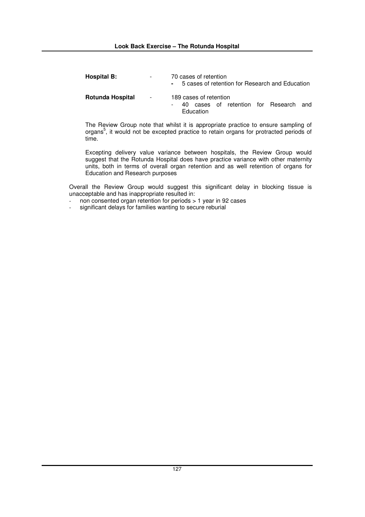| <b>Hospital B:</b> | ۰          | 70 cases of retention<br>- 5 cases of retention for Research and Education    |  |  |  |
|--------------------|------------|-------------------------------------------------------------------------------|--|--|--|
| Rotunda Hospital   | $\sim 100$ | 189 cases of retention<br>40 cases of retention for Research and<br>Education |  |  |  |

The Review Group note that whilst it is appropriate practice to ensure sampling of organs 5 , it would not be excepted practice to retain organs for protracted periods of time.

Excepting delivery value variance between hospitals, the Review Group would suggest that the Rotunda Hospital does have practice variance with other maternity units, both in terms of overall organ retention and as well retention of organs for Education and Research purposes

Overall the Review Group would suggest this significant delay in blocking tissue is unacceptable and has inappropriate resulted in:

- non consented organ retention for periods > 1 year in 92 cases<br>- significant delays for families wanting to secure reburial
- significant delays for families wanting to secure reburial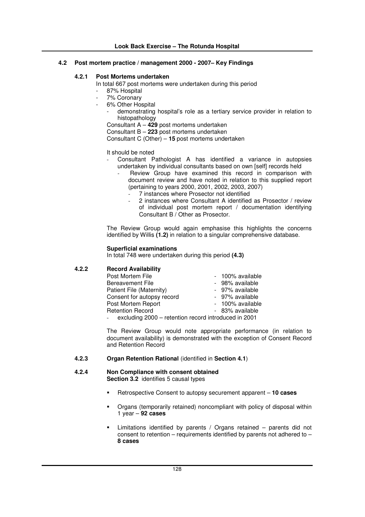# **4.2 Post mortem practice / management 2000 - 2007– Key Findings**

# **4.2.1 Post Mortems undertaken**

In total 667 post mortems were undertaken during this period

- 87% Hospital
- 7% Coronary
	- 6% Other Hospital
		- demonstrating hospital's role as a tertiary service provider in relation to histopathology

Consultant A – **429** post mortems undertaken

Consultant B – **223** post mortems undertaken

Consultant C (Other) – **15** post mortems undertaken

### It should be noted

- Consultant Pathologist A has identified a variance in autopsies undertaken by individual consultants based on own [self] records held
	- Review Group have examined this record in comparison with document review and have noted in relation to this supplied report (pertaining to years 2000, 2001, 2002, 2003, 2007)
		- 7 instances where Prosector not identified
		- 2 instances where Consultant A identified as Prosector / review of individual post mortem report / documentation identifying Consultant B / Other as Prosector.

The Review Group would again emphasise this highlights the concerns identified by Willis **(1.2)** in relation to a singular comprehensive database.

## **Superficial examinations**

In total 748 were undertaken during this period **(4.3)**

# **4.2.2 Record Availability**

| Post Mortem File                                     | - 100% available |
|------------------------------------------------------|------------------|
| <b>Bereavement File</b>                              | - 98% available  |
| Patient File (Maternity)                             | - 97% available  |
| Consent for autopsy record                           | - 97% available  |
| Post Mortem Report                                   | - 100% available |
| <b>Retention Record</b>                              | - 83% available  |
| excluding 2000 - retention record introduced in 2001 |                  |
|                                                      |                  |

The Review Group would note appropriate performance (in relation to document availability) is demonstrated with the exception of Consent Record and Retention Record

# **4.2.3 Organ Retention Rational** (identified in **Section 4.1**)

### **4.2.4 Non Compliance with consent obtained Section 3.2** identifies 5 causal types

- -Retrospective Consent to autopsy securement apparent – **10 cases**
- - Organs (temporarily retained) noncompliant with policy of disposal within 1 year – **92 cases**
- - Limitations identified by parents / Organs retained – parents did not consent to retention – requirements identified by parents not adhered to – **8 cases**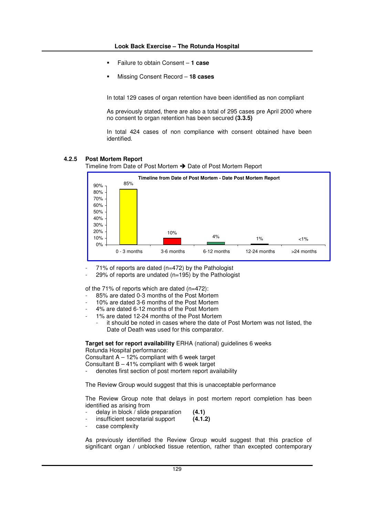- -Failure to obtain Consent – **1 case**
- -Missing Consent Record – **18 cases**

In total 129 cases of organ retention have been identified as non compliant

As previously stated, there are also a total of 295 cases pre April 2000 where no consent to organ retention has been secured **(3.3.5)**

In total 424 cases of non compliance with consent obtained have been identified.

### **4.2.5 Post Mortem Report**

Timeline from Date of Post Mortem → Date of Post Mortem Report



71% of reports are dated ( $n=472$ ) by the Pathologist

29% of reports are undated ( $n=195$ ) by the Pathologist

of the 71% of reports which are dated (n=472):

- 85% are dated 0-3 months of the Post Mortem
- 10% are dated 3-6 months of the Post Mortem
- 4% are dated 6-12 months of the Post Mortem
- 1% are dated 12-24 months of the Post Mortem
	- it should be noted in cases where the date of Post Mortem was not listed, the Date of Death was used for this comparator.

**Target set for report availability** ERHA (national) guidelines 6 weeks

Rotunda Hospital performance:

Consultant A – 12% compliant with 6 week target

- Consultant B 41% compliant with 6 week target
- denotes first section of post mortem report availability

The Review Group would suggest that this is unacceptable performance

The Review Group note that delays in post mortem report completion has been identified as arising from

- delay in block / slide preparation **(4.1)**
- insufficient secretarial support (4.1.2)
- case complexity

As previously identified the Review Group would suggest that this practice of significant organ / unblocked tissue retention, rather than excepted contemporary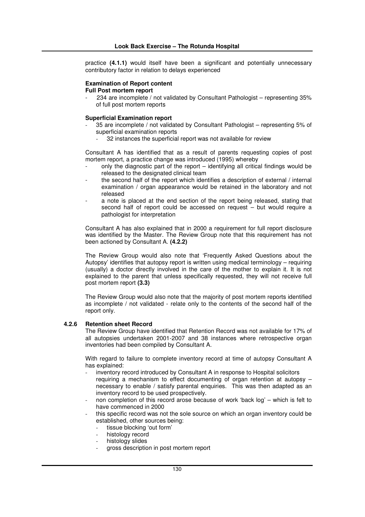practice **(4.1.1)** would itself have been a significant and potentially unnecessary contributory factor in relation to delays experienced

## **Examination of Report content**

## **Full Post mortem report**

234 are incomplete / not validated by Consultant Pathologist – representing 35% of full post mortem reports

#### **Superficial Examination report**

- 35 are incomplete / not validated by Consultant Pathologist representing 5% of superficial examination reports
	- 32 instances the superficial report was not available for review

Consultant A has identified that as a result of parents requesting copies of post mortem report, a practice change was introduced (1995) whereby

- only the diagnostic part of the report identifying all critical findings would be released to the designated clinical team
- the second half of the report which identifies a description of external / internal examination / organ appearance would be retained in the laboratory and not released
- a note is placed at the end section of the report being released, stating that second half of report could be accessed on request – but would require a pathologist for interpretation

Consultant A has also explained that in 2000 a requirement for full report disclosure was identified by the Master. The Review Group note that this requirement has not been actioned by Consultant A. **(4.2.2)**

The Review Group would also note that 'Frequently Asked Questions about the Autopsy' identifies that autopsy report is written using medical terminology – requiring (usually) a doctor directly involved in the care of the mother to explain it. It is not explained to the parent that unless specifically requested, they will not receive full post mortem report **(3.3)**

The Review Group would also note that the majority of post mortem reports identified as incomplete / not validated - relate only to the contents of the second half of the report only.

### **4.2.6 Retention sheet Record**

The Review Group have identified that Retention Record was not available for 17% of all autopsies undertaken 2001-2007 and 38 instances where retrospective organ inventories had been compiled by Consultant A.

With regard to failure to complete inventory record at time of autopsy Consultant A has explained:

- inventory record introduced by Consultant A in response to Hospital solicitors requiring a mechanism to effect documenting of organ retention at autopsy – necessary to enable / satisfy parental enquiries. This was then adapted as an inventory record to be used prospectively.
- non completion of this record arose because of work 'back log' which is felt to have commenced in 2000
- this specific record was not the sole source on which an organ inventory could be established, other sources being:
	- tissue blocking 'out form'
	- histology record
	- histology slides
	- gross description in post mortem report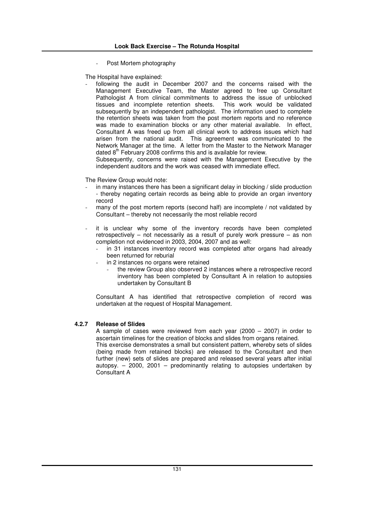Post Mortem photography

The Hospital have explained:

following the audit in December 2007 and the concerns raised with the Management Executive Team, the Master agreed to free up Consultant Pathologist A from clinical commitments to address the issue of unblocked tissues and incomplete retention sheets. This work would be validated subsequently by an independent pathologist. The information used to complete the retention sheets was taken from the post mortem reports and no reference was made to examination blocks or any other material available. In effect, Consultant A was freed up from all clinical work to address issues which had arisen from the national audit. This agreement was communicated to the Network Manager at the time. A letter from the Master to the Network Manager dated 8<sup>th</sup> February 2008 confirms this and is available for review.

Subsequently, concerns were raised with the Management Executive by the independent auditors and the work was ceased with immediate effect.

The Review Group would note:

- in many instances there has been a significant delay in blocking / slide production - thereby negating certain records as being able to provide an organ inventory record
- many of the post mortem reports (second half) are incomplete / not validated by Consultant – thereby not necessarily the most reliable record
- it is unclear why some of the inventory records have been completed retrospectively – not necessarily as a result of purely work pressure – as non completion not evidenced in 2003, 2004, 2007 and as well:
	- in 31 instances inventory record was completed after organs had already been returned for reburial
	- in 2 instances no organs were retained
		- the review Group also observed 2 instances where a retrospective record inventory has been completed by Consultant A in relation to autopsies undertaken by Consultant B

Consultant A has identified that retrospective completion of record was undertaken at the request of Hospital Management.

# **4.2.7 Release of Slides**

A sample of cases were reviewed from each year (2000 – 2007) in order to ascertain timelines for the creation of blocks and slides from organs retained. This exercise demonstrates a small but consistent pattern, whereby sets of slides (being made from retained blocks) are released to the Consultant and then further (new) sets of slides are prepared and released several years after initial autopsy.  $-$  2000, 2001 – predominantly relating to autopsies undertaken by Consultant A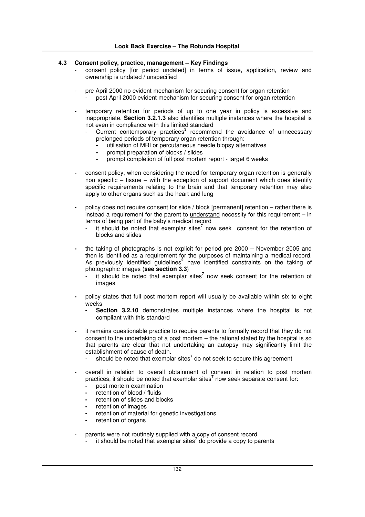# **4.3 Consent policy, practice, management – Key Findings**

- consent policy [for period undated] in terms of issue, application, review and ownership is undated / unspecified
- pre April 2000 no evident mechanism for securing consent for organ retention post April 2000 evident mechanism for securing consent for organ retention
- **-** temporary retention for periods of up to one year in policy is excessive and inappropriate. **Section 3.2.1.3** also identifies multiple instances where the hospital is not even in compliance with this limited standard
	- Current contemporary practices<sup>3</sup> recommend the avoidance of unnecessary prolonged periods of temporary organ retention through:
		- **-** utilisation of MRI or percutaneous needle biopsy alternatives
		- **-** prompt preparation of blocks / slides
		- **-** prompt completion of full post mortem report target 6 weeks
- **-** consent policy, when considering the need for temporary organ retention is generally non specific – tissue – with the exception of support document which does identify specific requirements relating to the brain and that temporary retention may also apply to other organs such as the heart and lung
- **-** policy does not require consent for slide / block [permanent] retention rather there is instead a requirement for the parent to understand necessity for this requirement – in terms of being part of the baby's medical record
	- it should be noted that exemplar sites<sup>7</sup> now seek consent for the retention of blocks and slides
- **-** the taking of photographs is not explicit for period pre 2000 November 2005 and then is identified as a requirement for the purposes of maintaining a medical record. As previously identified guidelines<sup>2</sup> have identified constraints on the taking of photographic images (**see section 3.3**)
	- it should be noted that exemplar sites **7** now seek consent for the retention of images
- **-** policy states that full post mortem report will usually be available within six to eight weeks
	- **Section 3.2.10** demonstrates multiple instances where the hospital is not compliant with this standard
- **-** it remains questionable practice to require parents to formally record that they do not consent to the undertaking of a post mortem – the rational stated by the hospital is so that parents are clear that not undertaking an autopsy may significantly limit the establishment of cause of death.
	- should be noted that exemplar sites **7** do not seek to secure this agreement
- **-** overall in relation to overall obtainment of consent in relation to post mortem practices, it should be noted that exemplar sites **7** now seek separate consent for:
	- **-** post mortem examination
	- **-** retention of blood / fluids
	- **-** retention of slides and blocks
	- **-** retention of images
	- **-** retention of material for genetic investigations
	- **-** retention of organs
- parents were not routinely supplied with a copy of consent record <sup>1</sup> it should be noted that exemplar sites<sup>7</sup> do provide a copy to parents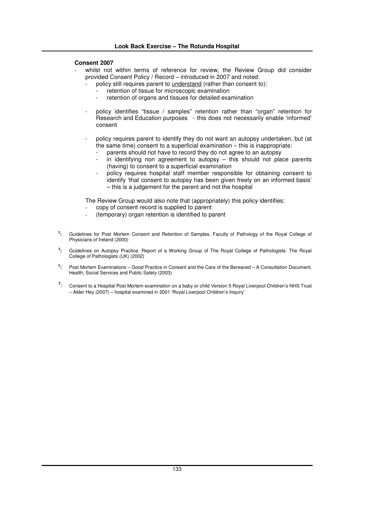# **Consent 2007**

- whilst not within terms of reference for review, the Review Group did consider provided Consent Policy / Record – introduced in 2007 and noted:
	- policy still requires parent to *understand* (rather than consent to):
		- retention of tissue for microscopic examination<br>retention of ergans and tissues for detailed examination
		- retention of organs and tissues for detailed examination
	- policy identifies "tissue / samples" retention rather than "organ" retention for Research and Education purposes - this does not necessarily enable 'informed' consent
	- policy requires parent to identify they do not want an autopsy undertaken, but (at the same time) consent to a superficial examination – this is inappropriate:
		- parents should not have to record they do not agree to an autopsy
		- in identifying non agreement to autopsy this should not place parents (having) to consent to a superficial examination
		- policy requires hospital staff member responsible for obtaining consent to identify 'that consent to autopsy has been given freely on an informed basis' – this is a judgement for the parent and not the hospital

The Review Group would also note that (appropriately) this policy identifies:

- copy of consent record is supplied to parent
- (temporary) organ retention is identified to parent
- **2 :** Guidelines for Post Mortem Consent and Retention of Samples. Faculty of Pathology of the Royal College of Physicians of Ireland (2000)
- **3 :** Guidelines on Autopsy Practice: Report of a Working Group of The Royal College of Pathologists. The Royal College of Pathologists (UK) (2002)
- **5 :** Post Mortem Examinations – Good Practice in Consent and the Care of the Bereaved – A Consultation Document. Health, Social Services and Public Safety (2003)
- **7** : Consent to a Hospital Post Mortem examination on a baby or child Version 5 Royal Liverpool Children's NHS Trust – Alder Hey (2007) – hospital examined in 2001 'Royal Liverpool Children's Inquiry'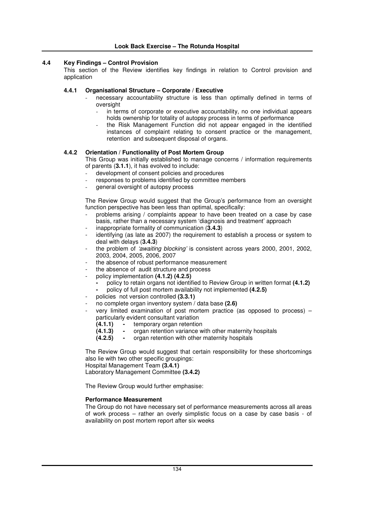# **4.4 Key Findings – Control Provision**

This section of the Review identifies key findings in relation to Control provision and application

## **4.4.1 Organisational Structure – Corporate / Executive**

- necessary accountability structure is less than optimally defined in terms of oversight
	- in terms of corporate or executive accountability, no one individual appears holds ownership for totality of autopsy process in terms of performance
	- the Risk Management Function did not appear engaged in the identified instances of complaint relating to consent practice or the management, retention and subsequent disposal of organs.

# **4.4.2 Orientation / Functionality of Post Mortem Group**

This Group was initially established to manage concerns / information requirements of parents (**3.1.1**), it has evolved to include:

- development of consent policies and procedures
- responses to problems identified by committee members
- general oversight of autopsy process

The Review Group would suggest that the Group's performance from an oversight function perspective has been less than optimal, specifically:

- problems arising / complaints appear to have been treated on a case by case basis, rather than a necessary system 'diagnosis and treatment' approach
- inappropriate formality of communication (3.4.3)
- identifying (as late as 2007) the requirement to establish a process or system to deal with delays (**3.4.3**)
- the problem of *'awaiting blocking'* is consistent across years 2000, 2001, 2002, 2003, 2004, 2005, 2006, 2007
- the absence of robust performance measurement
- the absence of audit structure and process
- policy implementation **(4.1.2) (4.2.5)**
	- **-** policy to retain organs not identified to Review Group in written format **(4.1.2)**
	- **-** policy of full post mortem availability not implemented **(4.2.5)**
- policies not version controlled (3.3.1)
- no complete organ inventory system / data base **(2.6)**
- very limited examination of post mortem practice (as opposed to process)  $$ particularly evident consultant variation<br>(4.1.1) - temporary organ retention
	- **(4.1.1) -** temporary organ retention
	- **(4.1.3) -** organ retention variance with other maternity hospitals
	- **(4.2.5) -** organ retention with other maternity hospitals

The Review Group would suggest that certain responsibility for these shortcomings also lie with two other specific groupings: Hospital Management Team **(3.4.1)** Laboratory Management Committee **(3.4.2)**

The Review Group would further emphasise:

### **Performance Measurement**

The Group do not have necessary set of performance measurements across all areas of work process – rather an overly simplistic focus on a case by case basis - of availability on post mortem report after six weeks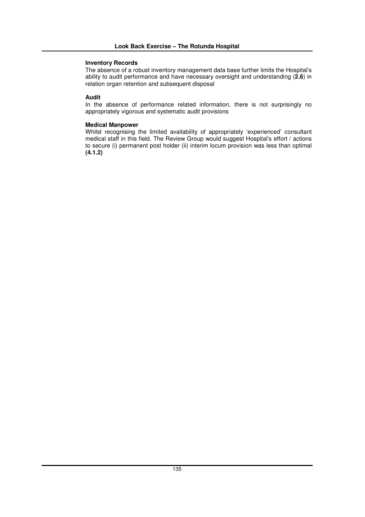## **Inventory Records**

The absence of a robust inventory management data base further limits the Hospital's ability to audit performance and have necessary oversight and understanding (**2.6**) in relation organ retention and subsequent disposal

# **Audit**

In the absence of performance related information, there is not surprisingly no appropriately vigorous and systematic audit provisions

# **Medical Manpower**

Whilst recognising the limited availability of appropriately 'experienced' consultant medical staff in this field. The Review Group would suggest Hospital's effort / actions to secure (i) permanent post holder (ii) interim locum provision was less than optimal **(4.1.2)**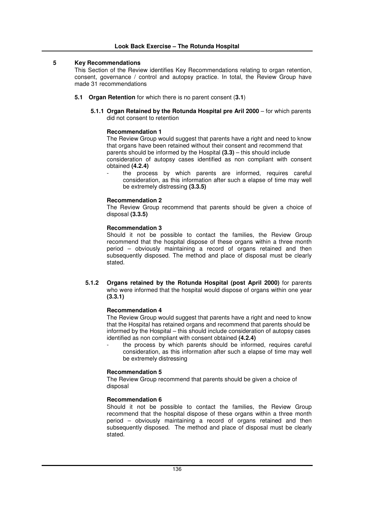### **5 Key Recommendations**

This Section of the Review identifies Key Recommendations relating to organ retention, consent, governance / control and autopsy practice. In total, the Review Group have made 31 recommendations

- **5.1 Organ Retention** for which there is no parent consent (**3.1**)
	- **5.1.1 Organ Retained by the Rotunda Hospital pre Aril 2000** for which parents did not consent to retention

## **Recommendation 1**

The Review Group would suggest that parents have a right and need to know that organs have been retained without their consent and recommend that parents should be informed by the Hospital **(3.3)** – this should include consideration of autopsy cases identified as non compliant with consent obtained **(4.2.4)**

the process by which parents are informed, requires careful consideration, as this information after such a elapse of time may well be extremely distressing **(3.3.5)**

#### **Recommendation 2**

The Review Group recommend that parents should be given a choice of disposal **(3.3.5)**

#### **Recommendation 3**

Should it not be possible to contact the families, the Review Group recommend that the hospital dispose of these organs within a three month period – obviously maintaining a record of organs retained and then subsequently disposed. The method and place of disposal must be clearly stated.

**5.1.2 Organs retained by the Rotunda Hospital (post April 2000)** for parents who were informed that the hospital would dispose of organs within one year **(3.3.1)**

### **Recommendation 4**

The Review Group would suggest that parents have a right and need to know that the Hospital has retained organs and recommend that parents should be informed by the Hospital – this should include consideration of autopsy cases identified as non compliant with consent obtained **(4.2.4)**

the process by which parents should be informed, requires careful consideration, as this information after such a elapse of time may well be extremely distressing

### **Recommendation 5**

The Review Group recommend that parents should be given a choice of disposal

#### **Recommendation 6**

Should it not be possible to contact the families, the Review Group recommend that the hospital dispose of these organs within a three month period – obviously maintaining a record of organs retained and then subsequently disposed. The method and place of disposal must be clearly stated.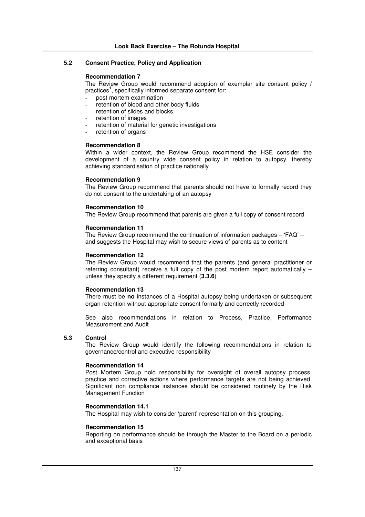## **5.2 Consent Practice, Policy and Application**

### **Recommendation 7**

The Review Group would recommend adoption of exemplar site consent policy / practices **1** , specifically informed separate consent for:

- post mortem examination
- retention of blood and other body fluids
- retention of slides and blocks
- retention of images
- retention of material for genetic investigations
- retention of organs

### **Recommendation 8**

Within a wider context, the Review Group recommend the HSE consider the development of a country wide consent policy in relation to autopsy, thereby achieving standardisation of practice nationally

#### **Recommendation 9**

The Review Group recommend that parents should not have to formally record they do not consent to the undertaking of an autopsy

### **Recommendation 10**

The Review Group recommend that parents are given a full copy of consent record

#### **Recommendation 11**

The Review Group recommend the continuation of information packages – 'FAQ' – and suggests the Hospital may wish to secure views of parents as to content

#### **Recommendation 12**

The Review Group would recommend that the parents (and general practitioner or referring consultant) receive a full copy of the post mortem report automatically – unless they specify a different requirement (**3.3.6**)

### **Recommendation 13**

There must be **no** instances of a Hospital autopsy being undertaken or subsequent organ retention without appropriate consent formally and correctly recorded

See also recommendations in relation to Process, Practice, Performance Measurement and Audit

### **5.3 Control**

The Review Group would identify the following recommendations in relation to governance/control and executive responsibility

### **Recommendation 14**

Post Mortem Group hold responsibility for oversight of overall autopsy process, practice and corrective actions where performance targets are not being achieved. Significant non compliance instances should be considered routinely by the Risk Management Function

## **Recommendation 14.1**

The Hospital may wish to consider 'parent' representation on this grouping.

### **Recommendation 15**

Reporting on performance should be through the Master to the Board on a periodic and exceptional basis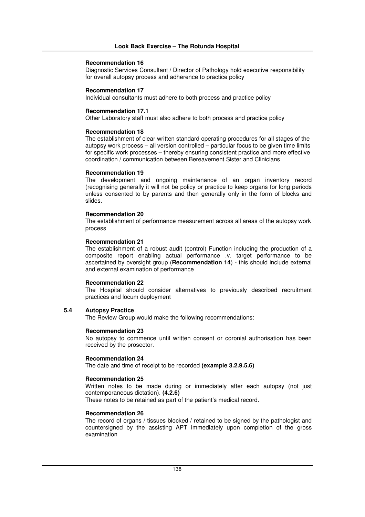#### **Recommendation 16**

Diagnostic Services Consultant / Director of Pathology hold executive responsibility for overall autopsy process and adherence to practice policy

### **Recommendation 17**

Individual consultants must adhere to both process and practice policy

### **Recommendation 17.1**

Other Laboratory staff must also adhere to both process and practice policy

#### **Recommendation 18**

The establishment of clear written standard operating procedures for all stages of the autopsy work process – all version controlled – particular focus to be given time limits for specific work processes – thereby ensuring consistent practice and more effective coordination / communication between Bereavement Sister and Clinicians

### **Recommendation 19**

The development and ongoing maintenance of an organ inventory record (recognising generally it will not be policy or practice to keep organs for long periods unless consented to by parents and then generally only in the form of blocks and slides.

#### **Recommendation 20**

The establishment of performance measurement across all areas of the autopsy work process

### **Recommendation 21**

The establishment of a robust audit (control) Function including the production of a composite report enabling actual performance .v. target performance to be ascertained by oversight group (**Recommendation 14**) - this should include external and external examination of performance

#### **Recommendation 22**

The Hospital should consider alternatives to previously described recruitment practices and locum deployment

## **5.4 Autopsy Practice**

The Review Group would make the following recommendations:

#### **Recommendation 23**

No autopsy to commence until written consent or coronial authorisation has been received by the prosector.

#### **Recommendation 24**

The date and time of receipt to be recorded **(example 3.2.9.5.6)**

### **Recommendation 25**

Written notes to be made during or immediately after each autopsy (not just contemporaneous dictation). **(4.2.6)**

These notes to be retained as part of the patient's medical record.

# **Recommendation 26**

The record of organs / tissues blocked / retained to be signed by the pathologist and countersigned by the assisting APT immediately upon completion of the gross examination